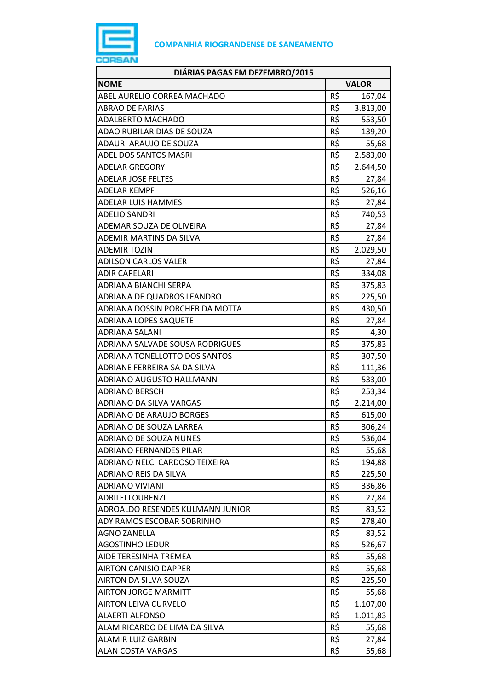

| DIÁRIAS PAGAS EM DEZEMBRO/2015   |              |          |
|----------------------------------|--------------|----------|
| <b>NOME</b>                      | <b>VALOR</b> |          |
| ABEL AURELIO CORREA MACHADO      | R\$          | 167,04   |
| <b>ABRAO DE FARIAS</b>           | R\$          | 3.813,00 |
| <b>ADALBERTO MACHADO</b>         | R\$          | 553,50   |
| ADAO RUBILAR DIAS DE SOUZA       | R\$          | 139,20   |
| ADAURI ARAUJO DE SOUZA           | R\$          | 55,68    |
| ADEL DOS SANTOS MASRI            | R\$          | 2.583,00 |
| <b>ADELAR GREGORY</b>            | $R\,$ \$     | 2.644,50 |
| <b>ADELAR JOSE FELTES</b>        | R\$          | 27,84    |
| ADELAR KEMPF                     | R\$          | 526,16   |
| ADELAR LUIS HAMMES               | R\$          | 27,84    |
| <b>ADELIO SANDRI</b>             | R\$          | 740,53   |
| ADEMAR SOUZA DE OLIVEIRA         | R\$          | 27,84    |
| ADEMIR MARTINS DA SILVA          | R\$          | 27,84    |
| <b>ADEMIR TOZIN</b>              | R\$          | 2.029,50 |
| <b>ADILSON CARLOS VALER</b>      | R\$          | 27,84    |
| <b>ADIR CAPELARI</b>             | R\$          | 334,08   |
| ADRIANA BIANCHI SERPA            | R\$          | 375,83   |
| ADRIANA DE QUADROS LEANDRO       | R\$          | 225,50   |
| ADRIANA DOSSIN PORCHER DA MOTTA  | R\$          | 430,50   |
| <b>ADRIANA LOPES SAQUETE</b>     | R\$          | 27,84    |
| ADRIANA SALANI                   | R\$          | 4,30     |
| ADRIANA SALVADE SOUSA RODRIGUES  | R\$          | 375,83   |
| ADRIANA TONELLOTTO DOS SANTOS    | R\$          | 307,50   |
| ADRIANE FERREIRA SA DA SILVA     | R\$          | 111,36   |
| ADRIANO AUGUSTO HALLMANN         | R\$          | 533,00   |
| ADRIANO BERSCH                   | R\$          | 253,34   |
| <b>ADRIANO DA SILVA VARGAS</b>   | R\$          | 2.214,00 |
| <b>ADRIANO DE ARAUJO BORGES</b>  | R\$          | 615,00   |
| ADRIANO DE SOUZA LARREA          | R\$          | 306,24   |
| <b>ADRIANO DE SOUZA NUNES</b>    | R\$          | 536,04   |
| <b>ADRIANO FERNANDES PILAR</b>   | R\$          | 55,68    |
| ADRIANO NELCI CARDOSO TEIXEIRA   | R\$          | 194,88   |
| ADRIANO REIS DA SILVA            | R\$          | 225,50   |
| ADRIANO VIVIANI                  | R\$          | 336,86   |
| <b>ADRILEI LOURENZI</b>          | R\$          | 27,84    |
| ADROALDO RESENDES KULMANN JUNIOR | R\$          | 83,52    |
| ADY RAMOS ESCOBAR SOBRINHO       | R\$          | 278,40   |
| <b>AGNO ZANELLA</b>              | R\$          | 83,52    |
| <b>AGOSTINHO LEDUR</b>           | R\$          | 526,67   |
| AIDE TERESINHA TREMEA            | R\$          | 55,68    |
| <b>AIRTON CANISIO DAPPER</b>     | R\$          | 55,68    |
| AIRTON DA SILVA SOUZA            | R\$          | 225,50   |
| <b>AIRTON JORGE MARMITT</b>      | R\$          | 55,68    |
| <b>AIRTON LEIVA CURVELO</b>      | R\$          | 1.107,00 |
| <b>ALAERTI ALFONSO</b>           | R\$          | 1.011,83 |
| ALAM RICARDO DE LIMA DA SILVA    | R\$          | 55,68    |
| ALAMIR LUIZ GARBIN               | R\$          | 27,84    |
| <b>ALAN COSTA VARGAS</b>         | R\$          | 55,68    |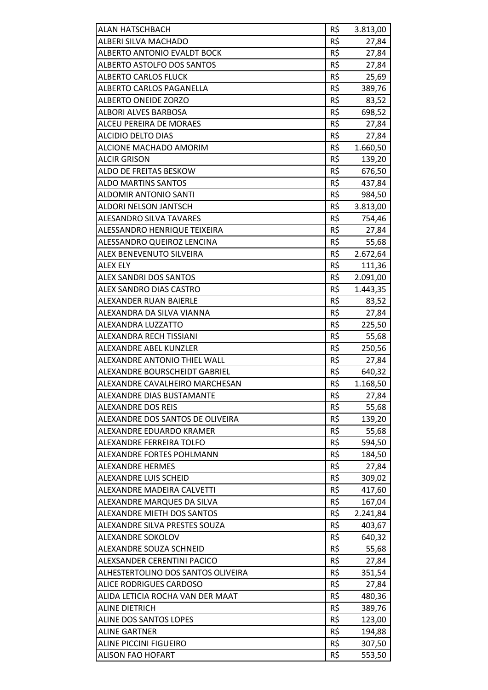| ALAN HATSCHBACH                    | R\$ | 3.813,00 |
|------------------------------------|-----|----------|
| ALBERI SILVA MACHADO               | R\$ | 27,84    |
| <b>ALBERTO ANTONIO EVALDT BOCK</b> | R\$ | 27,84    |
| ALBERTO ASTOLFO DOS SANTOS         | R\$ | 27,84    |
| <b>ALBERTO CARLOS FLUCK</b>        | R\$ | 25,69    |
| ALBERTO CARLOS PAGANELLA           | R\$ | 389,76   |
| ALBERTO ONEIDE ZORZO               | R\$ | 83,52    |
| <b>ALBORI ALVES BARBOSA</b>        | R\$ | 698,52   |
| ALCEU PEREIRA DE MORAES            | R\$ | 27,84    |
| <b>ALCIDIO DELTO DIAS</b>          | R\$ | 27,84    |
| ALCIONE MACHADO AMORIM             | R\$ | 1.660,50 |
| <b>ALCIR GRISON</b>                | R\$ | 139,20   |
| ALDO DE FREITAS BESKOW             | R\$ | 676,50   |
| <b>ALDO MARTINS SANTOS</b>         | R\$ | 437,84   |
| <b>ALDOMIR ANTONIO SANTI</b>       | R\$ | 984,50   |
| ALDORI NELSON JANTSCH              | R\$ | 3.813,00 |
| ALESANDRO SILVA TAVARES            | R\$ | 754,46   |
| ALESSANDRO HENRIQUE TEIXEIRA       | R\$ | 27,84    |
| ALESSANDRO QUEIROZ LENCINA         | R\$ | 55,68    |
| ALEX BENEVENUTO SILVEIRA           | R\$ | 2.672,64 |
| <b>ALEX ELY</b>                    | R\$ | 111,36   |
| <b>ALEX SANDRI DOS SANTOS</b>      | R\$ | 2.091,00 |
| ALEX SANDRO DIAS CASTRO            | R\$ | 1.443,35 |
| ALEXANDER RUAN BAIERLE             | R\$ | 83,52    |
| ALEXANDRA DA SILVA VIANNA          | R\$ | 27,84    |
| ALEXANDRA LUZZATTO                 | R\$ | 225,50   |
| ALEXANDRA RECH TISSIANI            | R\$ | 55,68    |
| <b>ALEXANDRE ABEL KUNZLER</b>      | R\$ | 250,56   |
| ALEXANDRE ANTONIO THIEL WALL       | R\$ | 27,84    |
| ALEXANDRE BOURSCHEIDT GABRIEL      | R\$ | 640,32   |
| ALEXANDRE CAVALHEIRO MARCHESAN     | R\$ | 1.168,50 |
| ALEXANDRE DIAS BUSTAMANTE          | R\$ | 27,84    |
| <b>ALEXANDRE DOS REIS</b>          | R\$ | 55,68    |
| ALEXANDRE DOS SANTOS DE OLIVEIRA   | R\$ | 139,20   |
| ALEXANDRE EDUARDO KRAMER           | R\$ | 55,68    |
| ALEXANDRE FERREIRA TOLFO           | R\$ | 594,50   |
| ALEXANDRE FORTES POHLMANN          | R\$ | 184,50   |
| ALEXANDRE HERMES                   | R\$ | 27,84    |
| <b>ALEXANDRE LUIS SCHEID</b>       | R\$ | 309,02   |
| ALEXANDRE MADEIRA CALVETTI         | R\$ | 417,60   |
| ALEXANDRE MARQUES DA SILVA         | R\$ | 167,04   |
| ALEXANDRE MIETH DOS SANTOS         | R\$ | 2.241,84 |
| ALEXANDRE SILVA PRESTES SOUZA      | R\$ | 403,67   |
| ALEXANDRE SOKOLOV                  | R\$ | 640,32   |
| ALEXANDRE SOUZA SCHNEID            | R\$ | 55,68    |
| ALEXSANDER CERENTINI PACICO        | R\$ | 27,84    |
| ALHESTERTOLINO DOS SANTOS OLIVEIRA | R\$ | 351,54   |
| <b>ALICE RODRIGUES CARDOSO</b>     | R\$ | 27,84    |
| ALIDA LETICIA ROCHA VAN DER MAAT   | R\$ | 480,36   |
| <b>ALINE DIETRICH</b>              | R\$ | 389,76   |
| ALINE DOS SANTOS LOPES             | R\$ | 123,00   |
| <b>ALINE GARTNER</b>               | R\$ | 194,88   |
| <b>ALINE PICCINI FIGUEIRO</b>      | R\$ | 307,50   |
| <b>ALISON FAO HOFART</b>           | R\$ | 553,50   |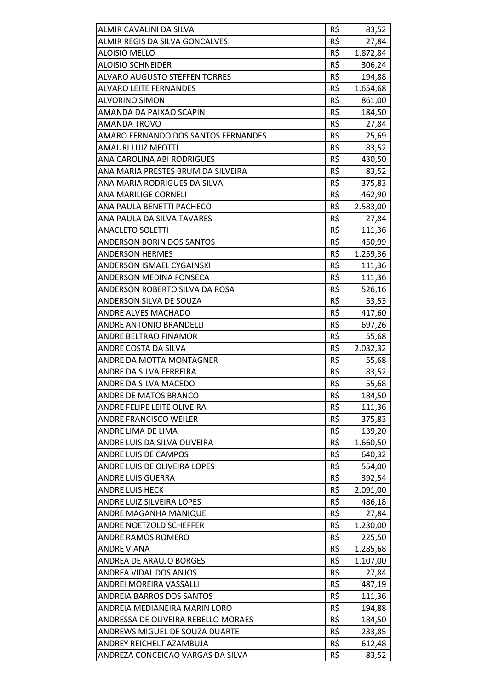| ALMIR CAVALINI DA SILVA             | R\$        | 83,52    |
|-------------------------------------|------------|----------|
| ALMIR REGIS DA SILVA GONCALVES      | R\$        | 27,84    |
| <b>ALOISIO MELLO</b>                | R\$        | 1.872,84 |
| <b>ALOISIO SCHNEIDER</b>            | R\$<br>R\$ | 306,24   |
| ALVARO AUGUSTO STEFFEN TORRES       |            | 194,88   |
| <b>ALVARO LEITE FERNANDES</b>       | R\$        | 1.654,68 |
| <b>ALVORINO SIMON</b>               | R\$        | 861,00   |
| AMANDA DA PAIXAO SCAPIN             | R\$        | 184,50   |
| <b>AMANDA TROVO</b>                 | R\$        | 27,84    |
| AMARO FERNANDO DOS SANTOS FERNANDES | R\$        | 25,69    |
| <b>AMAURI LUIZ MEOTTI</b>           | R\$        | 83,52    |
| ANA CAROLINA ABI RODRIGUES          | R\$        | 430,50   |
| ANA MARIA PRESTES BRUM DA SILVEIRA  | R\$        | 83,52    |
| ANA MARIA RODRIGUES DA SILVA        | R\$        | 375,83   |
| <b>ANA MARILIGE CORNELI</b>         | R\$        | 462,90   |
| ANA PAULA BENETTI PACHECO           | R\$        | 2.583,00 |
| ANA PAULA DA SILVA TAVARES          | R\$        | 27,84    |
| <b>ANACLETO SOLETTI</b>             | R\$        | 111,36   |
| ANDERSON BORIN DOS SANTOS           | R\$        | 450,99   |
| <b>ANDERSON HERMES</b>              | R\$        | 1.259,36 |
| ANDERSON ISMAEL CYGAINSKI           | R\$        | 111,36   |
| ANDERSON MEDINA FONSECA             | R\$        | 111,36   |
| ANDERSON ROBERTO SILVA DA ROSA      | R\$        | 526,16   |
| ANDERSON SILVA DE SOUZA             | R\$        | 53,53    |
| <b>ANDRE ALVES MACHADO</b>          | R\$        | 417,60   |
| ANDRE ANTONIO BRANDELLI             | R\$        | 697,26   |
| ANDRE BELTRAO FINAMOR               | R\$        | 55,68    |
| ANDRE COSTA DA SILVA                | R\$        | 2.032,32 |
| ANDRE DA MOTTA MONTAGNER            | R\$        | 55,68    |
| ANDRE DA SILVA FERREIRA             | R\$        | 83,52    |
| ANDRE DA SILVA MACEDO               | R\$        | 55,68    |
| ANDRE DE MATOS BRANCO               | R\$        | 184,50   |
| ANDRE FELIPE LEITE OLIVEIRA         | R\$        | 111,36   |
| <b>ANDRE FRANCISCO WEILER</b>       | R\$        | 375,83   |
| ANDRE LIMA DE LIMA                  | R\$        | 139,20   |
| ANDRE LUIS DA SILVA OLIVEIRA        | R\$        | 1.660,50 |
| ANDRE LUIS DE CAMPOS                | R\$        | 640,32   |
| ANDRE LUIS DE OLIVEIRA LOPES        | R\$        | 554,00   |
| <b>ANDRE LUIS GUERRA</b>            | R\$        | 392,54   |
| <b>ANDRE LUIS HECK</b>              | R\$        | 2.091,00 |
| ANDRE LUIZ SILVEIRA LOPES           | R\$        | 486,18   |
| ANDRE MAGANHA MANIQUE               | R\$        | 27,84    |
| ANDRE NOETZOLD SCHEFFER             | R\$        | 1.230,00 |
| <b>ANDRE RAMOS ROMERO</b>           | R\$        | 225,50   |
| <b>ANDRE VIANA</b>                  | R\$        | 1.285,68 |
| ANDREA DE ARAUJO BORGES             | R\$        | 1.107,00 |
| ANDREA VIDAL DOS ANJOS              | R\$        | 27,84    |
| ANDREI MOREIRA VASSALLI             | R\$        | 487,19   |
| <b>ANDREIA BARROS DOS SANTOS</b>    | R\$        | 111,36   |
| ANDREIA MEDIANEIRA MARIN LORO       | R\$        | 194,88   |
| ANDRESSA DE OLIVEIRA REBELLO MORAES | R\$        | 184,50   |
| ANDREWS MIGUEL DE SOUZA DUARTE      | R\$        | 233,85   |
| ANDREY REICHELT AZAMBUJA            | R\$        | 612,48   |
| ANDREZA CONCEICAO VARGAS DA SILVA   | R\$        | 83,52    |
|                                     |            |          |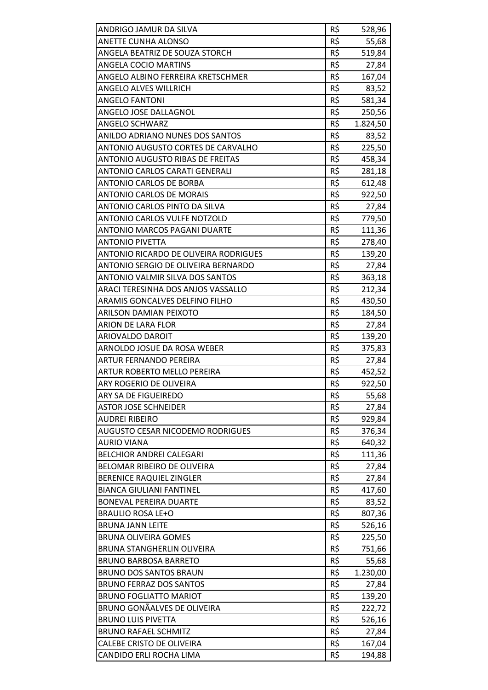| ANDRIGO JAMUR DA SILVA                       | R\$ | 528,96   |
|----------------------------------------------|-----|----------|
| <b>ANETTE CUNHA ALONSO</b>                   | R\$ | 55,68    |
| ANGELA BEATRIZ DE SOUZA STORCH               | R\$ | 519,84   |
| <b>ANGELA COCIO MARTINS</b>                  | R\$ | 27,84    |
| ANGELO ALBINO FERREIRA KRETSCHMER            | R\$ | 167,04   |
| ANGELO ALVES WILLRICH                        | R\$ | 83,52    |
| <b>ANGELO FANTONI</b>                        | R\$ | 581,34   |
| ANGELO JOSE DALLAGNOL                        | R\$ | 250,56   |
| <b>ANGELO SCHWARZ</b>                        | R\$ | 1.824,50 |
| ANILDO ADRIANO NUNES DOS SANTOS              | R\$ | 83,52    |
| ANTONIO AUGUSTO CORTES DE CARVALHO           | R\$ | 225,50   |
| ANTONIO AUGUSTO RIBAS DE FREITAS             | R\$ | 458,34   |
| ANTONIO CARLOS CARATI GENERALI               | R\$ | 281,18   |
| <b>ANTONIO CARLOS DE BORBA</b>               | R\$ | 612,48   |
| <b>ANTONIO CARLOS DE MORAIS</b>              | R\$ | 922,50   |
| ANTONIO CARLOS PINTO DA SILVA                | R\$ | 27,84    |
| <b>ANTONIO CARLOS VULFE NOTZOLD</b>          | R\$ | 779,50   |
| ANTONIO MARCOS PAGANI DUARTE                 | R\$ | 111,36   |
| <b>ANTONIO PIVETTA</b>                       | R\$ | 278,40   |
| <b>ANTONIO RICARDO DE OLIVEIRA RODRIGUES</b> | R\$ | 139,20   |
| ANTONIO SERGIO DE OLIVEIRA BERNARDO          | R\$ | 27,84    |
| ANTONIO VALMIR SILVA DOS SANTOS              | R\$ | 363,18   |
| ARACI TERESINHA DOS ANJOS VASSALLO           | R\$ | 212,34   |
| ARAMIS GONCALVES DELFINO FILHO               | R\$ | 430,50   |
| ARILSON DAMIAN PEIXOTO                       | R\$ | 184,50   |
| ARION DE LARA FLOR                           | R\$ | 27,84    |
| ARIOVALDO DAROIT                             | R\$ | 139,20   |
| ARNOLDO JOSUE DA ROSA WEBER                  | R\$ | 375,83   |
| <b>ARTUR FERNANDO PEREIRA</b>                | R\$ | 27,84    |
| <b>ARTUR ROBERTO MELLO PEREIRA</b>           | R\$ | 452,52   |
| ARY ROGERIO DE OLIVEIRA                      | R\$ | 922,50   |
| ARY SA DE FIGUEIREDO                         | R\$ | 55,68    |
| <b>ASTOR JOSE SCHNEIDER</b>                  | R\$ | 27,84    |
| <b>AUDREI RIBEIRO</b>                        | R\$ | 929,84   |
| <b>AUGUSTO CESAR NICODEMO RODRIGUES</b>      | R\$ | 376,34   |
| <b>AURIO VIANA</b>                           | R\$ | 640,32   |
| <b>BELCHIOR ANDREI CALEGARI</b>              | R\$ | 111,36   |
| BELOMAR RIBEIRO DE OLIVEIRA                  | R\$ | 27,84    |
| <b>BERENICE RAQUIEL ZINGLER</b>              | R\$ | 27,84    |
| <b>BIANCA GIULIANI FANTINEL</b>              | R\$ | 417,60   |
| <b>BONEVAL PEREIRA DUARTE</b>                | R\$ | 83,52    |
| <b>BRAULIO ROSA LE+O</b>                     | R\$ | 807,36   |
| <b>BRUNA JANN LEITE</b>                      | R\$ | 526,16   |
| <b>BRUNA OLIVEIRA GOMES</b>                  | R\$ | 225,50   |
| <b>BRUNA STANGHERLIN OLIVEIRA</b>            | R\$ | 751,66   |
| <b>BRUNO BARBOSA BARRETO</b>                 | R\$ | 55,68    |
| <b>BRUNO DOS SANTOS BRAUN</b>                | R\$ | 1.230,00 |
| <b>BRUNO FERRAZ DOS SANTOS</b>               | R\$ | 27,84    |
| <b>BRUNO FOGLIATTO MARIOT</b>                | R\$ | 139,20   |
| <b>BRUNO GONÃALVES DE OLIVEIRA</b>           | R\$ | 222,72   |
| <b>BRUNO LUIS PIVETTA</b>                    | R\$ | 526,16   |
| <b>BRUNO RAFAEL SCHMITZ</b>                  | R\$ | 27,84    |
| <b>CALEBE CRISTO DE OLIVEIRA</b>             | R\$ | 167,04   |
| CANDIDO ERLI ROCHA LIMA                      | R\$ | 194,88   |
|                                              |     |          |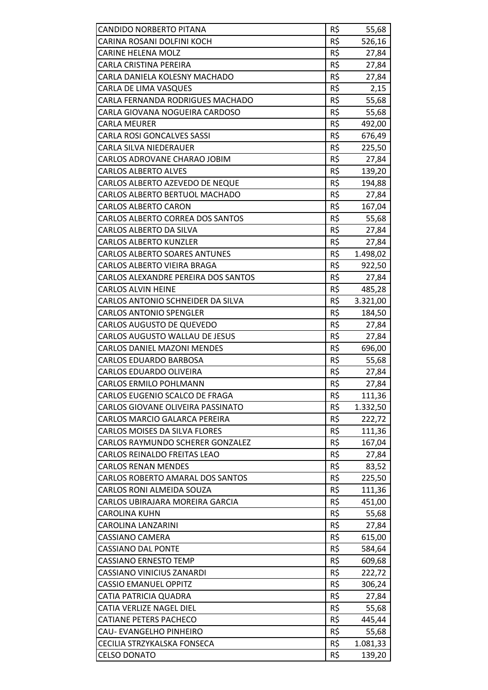| CANDIDO NORBERTO PITANA              | R\$ | 55,68    |
|--------------------------------------|-----|----------|
| CARINA ROSANI DOLFINI KOCH           | R\$ | 526,16   |
| <b>CARINE HELENA MOLZ</b>            | R\$ | 27,84    |
| <b>CARLA CRISTINA PEREIRA</b>        | R\$ | 27,84    |
| CARLA DANIELA KOLESNY MACHADO        | R\$ | 27,84    |
| CARLA DE LIMA VASQUES                | R\$ | 2,15     |
| CARLA FERNANDA RODRIGUES MACHADO     | R\$ | 55,68    |
| CARLA GIOVANA NOGUEIRA CARDOSO       | R\$ | 55,68    |
| <b>CARLA MEURER</b>                  | R\$ | 492,00   |
| <b>CARLA ROSI GONCALVES SASSI</b>    | R\$ | 676,49   |
| CARLA SILVA NIEDERAUER               | R\$ | 225,50   |
| CARLOS ADROVANE CHARAO JOBIM         | R\$ |          |
| <b>CARLOS ALBERTO ALVES</b>          | R\$ | 27,84    |
|                                      | R\$ | 139,20   |
| CARLOS ALBERTO AZEVEDO DE NEQUE      |     | 194,88   |
| CARLOS ALBERTO BERTUOL MACHADO       | R\$ | 27,84    |
| <b>CARLOS ALBERTO CARON</b>          | R\$ | 167,04   |
| CARLOS ALBERTO CORREA DOS SANTOS     | R\$ | 55,68    |
| <b>CARLOS ALBERTO DA SILVA</b>       | R\$ | 27,84    |
| <b>CARLOS ALBERTO KUNZLER</b>        | R\$ | 27,84    |
| <b>CARLOS ALBERTO SOARES ANTUNES</b> | R\$ | 1.498,02 |
| CARLOS ALBERTO VIEIRA BRAGA          | R\$ | 922,50   |
| CARLOS ALEXANDRE PEREIRA DOS SANTOS  | R\$ | 27,84    |
| <b>CARLOS ALVIN HEINE</b>            | R\$ | 485,28   |
| CARLOS ANTONIO SCHNEIDER DA SILVA    | R\$ | 3.321,00 |
| <b>CARLOS ANTONIO SPENGLER</b>       | R\$ | 184,50   |
| CARLOS AUGUSTO DE QUEVEDO            | R\$ | 27,84    |
| CARLOS AUGUSTO WALLAU DE JESUS       | R\$ | 27,84    |
| CARLOS DANIEL MAZONI MENDES          | R\$ | 696,00   |
| <b>CARLOS EDUARDO BARBOSA</b>        | R\$ | 55,68    |
| CARLOS EDUARDO OLIVEIRA              | R\$ | 27,84    |
| <b>CARLOS ERMILO POHLMANN</b>        | R\$ | 27,84    |
| CARLOS EUGENIO SCALCO DE FRAGA       | R\$ | 111,36   |
| CARLOS GIOVANE OLIVEIRA PASSINATO    | R\$ | 1.332,50 |
| CARLOS MARCIO GALARCA PEREIRA        | R\$ | 222,72   |
| <b>CARLOS MOISES DA SILVA FLORES</b> | R\$ | 111,36   |
| CARLOS RAYMUNDO SCHERER GONZALEZ     | R\$ | 167,04   |
| CARLOS REINALDO FREITAS LEAO         | R\$ | 27,84    |
| <b>CARLOS RENAN MENDES</b>           | R\$ | 83,52    |
| CARLOS ROBERTO AMARAL DOS SANTOS     | R\$ | 225,50   |
| CARLOS RONI ALMEIDA SOUZA            | R\$ | 111,36   |
| CARLOS UBIRAJARA MOREIRA GARCIA      | R\$ | 451,00   |
| CAROLINA KUHN                        | R\$ | 55,68    |
| CAROLINA LANZARINI                   | R\$ | 27,84    |
| CASSIANO CAMERA                      | R\$ | 615,00   |
| <b>CASSIANO DAL PONTE</b>            | R\$ | 584,64   |
| <b>CASSIANO ERNESTO TEMP</b>         | R\$ | 609,68   |
| <b>CASSIANO VINICIUS ZANARDI</b>     | R\$ | 222,72   |
| <b>CASSIO EMANUEL OPPITZ</b>         | R\$ | 306,24   |
| CATIA PATRICIA QUADRA                | R\$ | 27,84    |
| <b>CATIA VERLIZE NAGEL DIEL</b>      | R\$ | 55,68    |
| <b>CATIANE PETERS PACHECO</b>        | R\$ | 445,44   |
| CAU-EVANGELHO PINHEIRO               | R\$ | 55,68    |
| CECILIA STRZYKALSKA FONSECA          | R\$ | 1.081,33 |
| <b>CELSO DONATO</b>                  | R\$ | 139,20   |
|                                      |     |          |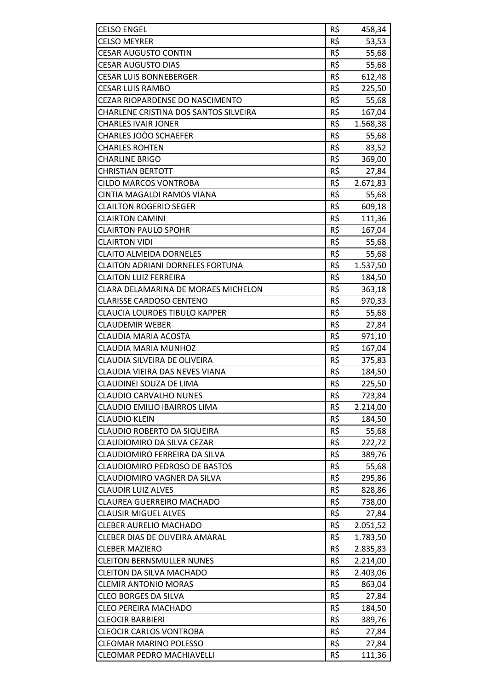| <b>CELSO ENGEL</b>                                          | R\$ | 458,34            |
|-------------------------------------------------------------|-----|-------------------|
| <b>CELSO MEYRER</b>                                         | R\$ | 53,53             |
| <b>CESAR AUGUSTO CONTIN</b>                                 | R\$ | 55,68             |
| <b>CESAR AUGUSTO DIAS</b>                                   | R\$ | 55,68             |
| <b>CESAR LUIS BONNEBERGER</b>                               | R\$ | 612,48            |
| <b>CESAR LUIS RAMBO</b>                                     | R\$ | 225,50            |
| <b>CEZAR RIOPARDENSE DO NASCIMENTO</b>                      | R\$ | 55,68             |
| CHARLENE CRISTINA DOS SANTOS SILVEIRA                       | R\$ | 167,04            |
| <b>CHARLES IVAIR JONER</b>                                  | R\$ | 1.568,38          |
| CHARLES JOÒO SCHAEFER                                       | R\$ | 55,68             |
| <b>CHARLES ROHTEN</b>                                       | R\$ | 83,52             |
| <b>CHARLINE BRIGO</b>                                       | R\$ | 369,00            |
| <b>CHRISTIAN BERTOTT</b>                                    | R\$ |                   |
| <b>CILDO MARCOS VONTROBA</b>                                | R\$ | 27,84<br>2.671,83 |
|                                                             | R\$ |                   |
| CINTIA MAGALDI RAMOS VIANA<br><b>CLAILTON ROGERIO SEGER</b> |     | 55,68             |
|                                                             | R\$ | 609,18            |
| <b>CLAIRTON CAMINI</b>                                      | R\$ | 111,36            |
| <b>CLAIRTON PAULO SPOHR</b>                                 | R\$ | 167,04            |
| <b>CLAIRTON VIDI</b>                                        | R\$ | 55,68             |
| <b>CLAITO ALMEIDA DORNELES</b>                              | R\$ | 55,68             |
| <b>CLAITON ADRIANI DORNELES FORTUNA</b>                     | R\$ | 1.537,50          |
| <b>CLAITON LUIZ FERREIRA</b>                                | R\$ | 184,50            |
| CLARA DELAMARINA DE MORAES MICHELON                         | R\$ | 363,18            |
| <b>CLARISSE CARDOSO CENTENO</b>                             | R\$ | 970,33            |
| <b>CLAUCIA LOURDES TIBULO KAPPER</b>                        | R\$ | 55,68             |
| <b>CLAUDEMIR WEBER</b>                                      | R\$ | 27,84             |
| <b>CLAUDIA MARIA ACOSTA</b>                                 | R\$ | 971,10            |
| <b>CLAUDIA MARIA MUNHOZ</b>                                 | R\$ | 167,04            |
| CLAUDIA SILVEIRA DE OLIVEIRA                                | R\$ | 375,83            |
| CLAUDIA VIEIRA DAS NEVES VIANA                              | R\$ | 184,50            |
| CLAUDINEI SOUZA DE LIMA                                     | R\$ | 225,50            |
| <b>CLAUDIO CARVALHO NUNES</b>                               | R\$ | 723,84            |
| CLAUDIO EMILIO IBAIRROS LIMA                                | R\$ | 2.214,00          |
| <b>CLAUDIO KLEIN</b>                                        | R\$ | 184,50            |
| CLAUDIO ROBERTO DA SIQUEIRA                                 | R\$ | 55,68             |
| CLAUDIOMIRO DA SILVA CEZAR                                  | R\$ | 222,72            |
| CLAUDIOMIRO FERREIRA DA SILVA                               | R\$ | 389,76            |
| <b>CLAUDIOMIRO PEDROSO DE BASTOS</b>                        | R\$ | 55,68             |
| CLAUDIOMIRO VAGNER DA SILVA                                 | R\$ | 295,86            |
| <b>CLAUDIR LUIZ ALVES</b>                                   | R\$ | 828,86            |
| <b>CLAUREA GUERREIRO MACHADO</b>                            | R\$ | 738,00            |
| <b>CLAUSIR MIGUEL ALVES</b>                                 | R\$ | 27,84             |
| <b>CLEBER AURELIO MACHADO</b>                               | R\$ | 2.051,52          |
| CLEBER DIAS DE OLIVEIRA AMARAL                              | R\$ | 1.783,50          |
| <b>CLEBER MAZIERO</b>                                       | R\$ | 2.835,83          |
| <b>CLEITON BERNSMULLER NUNES</b>                            | R\$ | 2.214,00          |
| <b>CLEITON DA SILVA MACHADO</b>                             | R\$ | 2.403,06          |
| <b>CLEMIR ANTONIO MORAS</b>                                 | R\$ | 863,04            |
| <b>CLEO BORGES DA SILVA</b>                                 | R\$ | 27,84             |
| <b>CLEO PEREIRA MACHADO</b>                                 | R\$ | 184,50            |
| <b>CLEOCIR BARBIERI</b>                                     | R\$ | 389,76            |
| <b>CLEOCIR CARLOS VONTROBA</b>                              | R\$ | 27,84             |
| <b>CLEOMAR MARINO POLESSO</b>                               | R\$ | 27,84             |
| <b>CLEOMAR PEDRO MACHIAVELLI</b>                            | R\$ | 111,36            |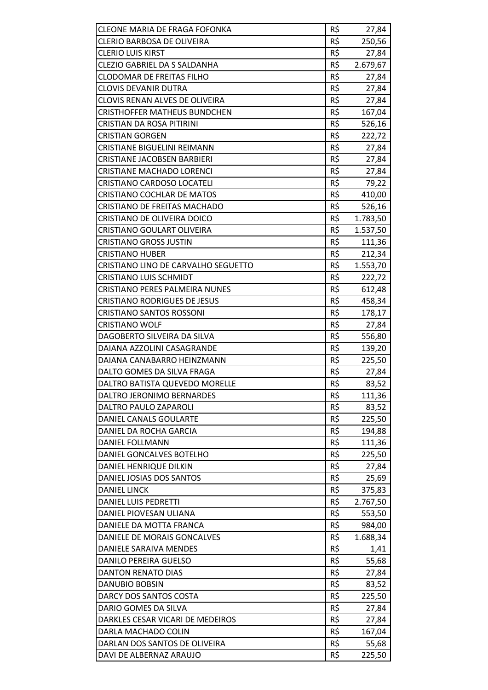| <b>CLEONE MARIA DE FRAGA FOFONKA</b>  | R\$ | 27,84    |
|---------------------------------------|-----|----------|
| CLERIO BARBOSA DE OLIVEIRA            | R\$ | 250,56   |
| <b>CLERIO LUIS KIRST</b>              | R\$ | 27,84    |
| CLEZIO GABRIEL DA S SALDANHA          | R\$ | 2.679,67 |
| <b>CLODOMAR DE FREITAS FILHO</b>      | R\$ | 27,84    |
| <b>CLOVIS DEVANIR DUTRA</b>           | R\$ | 27,84    |
| CLOVIS RENAN ALVES DE OLIVEIRA        | R\$ | 27,84    |
| <b>CRISTHOFFER MATHEUS BUNDCHEN</b>   | R\$ | 167,04   |
| CRISTIAN DA ROSA PITIRINI             | R\$ | 526,16   |
| <b>CRISTIAN GORGEN</b>                | R\$ | 222,72   |
| <b>CRISTIANE BIGUELINI REIMANN</b>    | R\$ | 27,84    |
| <b>CRISTIANE JACOBSEN BARBIERI</b>    | R\$ | 27,84    |
| <b>CRISTIANE MACHADO LORENCI</b>      | R\$ | 27,84    |
| <b>CRISTIANO CARDOSO LOCATELI</b>     | R\$ | 79,22    |
| <b>CRISTIANO COCHLAR DE MATOS</b>     | R\$ | 410,00   |
| CRISTIANO DE FREITAS MACHADO          | R\$ | 526,16   |
| <b>CRISTIANO DE OLIVEIRA DOICO</b>    | R\$ | 1.783,50 |
| <b>CRISTIANO GOULART OLIVEIRA</b>     | R\$ | 1.537,50 |
| <b>CRISTIANO GROSS JUSTIN</b>         | R\$ | 111,36   |
| <b>CRISTIANO HUBER</b>                | R\$ | 212,34   |
| CRISTIANO LINO DE CARVALHO SEGUETTO   | R\$ | 1.553,70 |
| <b>CRISTIANO LUIS SCHMIDT</b>         | R\$ | 222,72   |
| <b>CRISTIANO PERES PALMEIRA NUNES</b> | R\$ | 612,48   |
| <b>CRISTIANO RODRIGUES DE JESUS</b>   | R\$ | 458,34   |
| <b>CRISTIANO SANTOS ROSSONI</b>       | R\$ | 178,17   |
| <b>CRISTIANO WOLF</b>                 | R\$ | 27,84    |
| DAGOBERTO SILVEIRA DA SILVA           | R\$ | 556,80   |
| DAIANA AZZOLINI CASAGRANDE            | R\$ | 139,20   |
| DAIANA CANABARRO HEINZMANN            | R\$ | 225,50   |
| DALTO GOMES DA SILVA FRAGA            | R\$ | 27,84    |
| DALTRO BATISTA QUEVEDO MORELLE        | R\$ | 83,52    |
| DALTRO JERONIMO BERNARDES             | R\$ | 111,36   |
| DALTRO PAULO ZAPAROLI                 | R\$ | 83,52    |
| DANIEL CANALS GOULARTE                | R\$ | 225,50   |
| DANIEL DA ROCHA GARCIA                | R\$ | 194,88   |
| DANIEL FOLLMANN                       | R\$ | 111,36   |
| DANIEL GONCALVES BOTELHO              | R\$ | 225,50   |
| DANIEL HENRIQUE DILKIN                | R\$ | 27,84    |
| DANIEL JOSIAS DOS SANTOS              | R\$ | 25,69    |
| <b>DANIEL LINCK</b>                   | R\$ | 375,83   |
| <b>DANIEL LUIS PEDRETTI</b>           | R\$ | 2.767,50 |
| DANIEL PIOVESAN ULIANA                | R\$ | 553,50   |
| DANIELE DA MOTTA FRANCA               | R\$ | 984,00   |
| DANIELE DE MORAIS GONCALVES           | R\$ | 1.688,34 |
| DANIELE SARAIVA MENDES                | R\$ | 1,41     |
| DANILO PEREIRA GUELSO                 | R\$ | 55,68    |
| DANTON RENATO DIAS                    | R\$ | 27,84    |
| <b>DANUBIO BOBSIN</b>                 | R\$ | 83,52    |
| DARCY DOS SANTOS COSTA                | R\$ | 225,50   |
| DARIO GOMES DA SILVA                  | R\$ | 27,84    |
| DARKLES CESAR VICARI DE MEDEIROS      | R\$ | 27,84    |
| DARLA MACHADO COLIN                   | R\$ | 167,04   |
| DARLAN DOS SANTOS DE OLIVEIRA         | R\$ | 55,68    |
| DAVI DE ALBERNAZ ARAUJO               | R\$ | 225,50   |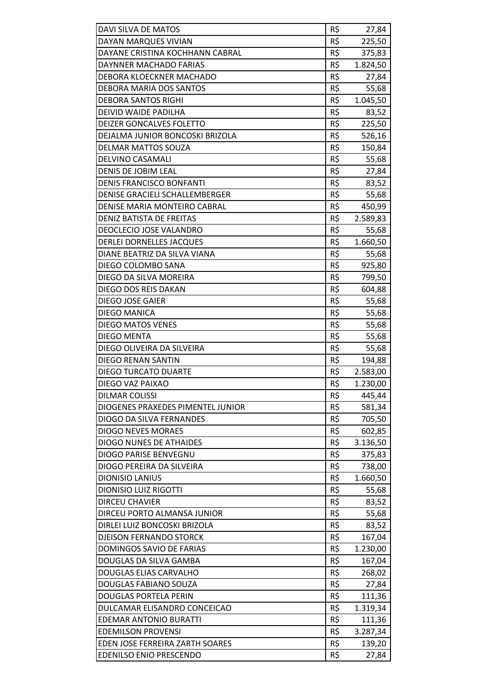| DAVI SILVA DE MATOS               | R\$ | 27,84    |
|-----------------------------------|-----|----------|
| DAYAN MARQUES VIVIAN              | R\$ | 225,50   |
| DAYANE CRISTINA KOCHHANN CABRAL   | R\$ | 375,83   |
| DAYNNER MACHADO FARIAS            | R\$ | 1.824,50 |
| DEBORA KLOECKNER MACHADO          | R\$ | 27,84    |
| DEBORA MARIA DOS SANTOS           | R\$ | 55,68    |
| <b>DEBORA SANTOS RIGHI</b>        | R\$ | 1.045,50 |
| DEIVID WAIDE PADILHA              | R\$ | 83,52    |
| <b>DEIZER GONCALVES FOLETTO</b>   | R\$ | 225,50   |
| DEJALMA JUNIOR BONCOSKI BRIZOLA   | R\$ | 526,16   |
| DELMAR MATTOS SOUZA               | R\$ | 150,84   |
| DELVINO CASAMALI                  | R\$ | 55,68    |
| <b>DENIS DE JOBIM LEAL</b>        | R\$ | 27,84    |
| <b>DENIS FRANCISCO BONFANTI</b>   | R\$ | 83,52    |
| DENISE GRACIELI SCHALLEMBERGER    | R\$ | 55,68    |
| DENISE MARIA MONTEIRO CABRAL      | R\$ | 450,99   |
| DENIZ BATISTA DE FREITAS          | R\$ | 2.589,83 |
| DEOCLECIO JOSE VALANDRO           | R\$ | 55,68    |
| <b>DERLEI DORNELLES JACQUES</b>   | R\$ | 1.660,50 |
| DIANE BEATRIZ DA SILVA VIANA      | R\$ | 55,68    |
| DIEGO COLOMBO SANA                | R\$ | 925,80   |
| DIEGO DA SILVA MOREIRA            | R\$ | 799,50   |
| DIEGO DOS REIS DAKAN              | R\$ | 604,88   |
| DIEGO JOSE GAIER                  | R\$ | 55,68    |
| <b>DIEGO MANICA</b>               | R\$ | 55,68    |
| <b>DIEGO MATOS VENES</b>          | R\$ | 55,68    |
| DIEGO MENTA                       | R\$ | 55,68    |
| DIEGO OLIVEIRA DA SILVEIRA        | R\$ | 55,68    |
| <b>DIEGO RENAN SANTIN</b>         | R\$ | 194,88   |
| <b>DIEGO TURCATO DUARTE</b>       | R\$ | 2.583,00 |
| DIEGO VAZ PAIXAO                  | R\$ | 1.230,00 |
| <b>DILMAR COLISSI</b>             | R\$ | 445,44   |
| DIOGENES PRAXEDES PIMENTEL JUNIOR | R\$ | 581,34   |
| <b>DIOGO DA SILVA FERNANDES</b>   | R\$ | 705,50   |
| <b>DIOGO NEVES MORAES</b>         | R\$ | 602,85   |
| <b>DIOGO NUNES DE ATHAIDES</b>    | R\$ | 3.136,50 |
| DIOGO PARISE BENVEGNU             | R\$ | 375,83   |
| DIOGO PEREIRA DA SILVEIRA         | R\$ | 738,00   |
| <b>DIONISIO LANIUS</b>            | R\$ | 1.660,50 |
| <b>DIONISIO LUIZ RIGOTTI</b>      | R\$ | 55,68    |
| <b>DIRCEU CHAVIER</b>             | R\$ | 83,52    |
| DIRCEU PORTO ALMANSA JUNIOR       | R\$ | 55,68    |
| DIRLEI LUIZ BONCOSKI BRIZOLA      | R\$ | 83,52    |
| <b>DJEISON FERNANDO STORCK</b>    | R\$ | 167,04   |
| DOMINGOS SAVIO DE FARIAS          | R\$ | 1.230,00 |
| DOUGLAS DA SILVA GAMBA            | R\$ | 167,04   |
| DOUGLAS ELIAS CARVALHO            | R\$ | 268,02   |
| DOUGLAS FABIANO SOUZA             | R\$ | 27,84    |
| <b>DOUGLAS PORTELA PERIN</b>      | R\$ | 111,36   |
| DULCAMAR ELISANDRO CONCEICAO      | R\$ | 1.319,34 |
| <b>EDEMAR ANTONIO BURATTI</b>     | R\$ | 111,36   |
| <b>EDEMILSON PROVENSI</b>         | R\$ | 3.287,34 |
| EDEN JOSE FERREIRA ZARTH SOARES   | R\$ | 139,20   |
| <b>EDENILSO ENIO PRESCENDO</b>    | R\$ | 27,84    |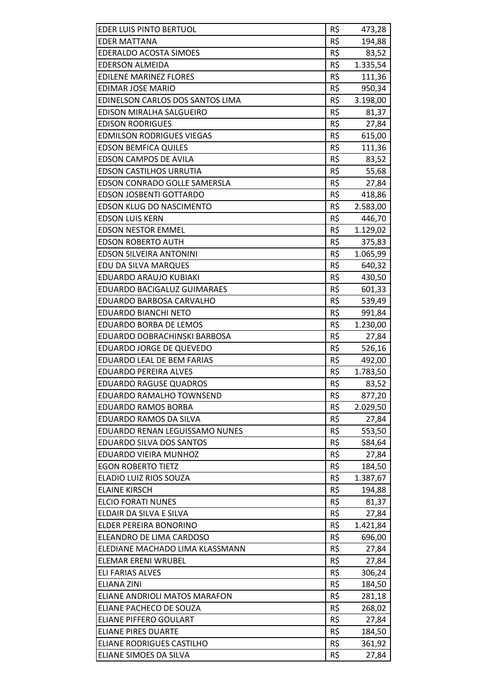| <b>EDER LUIS PINTO BERTUOL</b>     | R\$ | 473,28   |
|------------------------------------|-----|----------|
| <b>EDER MATTANA</b>                | R\$ | 194,88   |
| <b>EDERALDO ACOSTA SIMOES</b>      | R\$ | 83,52    |
| <b>EDERSON ALMEIDA</b>             | R\$ | 1.335,54 |
| <b>EDILENE MARINEZ FLORES</b>      | R\$ | 111,36   |
| <b>EDIMAR JOSE MARIO</b>           | R\$ | 950,34   |
| EDINELSON CARLOS DOS SANTOS LIMA   | R\$ | 3.198,00 |
| EDISON MIRALHA SALGUEIRO           | R\$ | 81,37    |
| <b>EDISON RODRIGUES</b>            | R\$ | 27,84    |
| <b>EDMILSON RODRIGUES VIEGAS</b>   | R\$ | 615,00   |
| <b>EDSON BEMFICA QUILES</b>        | R\$ | 111,36   |
| <b>EDSON CAMPOS DE AVILA</b>       | R\$ | 83,52    |
| <b>EDSON CASTILHOS URRUTIA</b>     | R\$ | 55,68    |
| EDSON CONRADO GOLLE SAMERSLA       | R\$ | 27,84    |
| <b>EDSON JOSBENTI GOTTARDO</b>     | R\$ | 418,86   |
| <b>EDSON KLUG DO NASCIMENTO</b>    | R\$ | 2.583,00 |
| <b>EDSON LUIS KERN</b>             | R\$ | 446,70   |
| <b>EDSON NESTOR EMMEL</b>          | R\$ | 1.129,02 |
| <b>EDSON ROBERTO AUTH</b>          | R\$ | 375,83   |
| <b>EDSON SILVEIRA ANTONINI</b>     | R\$ | 1.065,99 |
| EDU DA SILVA MARQUES               | R\$ | 640,32   |
| EDUARDO ARAUJO KUBIAKI             | R\$ | 430,50   |
| <b>EDUARDO BACIGALUZ GUIMARAES</b> | R\$ | 601,33   |
| EDUARDO BARBOSA CARVALHO           | R\$ | 539,49   |
| <b>EDUARDO BIANCHI NETO</b>        | R\$ | 991,84   |
| <b>EDUARDO BORBA DE LEMOS</b>      | R\$ | 1.230,00 |
| EDUARDO DOBRACHINSKI BARBOSA       | R\$ | 27,84    |
| EDUARDO JORGE DE QUEVEDO           | R\$ | 526,16   |
| <b>EDUARDO LEAL DE BEM FARIAS</b>  | R\$ | 492,00   |
| <b>EDUARDO PEREIRA ALVES</b>       | R\$ | 1.783,50 |
| <b>EDUARDO RAGUSE QUADROS</b>      | R\$ | 83,52    |
| EDUARDO RAMALHO TOWNSEND           | R\$ | 877,20   |
| EDUARDO RAMOS BORBA                | R\$ | 2.029,50 |
| EDUARDO RAMOS DA SILVA             | R\$ | 27,84    |
| EDUARDO RENAN LEGUISSAMO NUNES     | R\$ | 553,50   |
| <b>EDUARDO SILVA DOS SANTOS</b>    | R\$ | 584,64   |
| EDUARDO VIEIRA MUNHOZ              | R\$ | 27,84    |
| <b>EGON ROBERTO TIETZ</b>          | R\$ | 184,50   |
| ELADIO LUIZ RIOS SOUZA             | R\$ | 1.387,67 |
| <b>ELAINE KIRSCH</b>               | R\$ | 194,88   |
| <b>ELCIO FORATI NUNES</b>          | R\$ | 81,37    |
| ELDAIR DA SILVA E SILVA            | R\$ | 27,84    |
| ELDER PEREIRA BONORINO             | R\$ | 1.421,84 |
| ELEANDRO DE LIMA CARDOSO           | R\$ | 696,00   |
| ELEDIANE MACHADO LIMA KLASSMANN    | R\$ | 27,84    |
| <b>ELEMAR ERENI WRUBEL</b>         | R\$ | 27,84    |
| ELI FARIAS ALVES                   | R\$ | 306,24   |
| <b>ELIANA ZINI</b>                 | R\$ | 184,50   |
| ELIANE ANDRIOLI MATOS MARAFON      | R\$ | 281,18   |
| ELIANE PACHECO DE SOUZA            | R\$ | 268,02   |
| <b>ELIANE PIFFERO GOULART</b>      | R\$ | 27,84    |
| <b>ELIANE PIRES DUARTE</b>         | R\$ | 184,50   |
| <b>ELIANE RODRIGUES CASTILHO</b>   | R\$ | 361,92   |
| ELIANE SIMOES DA SILVA             | R\$ | 27,84    |
|                                    |     |          |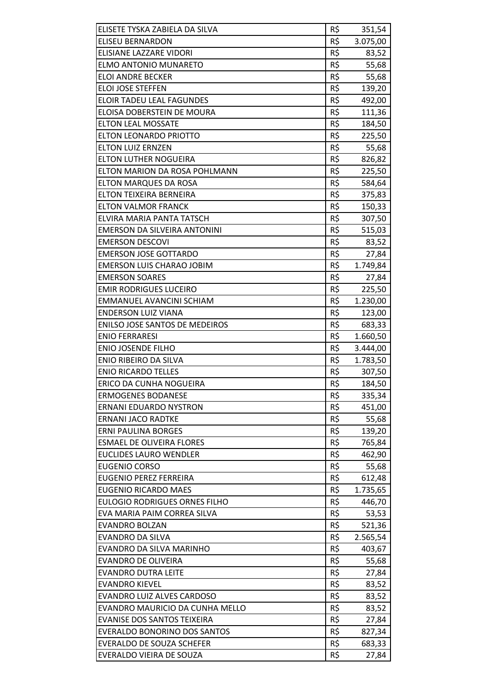| ELISETE TYSKA ZABIELA DA SILVA        | R\$ | 351,54   |
|---------------------------------------|-----|----------|
| <b>ELISEU BERNARDON</b>               | R\$ | 3.075,00 |
| ELISIANE LAZZARE VIDORI               | R\$ | 83,52    |
| <b>ELMO ANTONIO MUNARETO</b>          | R\$ | 55,68    |
| <b>ELOI ANDRE BECKER</b>              | R\$ | 55,68    |
| <b>ELOI JOSE STEFFEN</b>              | R\$ | 139,20   |
| ELOIR TADEU LEAL FAGUNDES             | R\$ | 492,00   |
| ELOISA DOBERSTEIN DE MOURA            | R\$ | 111,36   |
| <b>ELTON LEAL MOSSATE</b>             | R\$ | 184,50   |
| <b>ELTON LEONARDO PRIOTTO</b>         | R\$ | 225,50   |
| <b>ELTON LUIZ ERNZEN</b>              | R\$ | 55,68    |
| <b>ELTON LUTHER NOGUEIRA</b>          | R\$ |          |
|                                       |     | 826,82   |
| ELTON MARION DA ROSA POHLMANN         | R\$ | 225,50   |
| <b>ELTON MARQUES DA ROSA</b>          | R\$ | 584,64   |
| ELTON TEIXEIRA BERNEIRA               | R\$ | 375,83   |
| <b>ELTON VALMOR FRANCK</b>            | R\$ | 150,33   |
| ELVIRA MARIA PANTA TATSCH             | R\$ | 307,50   |
| EMERSON DA SILVEIRA ANTONINI          | R\$ | 515,03   |
| <b>EMERSON DESCOVI</b>                | R\$ | 83,52    |
| <b>EMERSON JOSE GOTTARDO</b>          | R\$ | 27,84    |
| <b>EMERSON LUIS CHARAO JOBIM</b>      | R\$ | 1.749,84 |
| <b>EMERSON SOARES</b>                 | R\$ | 27,84    |
| <b>EMIR RODRIGUES LUCEIRO</b>         | R\$ | 225,50   |
| EMMANUEL AVANCINI SCHIAM              | R\$ | 1.230,00 |
| <b>ENDERSON LUIZ VIANA</b>            | R\$ | 123,00   |
| <b>ENILSO JOSE SANTOS DE MEDEIROS</b> | R\$ | 683,33   |
| <b>ENIO FERRARESI</b>                 | R\$ | 1.660,50 |
| <b>ENIO JOSENDE FILHO</b>             | R\$ | 3.444,00 |
| ENIO RIBEIRO DA SILVA                 | R\$ | 1.783,50 |
| <b>ENIO RICARDO TELLES</b>            | R\$ | 307,50   |
| ERICO DA CUNHA NOGUEIRA               | R\$ | 184,50   |
| <b>ERMOGENES BODANESE</b>             | R\$ | 335,34   |
| ERNANI EDUARDO NYSTRON                | R\$ | 451,00   |
| <b>ERNANI JACO RADTKE</b>             | R\$ | 55,68    |
| <b>ERNI PAULINA BORGES</b>            | R\$ | 139,20   |
| <b>ESMAEL DE OLIVEIRA FLORES</b>      | R\$ | 765,84   |
| <b>EUCLIDES LAURO WENDLER</b>         | R\$ | 462,90   |
| <b>EUGENIO CORSO</b>                  | R\$ | 55,68    |
| <b>EUGENIO PEREZ FERREIRA</b>         | R\$ | 612,48   |
| <b>EUGENIO RICARDO MAES</b>           | R\$ | 1.735,65 |
| <b>EULOGIO RODRIGUES ORNES FILHO</b>  | R\$ | 446,70   |
| EVA MARIA PAIM CORREA SILVA           | R\$ | 53,53    |
| <b>EVANDRO BOLZAN</b>                 | R\$ |          |
|                                       | R\$ | 521,36   |
| <b>EVANDRO DA SILVA</b>               |     | 2.565,54 |
| EVANDRO DA SILVA MARINHO              | R\$ | 403,67   |
| <b>EVANDRO DE OLIVEIRA</b>            | R\$ | 55,68    |
| <b>EVANDRO DUTRA LEITE</b>            | R\$ | 27,84    |
| <b>EVANDRO KIEVEL</b>                 | R\$ | 83,52    |
| EVANDRO LUIZ ALVES CARDOSO            | R\$ | 83,52    |
| EVANDRO MAURICIO DA CUNHA MELLO       | R\$ | 83,52    |
| <b>EVANISE DOS SANTOS TEIXEIRA</b>    | R\$ | 27,84    |
| EVERALDO BONORINO DOS SANTOS          | R\$ | 827,34   |
| <b>EVERALDO DE SOUZA SCHEFER</b>      | R\$ | 683,33   |
| EVERALDO VIEIRA DE SOUZA              | R\$ | 27,84    |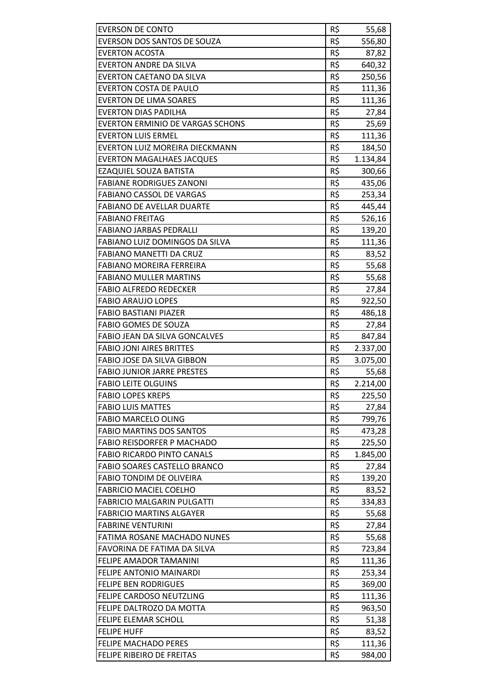| <b>EVERSON DE CONTO</b>              | R\$ | 55,68    |
|--------------------------------------|-----|----------|
| EVERSON DOS SANTOS DE SOUZA          | R\$ | 556,80   |
| <b>EVERTON ACOSTA</b>                | R\$ | 87,82    |
| <b>EVERTON ANDRE DA SILVA</b>        | R\$ | 640,32   |
| <b>EVERTON CAETANO DA SILVA</b>      | R\$ | 250,56   |
| <b>EVERTON COSTA DE PAULO</b>        | R\$ | 111,36   |
| <b>EVERTON DE LIMA SOARES</b>        | R\$ | 111,36   |
| <b>EVERTON DIAS PADILHA</b>          | R\$ | 27,84    |
| EVERTON ERMINIO DE VARGAS SCHONS     | R\$ | 25,69    |
| <b>EVERTON LUIS ERMEL</b>            | R\$ | 111,36   |
| EVERTON LUIZ MOREIRA DIECKMANN       | R\$ | 184,50   |
| <b>EVERTON MAGALHAES JACQUES</b>     | R\$ | 1.134,84 |
| EZAQUIEL SOUZA BATISTA               | R\$ | 300,66   |
| <b>FABIANE RODRIGUES ZANONI</b>      | R\$ | 435,06   |
| <b>FABIANO CASSOL DE VARGAS</b>      | R\$ | 253,34   |
| <b>FABIANO DE AVELLAR DUARTE</b>     | R\$ | 445,44   |
| <b>FABIANO FREITAG</b>               | R\$ | 526,16   |
| <b>FABIANO JARBAS PEDRALLI</b>       | R\$ | 139,20   |
| FABIANO LUIZ DOMINGOS DA SILVA       | R\$ | 111,36   |
| <b>FABIANO MANETTI DA CRUZ</b>       | R\$ | 83,52    |
| <b>FABIANO MOREIRA FERREIRA</b>      | R\$ | 55,68    |
| <b>FABIANO MULLER MARTINS</b>        | R\$ | 55,68    |
| <b>FABIO ALFREDO REDECKER</b>        | R\$ | 27,84    |
| <b>FABIO ARAUJO LOPES</b>            | R\$ | 922,50   |
| <b>FABIO BASTIANI PIAZER</b>         | R\$ | 486,18   |
| <b>FABIO GOMES DE SOUZA</b>          | R\$ | 27,84    |
| <b>FABIO JEAN DA SILVA GONCALVES</b> | R\$ | 847,84   |
| <b>FABIO JONI AIRES BRITTES</b>      | R\$ | 2.337,00 |
| FABIO JOSE DA SILVA GIBBON           | R\$ | 3.075,00 |
| <b>FABIO JUNIOR JARRE PRESTES</b>    | R\$ | 55,68    |
| <b>FABIO LEITE OLGUINS</b>           | R\$ | 2.214,00 |
| <b>FABIO LOPES KREPS</b>             | R\$ | 225,50   |
| <b>FABIO LUIS MATTES</b>             | R\$ | 27,84    |
| <b>FABIO MARCELO OLING</b>           | R\$ | 799,76   |
| <b>FABIO MARTINS DOS SANTOS</b>      | R\$ | 473,28   |
| <b>FABIO REISDORFER P MACHADO</b>    | R\$ | 225,50   |
| <b>FABIO RICARDO PINTO CANALS</b>    | R\$ | 1.845,00 |
| FABIO SOARES CASTELLO BRANCO         | R\$ | 27,84    |
| <b>FABIO TONDIM DE OLIVEIRA</b>      | R\$ | 139,20   |
| <b>FABRICIO MACIEL COELHO</b>        | R\$ | 83,52    |
| <b>FABRICIO MALGARIN PULGATTI</b>    | R\$ | 334,83   |
| <b>FABRICIO MARTINS ALGAYER</b>      | R\$ | 55,68    |
| <b>FABRINE VENTURINI</b>             | R\$ | 27,84    |
| <b>FATIMA ROSANE MACHADO NUNES</b>   | R\$ | 55,68    |
| FAVORINA DE FATIMA DA SILVA          | R\$ | 723,84   |
| FELIPE AMADOR TAMANINI               | R\$ | 111,36   |
| <b>FELIPE ANTONIO MAINARDI</b>       | R\$ | 253,34   |
| <b>FELIPE BEN RODRIGUES</b>          | R\$ | 369,00   |
| FELIPE CARDOSO NEUTZLING             | R\$ | 111,36   |
| FELIPE DALTROZO DA MOTTA             | R\$ | 963,50   |
| FELIPE ELEMAR SCHOLL                 | R\$ | 51,38    |
| <b>FELIPE HUFF</b>                   | R\$ | 83,52    |
| <b>FELIPE MACHADO PERES</b>          | R\$ | 111,36   |
| FELIPE RIBEIRO DE FREITAS            | R\$ | 984,00   |
|                                      |     |          |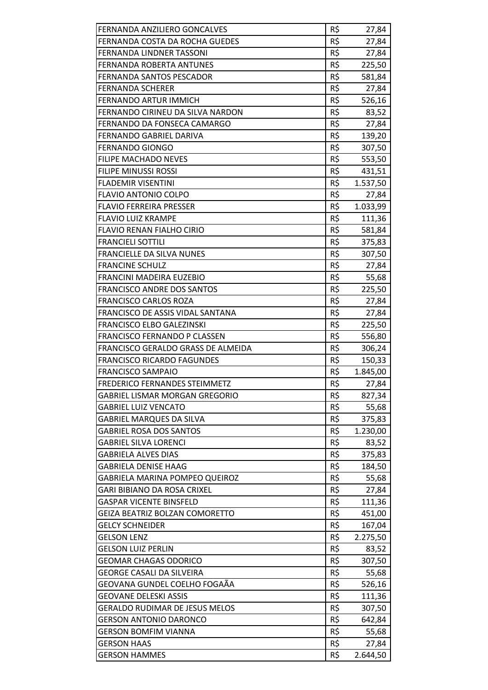| FERNANDA ANZILIERO GONCALVES          | R\$ | 27,84             |
|---------------------------------------|-----|-------------------|
| FERNANDA COSTA DA ROCHA GUEDES        | R\$ | 27,84             |
| <b>FERNANDA LINDNER TASSONI</b>       | R\$ | 27,84             |
| <b>FERNANDA ROBERTA ANTUNES</b>       | R\$ | 225,50            |
| <b>FERNANDA SANTOS PESCADOR</b>       | R\$ | 581,84            |
| <b>FERNANDA SCHERER</b>               | R\$ | 27,84             |
| FERNANDO ARTUR IMMICH                 | R\$ | 526,16            |
| FERNANDO CIRINEU DA SILVA NARDON      | R\$ | 83,52             |
| FERNANDO DA FONSECA CAMARGO           | R\$ | 27,84             |
| <b>FERNANDO GABRIEL DARIVA</b>        | R\$ | 139,20            |
| <b>FERNANDO GIONGO</b>                | R\$ |                   |
|                                       | R\$ | 307,50            |
| <b>FILIPE MACHADO NEVES</b>           |     | 553,50            |
| <b>FILIPE MINUSSI ROSSI</b>           | R\$ | 431,51            |
| <b>FLADEMIR VISENTINI</b>             | R\$ | 1.537,50          |
| <b>FLAVIO ANTONIO COLPO</b>           | R\$ | 27,84             |
| <b>FLAVIO FERREIRA PRESSER</b>        | R\$ | 1.033,99          |
| <b>FLAVIO LUIZ KRAMPE</b>             | R\$ | 111,36            |
| <b>FLAVIO RENAN FIALHO CIRIO</b>      | R\$ | 581,84            |
| <b>FRANCIELI SOTTILI</b>              | R\$ | 375,83            |
| <b>FRANCIELLE DA SILVA NUNES</b>      | R\$ | 307,50            |
| <b>FRANCINE SCHULZ</b>                | R\$ | 27,84             |
| FRANCINI MADEIRA EUZEBIO              | R\$ | 55,68             |
| <b>FRANCISCO ANDRE DOS SANTOS</b>     | R\$ | 225,50            |
| <b>FRANCISCO CARLOS ROZA</b>          | R\$ | 27,84             |
| FRANCISCO DE ASSIS VIDAL SANTANA      | R\$ | 27,84             |
| <b>FRANCISCO ELBO GALEZINSKI</b>      | R\$ | 225,50            |
| <b>FRANCISCO FERNANDO P CLASSEN</b>   | R\$ | 556,80            |
| FRANCISCO GERALDO GRASS DE ALMEIDA    | R\$ | 306,24            |
| <b>FRANCISCO RICARDO FAGUNDES</b>     | R\$ | 150,33            |
| <b>FRANCISCO SAMPAIO</b>              | R\$ | 1.845,00          |
| <b>FREDERICO FERNANDES STEIMMETZ</b>  | R\$ | 27,84             |
| GABRIEL LISMAR MORGAN GREGORIO        | R\$ | 827,34            |
| <b>GABRIEL LUIZ VENCATO</b>           | R\$ | 55,68             |
| <b>GABRIEL MARQUES DA SILVA</b>       | R\$ | 375,83            |
| <b>GABRIEL ROSA DOS SANTOS</b>        | R\$ | 1.230,00          |
| <b>GABRIEL SILVA LORENCI</b>          | R\$ | 83,52             |
| <b>GABRIELA ALVES DIAS</b>            | R\$ | 375,83            |
| <b>GABRIELA DENISE HAAG</b>           | R\$ | 184,50            |
| GABRIELA MARINA POMPEO QUEIROZ        | R\$ | 55,68             |
| GARI BIBIANO DA ROSA CRIXEL           | R\$ | 27,84             |
| <b>GASPAR VICENTE BINSFELD</b>        | R\$ | 111,36            |
| <b>GEIZA BEATRIZ BOLZAN COMORETTO</b> | R\$ | 451,00            |
| <b>GELCY SCHNEIDER</b>                | R\$ | 167,04            |
| <b>GELSON LENZ</b>                    | R\$ | 2.275,50          |
| GELSON LUIZ PERLIN                    | R\$ | 83,52             |
| <b>GEOMAR CHAGAS ODORICO</b>          | R\$ | 307,50            |
| GEORGE CASALI DA SILVEIRA             | R\$ | 55,68             |
| GEOVANA GUNDEL COELHO FOGAÃA          | R\$ | 526,16            |
| <b>GEOVANE DELESKI ASSIS</b>          | R\$ | 111,36            |
| <b>GERALDO RUDIMAR DE JESUS MELOS</b> | R\$ | 307,50            |
| <b>GERSON ANTONIO DARONCO</b>         | R\$ | 642,84            |
| <b>GERSON BOMFIM VIANNA</b>           | R\$ | 55,68             |
| <b>GERSON HAAS</b>                    | R\$ |                   |
| <b>GERSON HAMMES</b>                  | R\$ | 27,84<br>2.644,50 |
|                                       |     |                   |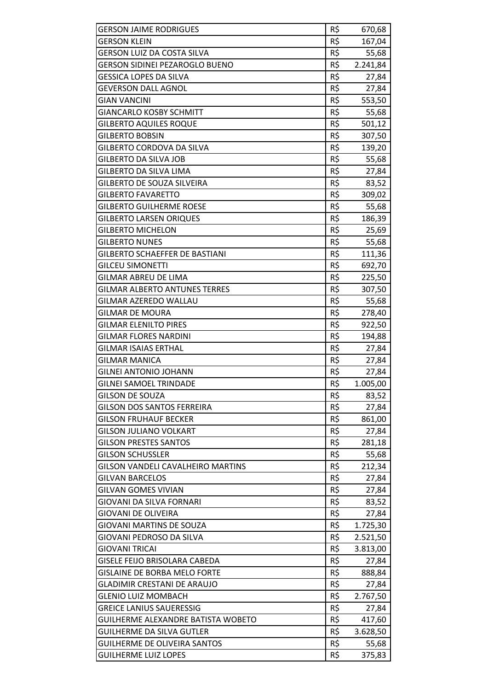| <b>GERSON JAIME RODRIGUES</b>            | R\$ | 670,68   |
|------------------------------------------|-----|----------|
| <b>GERSON KLEIN</b>                      | R\$ | 167,04   |
| <b>GERSON LUIZ DA COSTA SILVA</b>        | R\$ | 55,68    |
| <b>GERSON SIDINEI PEZAROGLO BUENO</b>    | R\$ | 2.241,84 |
| <b>GESSICA LOPES DA SILVA</b>            | R\$ | 27,84    |
| <b>GEVERSON DALL AGNOL</b>               | R\$ | 27,84    |
| <b>GIAN VANCINI</b>                      | R\$ | 553,50   |
| <b>GIANCARLO KOSBY SCHMITT</b>           | R\$ | 55,68    |
| <b>GILBERTO AQUILES ROQUE</b>            | R\$ | 501,12   |
| <b>GILBERTO BOBSIN</b>                   | R\$ |          |
|                                          | R\$ | 307,50   |
| GILBERTO CORDOVA DA SILVA                |     | 139,20   |
| <b>GILBERTO DA SILVA JOB</b>             | R\$ | 55,68    |
| GILBERTO DA SILVA LIMA                   | R\$ | 27,84    |
| <b>GILBERTO DE SOUZA SILVEIRA</b>        | R\$ | 83,52    |
| <b>GILBERTO FAVARETTO</b>                | R\$ | 309,02   |
| <b>GILBERTO GUILHERME ROESE</b>          | R\$ | 55,68    |
| <b>GILBERTO LARSEN ORIQUES</b>           | R\$ | 186,39   |
| <b>GILBERTO MICHELON</b>                 | R\$ | 25,69    |
| <b>GILBERTO NUNES</b>                    | R\$ | 55,68    |
| GILBERTO SCHAEFFER DE BASTIANI           | R\$ | 111,36   |
| <b>GILCEU SIMONETTI</b>                  | R\$ | 692,70   |
| <b>GILMAR ABREU DE LIMA</b>              | R\$ | 225,50   |
| <b>GILMAR ALBERTO ANTUNES TERRES</b>     | R\$ | 307,50   |
| GILMAR AZEREDO WALLAU                    | R\$ | 55,68    |
| GILMAR DE MOURA                          | R\$ | 278,40   |
| <b>GILMAR ELENILTO PIRES</b>             | R\$ | 922,50   |
| <b>GILMAR FLORES NARDINI</b>             | R\$ | 194,88   |
| <b>GILMAR ISAIAS ERTHAL</b>              | R\$ | 27,84    |
| <b>GILMAR MANICA</b>                     | R\$ | 27,84    |
| GILNEI ANTONIO JOHANN                    | R\$ | 27,84    |
| <b>GILNEI SAMOEL TRINDADE</b>            | R\$ | 1.005,00 |
| <b>GILSON DE SOUZA</b>                   | R\$ | 83,52    |
| <b>GILSON DOS SANTOS FERREIRA</b>        | R\$ | 27,84    |
| <b>GILSON FRUHAUF BECKER</b>             | R\$ | 861,00   |
| GILSON JULIANO VOLKART                   | R\$ | 27,84    |
| <b>GILSON PRESTES SANTOS</b>             | R\$ | 281,18   |
| <b>GILSON SCHUSSLER</b>                  | R\$ | 55,68    |
| <b>GILSON VANDELI CAVALHEIRO MARTINS</b> | R\$ | 212,34   |
| GILVAN BARCELOS                          | R\$ | 27,84    |
| GILVAN GOMES VIVIAN                      | R\$ | 27,84    |
| GIOVANI DA SILVA FORNARI                 | R\$ | 83,52    |
| GIOVANI DE OLIVEIRA                      | R\$ | 27,84    |
| <b>GIOVANI MARTINS DE SOUZA</b>          | R\$ | 1.725,30 |
| GIOVANI PEDROSO DA SILVA                 | R\$ | 2.521,50 |
| GIOVANI TRICAI                           | R\$ | 3.813,00 |
| GISELE FEIJO BRISOLARA CABEDA            | R\$ | 27,84    |
| <b>GISLAINE DE BORBA MELO FORTE</b>      | R\$ | 888,84   |
| <b>GLADIMIR CRESTANI DE ARAUJO</b>       | R\$ | 27,84    |
| <b>GLENIO LUIZ MOMBACH</b>               | R\$ | 2.767,50 |
| <b>GREICE LANIUS SAUERESSIG</b>          | R\$ | 27,84    |
| GUILHERME ALEXANDRE BATISTA WOBETO       | R\$ | 417,60   |
| <b>GUILHERME DA SILVA GUTLER</b>         | R\$ | 3.628,50 |
| <b>GUILHERME DE OLIVEIRA SANTOS</b>      | R\$ | 55,68    |
| <b>GUILHERME LUIZ LOPES</b>              | R\$ | 375,83   |
|                                          |     |          |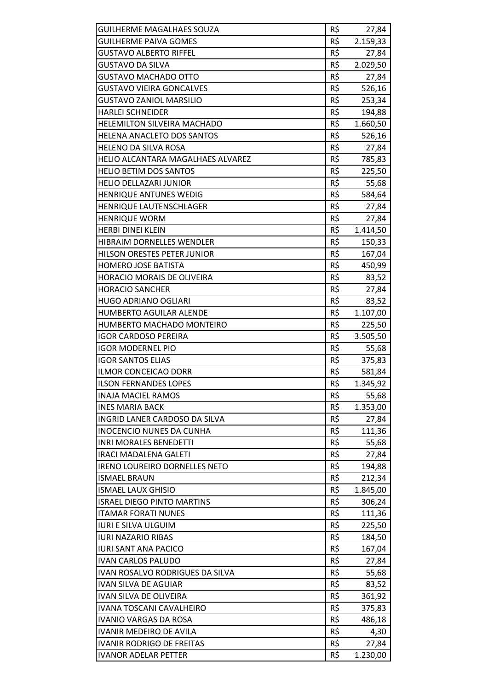| R\$<br><b>GUILHERME PAIVA GOMES</b><br>2.159,33<br>R\$<br><b>GUSTAVO ALBERTO RIFFEL</b><br>27,84<br>R\$<br><b>GUSTAVO DA SILVA</b><br>2.029,50<br>R\$<br><b>GUSTAVO MACHADO OTTO</b><br>27,84<br>R\$<br><b>GUSTAVO VIEIRA GONCALVES</b><br>526,16<br>R\$<br><b>GUSTAVO ZANIOL MARSILIO</b><br>253,34<br>R\$<br><b>HARLEI SCHNEIDER</b><br>194,88<br>R\$<br>1.660,50<br><b>HELEMILTON SILVEIRA MACHADO</b><br>R\$<br>HELENA ANACLETO DOS SANTOS<br>526,16<br>R\$<br>HELENO DA SILVA ROSA<br>27,84<br>R\$<br>HELIO ALCANTARA MAGALHAES ALVAREZ<br>785,83<br>R\$<br><b>HELIO BETIM DOS SANTOS</b><br>225,50<br>R\$<br><b>HELIO DELLAZARI JUNIOR</b><br>55,68<br>R\$<br><b>HENRIQUE ANTUNES WEDIG</b><br>584,64<br>R\$<br>HENRIQUE LAUTENSCHLAGER<br>27,84<br>R\$<br><b>HENRIQUE WORM</b><br>27,84<br>R\$<br><b>HERBI DINEI KLEIN</b><br>1.414,50<br>R\$<br>HIBRAIM DORNELLES WENDLER<br>150,33<br>R\$<br>HILSON ORESTES PETER JUNIOR<br>167,04<br>R\$<br><b>HOMERO JOSE BATISTA</b><br>450,99<br>R\$<br><b>HORACIO MORAIS DE OLIVEIRA</b><br>83,52<br>R\$<br><b>HORACIO SANCHER</b><br>27,84<br>R\$<br><b>HUGO ADRIANO OGLIARI</b><br>83,52<br><b>HUMBERTO AGUILAR ALENDE</b><br>R\$<br>1.107,00<br>R\$<br>HUMBERTO MACHADO MONTEIRO<br>225,50<br>R\$<br><b>IGOR CARDOSO PEREIRA</b><br>3.505,50<br>R\$<br><b>IGOR MODERNEL PIO</b><br>55,68<br>R\$<br><b>IGOR SANTOS ELIAS</b><br>375,83<br><b>ILMOR CONCEICAO DORR</b><br>R\$<br>581,84<br>R\$<br><b>ILSON FERNANDES LOPES</b><br>1.345,92<br>R\$<br><b>INAJA MACIEL RAMOS</b><br>55,68<br>R\$<br><b>INES MARIA BACK</b><br>1.353,00<br>R\$<br>INGRID LANER CARDOSO DA SILVA<br>27,84<br>R\$<br><b>INOCENCIO NUNES DA CUNHA</b><br>111,36<br>R\$<br><b>INRI MORALES BENEDETTI</b><br>55,68<br>R\$<br><b>IRACI MADALENA GALETI</b><br>27,84<br>R\$<br><b>IRENO LOUREIRO DORNELLES NETO</b><br>194,88<br>R\$<br><b>ISMAEL BRAUN</b><br>212,34<br>R\$<br><b>ISMAEL LAUX GHISIO</b><br>1.845,00<br>R\$<br><b>ISRAEL DIEGO PINTO MARTINS</b><br>306,24<br>R\$<br><b>ITAMAR FORATI NUNES</b><br>111,36<br>R\$<br><b>IURI E SILVA ULGUIM</b><br>225,50<br>R\$<br><b>IURI NAZARIO RIBAS</b><br>184,50<br>R\$<br><b>IURI SANT ANA PACICO</b><br>167,04<br>R\$<br><b>IVAN CARLOS PALUDO</b><br>27,84<br>R\$<br>IVAN ROSALVO RODRIGUES DA SILVA<br>55,68<br>R\$<br><b>IVAN SILVA DE AGUIAR</b><br>83,52<br>R\$<br>IVAN SILVA DE OLIVEIRA<br>361,92<br>R\$<br>IVANA TOSCANI CAVALHEIRO<br>375,83<br>R\$<br><b>IVANIO VARGAS DA ROSA</b><br>486,18<br>R\$<br><b>IVANIR MEDEIRO DE AVILA</b><br>4,30<br>R\$<br><b>IVANIR RODRIGO DE FREITAS</b><br>27,84<br>R\$<br>1.230,00<br><b>IVANOR ADELAR PETTER</b> |                                  |     |       |
|---------------------------------------------------------------------------------------------------------------------------------------------------------------------------------------------------------------------------------------------------------------------------------------------------------------------------------------------------------------------------------------------------------------------------------------------------------------------------------------------------------------------------------------------------------------------------------------------------------------------------------------------------------------------------------------------------------------------------------------------------------------------------------------------------------------------------------------------------------------------------------------------------------------------------------------------------------------------------------------------------------------------------------------------------------------------------------------------------------------------------------------------------------------------------------------------------------------------------------------------------------------------------------------------------------------------------------------------------------------------------------------------------------------------------------------------------------------------------------------------------------------------------------------------------------------------------------------------------------------------------------------------------------------------------------------------------------------------------------------------------------------------------------------------------------------------------------------------------------------------------------------------------------------------------------------------------------------------------------------------------------------------------------------------------------------------------------------------------------------------------------------------------------------------------------------------------------------------------------------------------------------------------------------------------------------------------------------------------------------------------------------------------------------------------------------------------------------------------------------------------------------------------------------------------------------------------------------------------------------------------------------------|----------------------------------|-----|-------|
|                                                                                                                                                                                                                                                                                                                                                                                                                                                                                                                                                                                                                                                                                                                                                                                                                                                                                                                                                                                                                                                                                                                                                                                                                                                                                                                                                                                                                                                                                                                                                                                                                                                                                                                                                                                                                                                                                                                                                                                                                                                                                                                                                                                                                                                                                                                                                                                                                                                                                                                                                                                                                                             | <b>GUILHERME MAGALHAES SOUZA</b> | R\$ | 27,84 |
|                                                                                                                                                                                                                                                                                                                                                                                                                                                                                                                                                                                                                                                                                                                                                                                                                                                                                                                                                                                                                                                                                                                                                                                                                                                                                                                                                                                                                                                                                                                                                                                                                                                                                                                                                                                                                                                                                                                                                                                                                                                                                                                                                                                                                                                                                                                                                                                                                                                                                                                                                                                                                                             |                                  |     |       |
|                                                                                                                                                                                                                                                                                                                                                                                                                                                                                                                                                                                                                                                                                                                                                                                                                                                                                                                                                                                                                                                                                                                                                                                                                                                                                                                                                                                                                                                                                                                                                                                                                                                                                                                                                                                                                                                                                                                                                                                                                                                                                                                                                                                                                                                                                                                                                                                                                                                                                                                                                                                                                                             |                                  |     |       |
|                                                                                                                                                                                                                                                                                                                                                                                                                                                                                                                                                                                                                                                                                                                                                                                                                                                                                                                                                                                                                                                                                                                                                                                                                                                                                                                                                                                                                                                                                                                                                                                                                                                                                                                                                                                                                                                                                                                                                                                                                                                                                                                                                                                                                                                                                                                                                                                                                                                                                                                                                                                                                                             |                                  |     |       |
|                                                                                                                                                                                                                                                                                                                                                                                                                                                                                                                                                                                                                                                                                                                                                                                                                                                                                                                                                                                                                                                                                                                                                                                                                                                                                                                                                                                                                                                                                                                                                                                                                                                                                                                                                                                                                                                                                                                                                                                                                                                                                                                                                                                                                                                                                                                                                                                                                                                                                                                                                                                                                                             |                                  |     |       |
|                                                                                                                                                                                                                                                                                                                                                                                                                                                                                                                                                                                                                                                                                                                                                                                                                                                                                                                                                                                                                                                                                                                                                                                                                                                                                                                                                                                                                                                                                                                                                                                                                                                                                                                                                                                                                                                                                                                                                                                                                                                                                                                                                                                                                                                                                                                                                                                                                                                                                                                                                                                                                                             |                                  |     |       |
|                                                                                                                                                                                                                                                                                                                                                                                                                                                                                                                                                                                                                                                                                                                                                                                                                                                                                                                                                                                                                                                                                                                                                                                                                                                                                                                                                                                                                                                                                                                                                                                                                                                                                                                                                                                                                                                                                                                                                                                                                                                                                                                                                                                                                                                                                                                                                                                                                                                                                                                                                                                                                                             |                                  |     |       |
|                                                                                                                                                                                                                                                                                                                                                                                                                                                                                                                                                                                                                                                                                                                                                                                                                                                                                                                                                                                                                                                                                                                                                                                                                                                                                                                                                                                                                                                                                                                                                                                                                                                                                                                                                                                                                                                                                                                                                                                                                                                                                                                                                                                                                                                                                                                                                                                                                                                                                                                                                                                                                                             |                                  |     |       |
|                                                                                                                                                                                                                                                                                                                                                                                                                                                                                                                                                                                                                                                                                                                                                                                                                                                                                                                                                                                                                                                                                                                                                                                                                                                                                                                                                                                                                                                                                                                                                                                                                                                                                                                                                                                                                                                                                                                                                                                                                                                                                                                                                                                                                                                                                                                                                                                                                                                                                                                                                                                                                                             |                                  |     |       |
|                                                                                                                                                                                                                                                                                                                                                                                                                                                                                                                                                                                                                                                                                                                                                                                                                                                                                                                                                                                                                                                                                                                                                                                                                                                                                                                                                                                                                                                                                                                                                                                                                                                                                                                                                                                                                                                                                                                                                                                                                                                                                                                                                                                                                                                                                                                                                                                                                                                                                                                                                                                                                                             |                                  |     |       |
|                                                                                                                                                                                                                                                                                                                                                                                                                                                                                                                                                                                                                                                                                                                                                                                                                                                                                                                                                                                                                                                                                                                                                                                                                                                                                                                                                                                                                                                                                                                                                                                                                                                                                                                                                                                                                                                                                                                                                                                                                                                                                                                                                                                                                                                                                                                                                                                                                                                                                                                                                                                                                                             |                                  |     |       |
|                                                                                                                                                                                                                                                                                                                                                                                                                                                                                                                                                                                                                                                                                                                                                                                                                                                                                                                                                                                                                                                                                                                                                                                                                                                                                                                                                                                                                                                                                                                                                                                                                                                                                                                                                                                                                                                                                                                                                                                                                                                                                                                                                                                                                                                                                                                                                                                                                                                                                                                                                                                                                                             |                                  |     |       |
|                                                                                                                                                                                                                                                                                                                                                                                                                                                                                                                                                                                                                                                                                                                                                                                                                                                                                                                                                                                                                                                                                                                                                                                                                                                                                                                                                                                                                                                                                                                                                                                                                                                                                                                                                                                                                                                                                                                                                                                                                                                                                                                                                                                                                                                                                                                                                                                                                                                                                                                                                                                                                                             |                                  |     |       |
|                                                                                                                                                                                                                                                                                                                                                                                                                                                                                                                                                                                                                                                                                                                                                                                                                                                                                                                                                                                                                                                                                                                                                                                                                                                                                                                                                                                                                                                                                                                                                                                                                                                                                                                                                                                                                                                                                                                                                                                                                                                                                                                                                                                                                                                                                                                                                                                                                                                                                                                                                                                                                                             |                                  |     |       |
|                                                                                                                                                                                                                                                                                                                                                                                                                                                                                                                                                                                                                                                                                                                                                                                                                                                                                                                                                                                                                                                                                                                                                                                                                                                                                                                                                                                                                                                                                                                                                                                                                                                                                                                                                                                                                                                                                                                                                                                                                                                                                                                                                                                                                                                                                                                                                                                                                                                                                                                                                                                                                                             |                                  |     |       |
|                                                                                                                                                                                                                                                                                                                                                                                                                                                                                                                                                                                                                                                                                                                                                                                                                                                                                                                                                                                                                                                                                                                                                                                                                                                                                                                                                                                                                                                                                                                                                                                                                                                                                                                                                                                                                                                                                                                                                                                                                                                                                                                                                                                                                                                                                                                                                                                                                                                                                                                                                                                                                                             |                                  |     |       |
|                                                                                                                                                                                                                                                                                                                                                                                                                                                                                                                                                                                                                                                                                                                                                                                                                                                                                                                                                                                                                                                                                                                                                                                                                                                                                                                                                                                                                                                                                                                                                                                                                                                                                                                                                                                                                                                                                                                                                                                                                                                                                                                                                                                                                                                                                                                                                                                                                                                                                                                                                                                                                                             |                                  |     |       |
|                                                                                                                                                                                                                                                                                                                                                                                                                                                                                                                                                                                                                                                                                                                                                                                                                                                                                                                                                                                                                                                                                                                                                                                                                                                                                                                                                                                                                                                                                                                                                                                                                                                                                                                                                                                                                                                                                                                                                                                                                                                                                                                                                                                                                                                                                                                                                                                                                                                                                                                                                                                                                                             |                                  |     |       |
|                                                                                                                                                                                                                                                                                                                                                                                                                                                                                                                                                                                                                                                                                                                                                                                                                                                                                                                                                                                                                                                                                                                                                                                                                                                                                                                                                                                                                                                                                                                                                                                                                                                                                                                                                                                                                                                                                                                                                                                                                                                                                                                                                                                                                                                                                                                                                                                                                                                                                                                                                                                                                                             |                                  |     |       |
|                                                                                                                                                                                                                                                                                                                                                                                                                                                                                                                                                                                                                                                                                                                                                                                                                                                                                                                                                                                                                                                                                                                                                                                                                                                                                                                                                                                                                                                                                                                                                                                                                                                                                                                                                                                                                                                                                                                                                                                                                                                                                                                                                                                                                                                                                                                                                                                                                                                                                                                                                                                                                                             |                                  |     |       |
|                                                                                                                                                                                                                                                                                                                                                                                                                                                                                                                                                                                                                                                                                                                                                                                                                                                                                                                                                                                                                                                                                                                                                                                                                                                                                                                                                                                                                                                                                                                                                                                                                                                                                                                                                                                                                                                                                                                                                                                                                                                                                                                                                                                                                                                                                                                                                                                                                                                                                                                                                                                                                                             |                                  |     |       |
|                                                                                                                                                                                                                                                                                                                                                                                                                                                                                                                                                                                                                                                                                                                                                                                                                                                                                                                                                                                                                                                                                                                                                                                                                                                                                                                                                                                                                                                                                                                                                                                                                                                                                                                                                                                                                                                                                                                                                                                                                                                                                                                                                                                                                                                                                                                                                                                                                                                                                                                                                                                                                                             |                                  |     |       |
|                                                                                                                                                                                                                                                                                                                                                                                                                                                                                                                                                                                                                                                                                                                                                                                                                                                                                                                                                                                                                                                                                                                                                                                                                                                                                                                                                                                                                                                                                                                                                                                                                                                                                                                                                                                                                                                                                                                                                                                                                                                                                                                                                                                                                                                                                                                                                                                                                                                                                                                                                                                                                                             |                                  |     |       |
|                                                                                                                                                                                                                                                                                                                                                                                                                                                                                                                                                                                                                                                                                                                                                                                                                                                                                                                                                                                                                                                                                                                                                                                                                                                                                                                                                                                                                                                                                                                                                                                                                                                                                                                                                                                                                                                                                                                                                                                                                                                                                                                                                                                                                                                                                                                                                                                                                                                                                                                                                                                                                                             |                                  |     |       |
|                                                                                                                                                                                                                                                                                                                                                                                                                                                                                                                                                                                                                                                                                                                                                                                                                                                                                                                                                                                                                                                                                                                                                                                                                                                                                                                                                                                                                                                                                                                                                                                                                                                                                                                                                                                                                                                                                                                                                                                                                                                                                                                                                                                                                                                                                                                                                                                                                                                                                                                                                                                                                                             |                                  |     |       |
|                                                                                                                                                                                                                                                                                                                                                                                                                                                                                                                                                                                                                                                                                                                                                                                                                                                                                                                                                                                                                                                                                                                                                                                                                                                                                                                                                                                                                                                                                                                                                                                                                                                                                                                                                                                                                                                                                                                                                                                                                                                                                                                                                                                                                                                                                                                                                                                                                                                                                                                                                                                                                                             |                                  |     |       |
|                                                                                                                                                                                                                                                                                                                                                                                                                                                                                                                                                                                                                                                                                                                                                                                                                                                                                                                                                                                                                                                                                                                                                                                                                                                                                                                                                                                                                                                                                                                                                                                                                                                                                                                                                                                                                                                                                                                                                                                                                                                                                                                                                                                                                                                                                                                                                                                                                                                                                                                                                                                                                                             |                                  |     |       |
|                                                                                                                                                                                                                                                                                                                                                                                                                                                                                                                                                                                                                                                                                                                                                                                                                                                                                                                                                                                                                                                                                                                                                                                                                                                                                                                                                                                                                                                                                                                                                                                                                                                                                                                                                                                                                                                                                                                                                                                                                                                                                                                                                                                                                                                                                                                                                                                                                                                                                                                                                                                                                                             |                                  |     |       |
|                                                                                                                                                                                                                                                                                                                                                                                                                                                                                                                                                                                                                                                                                                                                                                                                                                                                                                                                                                                                                                                                                                                                                                                                                                                                                                                                                                                                                                                                                                                                                                                                                                                                                                                                                                                                                                                                                                                                                                                                                                                                                                                                                                                                                                                                                                                                                                                                                                                                                                                                                                                                                                             |                                  |     |       |
|                                                                                                                                                                                                                                                                                                                                                                                                                                                                                                                                                                                                                                                                                                                                                                                                                                                                                                                                                                                                                                                                                                                                                                                                                                                                                                                                                                                                                                                                                                                                                                                                                                                                                                                                                                                                                                                                                                                                                                                                                                                                                                                                                                                                                                                                                                                                                                                                                                                                                                                                                                                                                                             |                                  |     |       |
|                                                                                                                                                                                                                                                                                                                                                                                                                                                                                                                                                                                                                                                                                                                                                                                                                                                                                                                                                                                                                                                                                                                                                                                                                                                                                                                                                                                                                                                                                                                                                                                                                                                                                                                                                                                                                                                                                                                                                                                                                                                                                                                                                                                                                                                                                                                                                                                                                                                                                                                                                                                                                                             |                                  |     |       |
|                                                                                                                                                                                                                                                                                                                                                                                                                                                                                                                                                                                                                                                                                                                                                                                                                                                                                                                                                                                                                                                                                                                                                                                                                                                                                                                                                                                                                                                                                                                                                                                                                                                                                                                                                                                                                                                                                                                                                                                                                                                                                                                                                                                                                                                                                                                                                                                                                                                                                                                                                                                                                                             |                                  |     |       |
|                                                                                                                                                                                                                                                                                                                                                                                                                                                                                                                                                                                                                                                                                                                                                                                                                                                                                                                                                                                                                                                                                                                                                                                                                                                                                                                                                                                                                                                                                                                                                                                                                                                                                                                                                                                                                                                                                                                                                                                                                                                                                                                                                                                                                                                                                                                                                                                                                                                                                                                                                                                                                                             |                                  |     |       |
|                                                                                                                                                                                                                                                                                                                                                                                                                                                                                                                                                                                                                                                                                                                                                                                                                                                                                                                                                                                                                                                                                                                                                                                                                                                                                                                                                                                                                                                                                                                                                                                                                                                                                                                                                                                                                                                                                                                                                                                                                                                                                                                                                                                                                                                                                                                                                                                                                                                                                                                                                                                                                                             |                                  |     |       |
|                                                                                                                                                                                                                                                                                                                                                                                                                                                                                                                                                                                                                                                                                                                                                                                                                                                                                                                                                                                                                                                                                                                                                                                                                                                                                                                                                                                                                                                                                                                                                                                                                                                                                                                                                                                                                                                                                                                                                                                                                                                                                                                                                                                                                                                                                                                                                                                                                                                                                                                                                                                                                                             |                                  |     |       |
|                                                                                                                                                                                                                                                                                                                                                                                                                                                                                                                                                                                                                                                                                                                                                                                                                                                                                                                                                                                                                                                                                                                                                                                                                                                                                                                                                                                                                                                                                                                                                                                                                                                                                                                                                                                                                                                                                                                                                                                                                                                                                                                                                                                                                                                                                                                                                                                                                                                                                                                                                                                                                                             |                                  |     |       |
|                                                                                                                                                                                                                                                                                                                                                                                                                                                                                                                                                                                                                                                                                                                                                                                                                                                                                                                                                                                                                                                                                                                                                                                                                                                                                                                                                                                                                                                                                                                                                                                                                                                                                                                                                                                                                                                                                                                                                                                                                                                                                                                                                                                                                                                                                                                                                                                                                                                                                                                                                                                                                                             |                                  |     |       |
|                                                                                                                                                                                                                                                                                                                                                                                                                                                                                                                                                                                                                                                                                                                                                                                                                                                                                                                                                                                                                                                                                                                                                                                                                                                                                                                                                                                                                                                                                                                                                                                                                                                                                                                                                                                                                                                                                                                                                                                                                                                                                                                                                                                                                                                                                                                                                                                                                                                                                                                                                                                                                                             |                                  |     |       |
|                                                                                                                                                                                                                                                                                                                                                                                                                                                                                                                                                                                                                                                                                                                                                                                                                                                                                                                                                                                                                                                                                                                                                                                                                                                                                                                                                                                                                                                                                                                                                                                                                                                                                                                                                                                                                                                                                                                                                                                                                                                                                                                                                                                                                                                                                                                                                                                                                                                                                                                                                                                                                                             |                                  |     |       |
|                                                                                                                                                                                                                                                                                                                                                                                                                                                                                                                                                                                                                                                                                                                                                                                                                                                                                                                                                                                                                                                                                                                                                                                                                                                                                                                                                                                                                                                                                                                                                                                                                                                                                                                                                                                                                                                                                                                                                                                                                                                                                                                                                                                                                                                                                                                                                                                                                                                                                                                                                                                                                                             |                                  |     |       |
|                                                                                                                                                                                                                                                                                                                                                                                                                                                                                                                                                                                                                                                                                                                                                                                                                                                                                                                                                                                                                                                                                                                                                                                                                                                                                                                                                                                                                                                                                                                                                                                                                                                                                                                                                                                                                                                                                                                                                                                                                                                                                                                                                                                                                                                                                                                                                                                                                                                                                                                                                                                                                                             |                                  |     |       |
|                                                                                                                                                                                                                                                                                                                                                                                                                                                                                                                                                                                                                                                                                                                                                                                                                                                                                                                                                                                                                                                                                                                                                                                                                                                                                                                                                                                                                                                                                                                                                                                                                                                                                                                                                                                                                                                                                                                                                                                                                                                                                                                                                                                                                                                                                                                                                                                                                                                                                                                                                                                                                                             |                                  |     |       |
|                                                                                                                                                                                                                                                                                                                                                                                                                                                                                                                                                                                                                                                                                                                                                                                                                                                                                                                                                                                                                                                                                                                                                                                                                                                                                                                                                                                                                                                                                                                                                                                                                                                                                                                                                                                                                                                                                                                                                                                                                                                                                                                                                                                                                                                                                                                                                                                                                                                                                                                                                                                                                                             |                                  |     |       |
|                                                                                                                                                                                                                                                                                                                                                                                                                                                                                                                                                                                                                                                                                                                                                                                                                                                                                                                                                                                                                                                                                                                                                                                                                                                                                                                                                                                                                                                                                                                                                                                                                                                                                                                                                                                                                                                                                                                                                                                                                                                                                                                                                                                                                                                                                                                                                                                                                                                                                                                                                                                                                                             |                                  |     |       |
|                                                                                                                                                                                                                                                                                                                                                                                                                                                                                                                                                                                                                                                                                                                                                                                                                                                                                                                                                                                                                                                                                                                                                                                                                                                                                                                                                                                                                                                                                                                                                                                                                                                                                                                                                                                                                                                                                                                                                                                                                                                                                                                                                                                                                                                                                                                                                                                                                                                                                                                                                                                                                                             |                                  |     |       |
|                                                                                                                                                                                                                                                                                                                                                                                                                                                                                                                                                                                                                                                                                                                                                                                                                                                                                                                                                                                                                                                                                                                                                                                                                                                                                                                                                                                                                                                                                                                                                                                                                                                                                                                                                                                                                                                                                                                                                                                                                                                                                                                                                                                                                                                                                                                                                                                                                                                                                                                                                                                                                                             |                                  |     |       |
|                                                                                                                                                                                                                                                                                                                                                                                                                                                                                                                                                                                                                                                                                                                                                                                                                                                                                                                                                                                                                                                                                                                                                                                                                                                                                                                                                                                                                                                                                                                                                                                                                                                                                                                                                                                                                                                                                                                                                                                                                                                                                                                                                                                                                                                                                                                                                                                                                                                                                                                                                                                                                                             |                                  |     |       |
|                                                                                                                                                                                                                                                                                                                                                                                                                                                                                                                                                                                                                                                                                                                                                                                                                                                                                                                                                                                                                                                                                                                                                                                                                                                                                                                                                                                                                                                                                                                                                                                                                                                                                                                                                                                                                                                                                                                                                                                                                                                                                                                                                                                                                                                                                                                                                                                                                                                                                                                                                                                                                                             |                                  |     |       |
|                                                                                                                                                                                                                                                                                                                                                                                                                                                                                                                                                                                                                                                                                                                                                                                                                                                                                                                                                                                                                                                                                                                                                                                                                                                                                                                                                                                                                                                                                                                                                                                                                                                                                                                                                                                                                                                                                                                                                                                                                                                                                                                                                                                                                                                                                                                                                                                                                                                                                                                                                                                                                                             |                                  |     |       |
|                                                                                                                                                                                                                                                                                                                                                                                                                                                                                                                                                                                                                                                                                                                                                                                                                                                                                                                                                                                                                                                                                                                                                                                                                                                                                                                                                                                                                                                                                                                                                                                                                                                                                                                                                                                                                                                                                                                                                                                                                                                                                                                                                                                                                                                                                                                                                                                                                                                                                                                                                                                                                                             |                                  |     |       |
|                                                                                                                                                                                                                                                                                                                                                                                                                                                                                                                                                                                                                                                                                                                                                                                                                                                                                                                                                                                                                                                                                                                                                                                                                                                                                                                                                                                                                                                                                                                                                                                                                                                                                                                                                                                                                                                                                                                                                                                                                                                                                                                                                                                                                                                                                                                                                                                                                                                                                                                                                                                                                                             |                                  |     |       |
|                                                                                                                                                                                                                                                                                                                                                                                                                                                                                                                                                                                                                                                                                                                                                                                                                                                                                                                                                                                                                                                                                                                                                                                                                                                                                                                                                                                                                                                                                                                                                                                                                                                                                                                                                                                                                                                                                                                                                                                                                                                                                                                                                                                                                                                                                                                                                                                                                                                                                                                                                                                                                                             |                                  |     |       |
|                                                                                                                                                                                                                                                                                                                                                                                                                                                                                                                                                                                                                                                                                                                                                                                                                                                                                                                                                                                                                                                                                                                                                                                                                                                                                                                                                                                                                                                                                                                                                                                                                                                                                                                                                                                                                                                                                                                                                                                                                                                                                                                                                                                                                                                                                                                                                                                                                                                                                                                                                                                                                                             |                                  |     |       |
|                                                                                                                                                                                                                                                                                                                                                                                                                                                                                                                                                                                                                                                                                                                                                                                                                                                                                                                                                                                                                                                                                                                                                                                                                                                                                                                                                                                                                                                                                                                                                                                                                                                                                                                                                                                                                                                                                                                                                                                                                                                                                                                                                                                                                                                                                                                                                                                                                                                                                                                                                                                                                                             |                                  |     |       |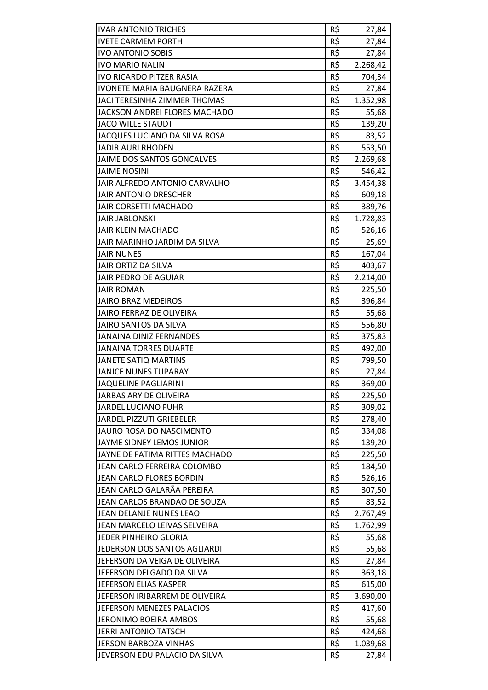| <b>IVAR ANTONIO TRICHES</b>         | R\$ | 27,84    |
|-------------------------------------|-----|----------|
| <b>IVETE CARMEM PORTH</b>           | R\$ | 27,84    |
| <b>IVO ANTONIO SOBIS</b>            | R\$ | 27,84    |
| <b>IVO MARIO NALIN</b>              | R\$ | 2.268,42 |
| <b>IVO RICARDO PITZER RASIA</b>     | R\$ | 704,34   |
| IVONETE MARIA BAUGNERA RAZERA       | R\$ | 27,84    |
| <b>JACI TERESINHA ZIMMER THOMAS</b> | R\$ | 1.352,98 |
| JACKSON ANDREI FLORES MACHADO       | R\$ | 55,68    |
| <b>JACO WILLE STAUDT</b>            | R\$ | 139,20   |
| JACQUES LUCIANO DA SILVA ROSA       | R\$ | 83,52    |
| <b>JADIR AURI RHODEN</b>            | R\$ | 553,50   |
| JAIME DOS SANTOS GONCALVES          | R\$ | 2.269,68 |
| <b>JAIME NOSINI</b>                 | R\$ | 546,42   |
| JAIR ALFREDO ANTONIO CARVALHO       | R\$ | 3.454,38 |
| <b>JAIR ANTONIO DRESCHER</b>        | R\$ | 609,18   |
| <b>JAIR CORSETTI MACHADO</b>        | R\$ | 389,76   |
| <b>JAIR JABLONSKI</b>               | R\$ | 1.728,83 |
| <b>JAIR KLEIN MACHADO</b>           | R\$ | 526,16   |
| JAIR MARINHO JARDIM DA SILVA        | R\$ | 25,69    |
| <b>JAIR NUNES</b>                   | R\$ | 167,04   |
| JAIR ORTIZ DA SILVA                 | R\$ | 403,67   |
| JAIR PEDRO DE AGUIAR                | R\$ | 2.214,00 |
| <b>JAIR ROMAN</b>                   | R\$ | 225,50   |
| <b>JAIRO BRAZ MEDEIROS</b>          | R\$ | 396,84   |
| JAIRO FERRAZ DE OLIVEIRA            | R\$ | 55,68    |
| <b>JAIRO SANTOS DA SILVA</b>        | R\$ | 556,80   |
| <b>JANAINA DINIZ FERNANDES</b>      | R\$ | 375,83   |
| <b>JANAINA TORRES DUARTE</b>        | R\$ | 492,00   |
| <b>JANETE SATIQ MARTINS</b>         | R\$ | 799,50   |
| <b>JANICE NUNES TUPARAY</b>         | R\$ | 27,84    |
| <b>JAQUELINE PAGLIARINI</b>         | R\$ | 369,00   |
| JARBAS ARY DE OLIVEIRA              | R\$ | 225,50   |
| <b>JARDEL LUCIANO FUHR</b>          | R\$ | 309,02   |
| JARDEL PIZZUTI GRIEBELER            | R\$ | 278,40   |
| JAURO ROSA DO NASCIMENTO            | R\$ | 334,08   |
| JAYME SIDNEY LEMOS JUNIOR           | R\$ | 139,20   |
| JAYNE DE FATIMA RITTES MACHADO      | R\$ | 225,50   |
| JEAN CARLO FERREIRA COLOMBO         | R\$ | 184,50   |
| JEAN CARLO FLORES BORDIN            | R\$ | 526,16   |
| JEAN CARLO GALARÃA PEREIRA          | R\$ | 307,50   |
| JEAN CARLOS BRANDAO DE SOUZA        | R\$ | 83,52    |
| JEAN DELANJE NUNES LEAO             | R\$ | 2.767,49 |
| JEAN MARCELO LEIVAS SELVEIRA        | R\$ | 1.762,99 |
| JEDER PINHEIRO GLORIA               | R\$ | 55,68    |
| JEDERSON DOS SANTOS AGLIARDI        | R\$ | 55,68    |
| JEFERSON DA VEIGA DE OLIVEIRA       | R\$ | 27,84    |
| JEFERSON DELGADO DA SILVA           | R\$ | 363,18   |
| JEFERSON ELIAS KASPER               | R\$ | 615,00   |
| JEFERSON IRIBARREM DE OLIVEIRA      | R\$ | 3.690,00 |
| JEFERSON MENEZES PALACIOS           | R\$ | 417,60   |
| JERONIMO BOEIRA AMBOS               | R\$ | 55,68    |
| <b>JERRI ANTONIO TATSCH</b>         | R\$ | 424,68   |
| <b>JERSON BARBOZA VINHAS</b>        | R\$ | 1.039,68 |
| JEVERSON EDU PALACIO DA SILVA       | R\$ | 27,84    |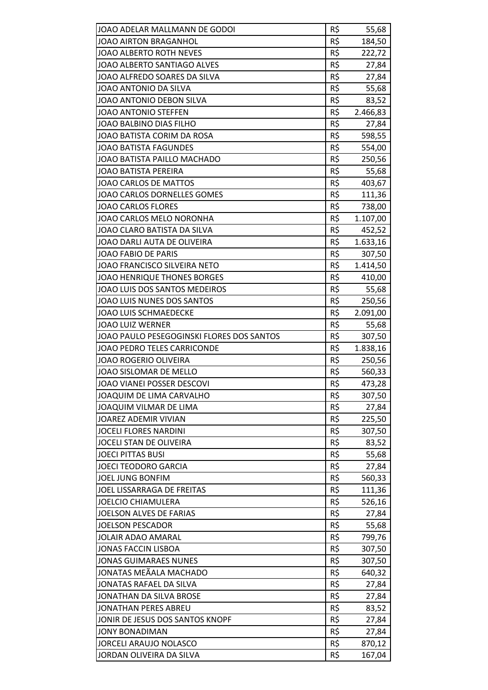| JOAO ADELAR MALLMANN DE GODOI             | R\$ | 55,68    |
|-------------------------------------------|-----|----------|
| JOAO AIRTON BRAGANHOL                     | R\$ | 184,50   |
| <b>JOAO ALBERTO ROTH NEVES</b>            | R\$ | 222,72   |
| JOAO ALBERTO SANTIAGO ALVES               | R\$ | 27,84    |
| JOAO ALFREDO SOARES DA SILVA              | R\$ | 27,84    |
| JOAO ANTONIO DA SILVA                     | R\$ | 55,68    |
| JOAO ANTONIO DEBON SILVA                  | R\$ | 83,52    |
| <b>JOAO ANTONIO STEFFEN</b>               | R\$ | 2.466,83 |
| JOAO BALBINO DIAS FILHO                   | R\$ | 27,84    |
| JOAO BATISTA CORIM DA ROSA                | R\$ | 598,55   |
| <b>JOAO BATISTA FAGUNDES</b>              | R\$ | 554,00   |
| JOAO BATISTA PAILLO MACHADO               | R\$ | 250,56   |
| <b>JOAO BATISTA PEREIRA</b>               | R\$ | 55,68    |
| JOAO CARLOS DE MATTOS                     | R\$ | 403,67   |
| JOAO CARLOS DORNELLES GOMES               | R\$ | 111,36   |
| <b>JOAO CARLOS FLORES</b>                 | R\$ | 738,00   |
| JOAO CARLOS MELO NORONHA                  | R\$ | 1.107,00 |
| JOAO CLARO BATISTA DA SILVA               | R\$ | 452,52   |
| JOAO DARLI AUTA DE OLIVEIRA               | R\$ | 1.633,16 |
| <b>JOAO FABIO DE PARIS</b>                | R\$ | 307,50   |
| JOAO FRANCISCO SILVEIRA NETO              | R\$ | 1.414,50 |
| <b>JOAO HENRIQUE THONES BORGES</b>        | R\$ | 410,00   |
| JOAO LUIS DOS SANTOS MEDEIROS             | R\$ | 55,68    |
| JOAO LUIS NUNES DOS SANTOS                | R\$ | 250,56   |
| JOAO LUIS SCHMAEDECKE                     | R\$ | 2.091,00 |
| <b>JOAO LUIZ WERNER</b>                   | R\$ | 55,68    |
| JOAO PAULO PESEGOGINSKI FLORES DOS SANTOS | R\$ | 307,50   |
| JOAO PEDRO TELES CARRICONDE               | R\$ | 1.838,16 |
| <b>JOAO ROGERIO OLIVEIRA</b>              | R\$ | 250,56   |
| JOAO SISLOMAR DE MELLO                    | R\$ | 560,33   |
| JOAO VIANEI POSSER DESCOVI                | R\$ | 473,28   |
| JOAQUIM DE LIMA CARVALHO                  | R\$ | 307,50   |
| JOAQUIM VILMAR DE LIMA                    | R\$ | 27,84    |
| JOAREZ ADEMIR VIVIAN                      | R\$ | 225,50   |
| <b>JOCELI FLORES NARDINI</b>              | R\$ | 307,50   |
| JOCELI STAN DE OLIVEIRA                   | R\$ | 83,52    |
| <b>JOECI PITTAS BUSI</b>                  | R\$ | 55,68    |
| <b>JOECI TEODORO GARCIA</b>               | R\$ | 27,84    |
| JOEL JUNG BONFIM                          | R\$ | 560,33   |
| JOEL LISSARRAGA DE FREITAS                | R\$ | 111,36   |
| <b>JOELCIO CHIAMULERA</b>                 | R\$ | 526,16   |
| JOELSON ALVES DE FARIAS                   | R\$ | 27,84    |
| <b>JOELSON PESCADOR</b>                   | R\$ | 55,68    |
| JOLAIR ADAO AMARAL                        | R\$ | 799,76   |
| <b>JONAS FACCIN LISBOA</b>                | R\$ | 307,50   |
| <b>JONAS GUIMARAES NUNES</b>              | R\$ | 307,50   |
| JONATAS MEÃALA MACHADO                    | R\$ | 640,32   |
| JONATAS RAFAEL DA SILVA                   | R\$ | 27,84    |
| JONATHAN DA SILVA BROSE                   | R\$ | 27,84    |
| <b>JONATHAN PERES ABREU</b>               | R\$ | 83,52    |
| JONIR DE JESUS DOS SANTOS KNOPF           | R\$ | 27,84    |
| <b>JONY BONADIMAN</b>                     | R\$ | 27,84    |
| <b>JORCELI ARAUJO NOLASCO</b>             | R\$ | 870,12   |
| JORDAN OLIVEIRA DA SILVA                  | R\$ | 167,04   |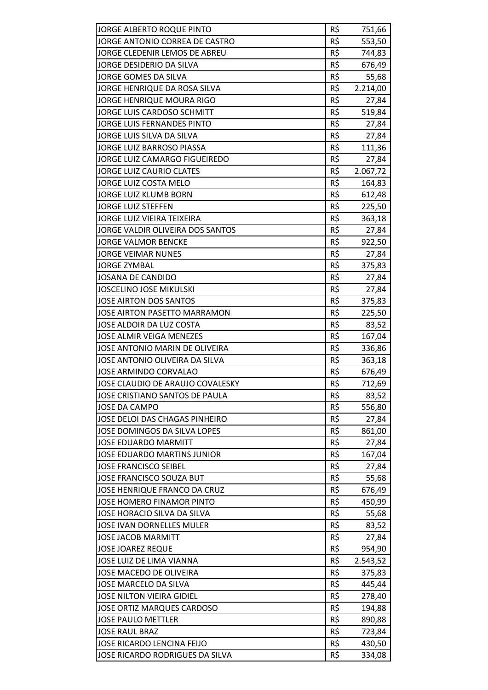| JORGE ALBERTO ROQUE PINTO          | R\$ | 751,66   |
|------------------------------------|-----|----------|
| JORGE ANTONIO CORREA DE CASTRO     | R\$ | 553,50   |
| JORGE CLEDENIR LEMOS DE ABREU      | R\$ | 744,83   |
| JORGE DESIDERIO DA SILVA           | R\$ | 676,49   |
| JORGE GOMES DA SILVA               | R\$ | 55,68    |
| JORGE HENRIQUE DA ROSA SILVA       | R\$ | 2.214,00 |
| JORGE HENRIQUE MOURA RIGO          | R\$ | 27,84    |
| JORGE LUIS CARDOSO SCHMITT         | R\$ | 519,84   |
| JORGE LUIS FERNANDES PINTO         | R\$ | 27,84    |
| JORGE LUIS SILVA DA SILVA          | R\$ | 27,84    |
| JORGE LUIZ BARROSO PIASSA          | R\$ | 111,36   |
| JORGE LUIZ CAMARGO FIGUEIREDO      | R\$ | 27,84    |
| <b>JORGE LUIZ CAURIO CLATES</b>    | R\$ | 2.067,72 |
| JORGE LUIZ COSTA MELO              | R\$ | 164,83   |
| JORGE LUIZ KLUMB BORN              | R\$ | 612,48   |
| <b>JORGE LUIZ STEFFEN</b>          | R\$ | 225,50   |
| JORGE LUIZ VIEIRA TEIXEIRA         | R\$ | 363,18   |
| JORGE VALDIR OLIVEIRA DOS SANTOS   | R\$ | 27,84    |
| <b>JORGE VALMOR BENCKE</b>         | R\$ | 922,50   |
| <b>JORGE VEIMAR NUNES</b>          | R\$ | 27,84    |
| <b>JORGE ZYMBAL</b>                | R\$ | 375,83   |
| JOSANA DE CANDIDO                  | R\$ | 27,84    |
| <b>JOSCELINO JOSE MIKULSKI</b>     | R\$ | 27,84    |
| JOSE AIRTON DOS SANTOS             | R\$ | 375,83   |
| JOSE AIRTON PASETTO MARRAMON       | R\$ | 225,50   |
| JOSE ALDOIR DA LUZ COSTA           | R\$ | 83,52    |
| JOSE ALMIR VEIGA MENEZES           | R\$ | 167,04   |
| JOSE ANTONIO MARIN DE OLIVEIRA     | R\$ | 336,86   |
| JOSE ANTONIO OLIVEIRA DA SILVA     | R\$ | 363,18   |
| <b>JOSE ARMINDO CORVALAO</b>       | R\$ | 676,49   |
| JOSE CLAUDIO DE ARAUJO COVALESKY   | R\$ | 712,69   |
| JOSE CRISTIANO SANTOS DE PAULA     | R\$ | 83,52    |
| <b>JOSE DA CAMPO</b>               | R\$ | 556,80   |
| JOSE DELOI DAS CHAGAS PINHEIRO     | R\$ | 27,84    |
| JOSE DOMINGOS DA SILVA LOPES       | R\$ | 861,00   |
| <b>JOSE EDUARDO MARMITT</b>        | R\$ | 27,84    |
| <b>JOSE EDUARDO MARTINS JUNIOR</b> | R\$ | 167,04   |
| <b>JOSE FRANCISCO SEIBEL</b>       | R\$ | 27,84    |
| JOSE FRANCISCO SOUZA BUT           | R\$ | 55,68    |
| JOSE HENRIQUE FRANCO DA CRUZ       | R\$ | 676,49   |
| JOSE HOMERO FINAMOR PINTO          | R\$ | 450,99   |
| JOSE HORACIO SILVA DA SILVA        | R\$ | 55,68    |
| <b>JOSE IVAN DORNELLES MULER</b>   | R\$ | 83,52    |
| <b>JOSE JACOB MARMITT</b>          | R\$ | 27,84    |
| <b>JOSE JOAREZ REQUE</b>           | R\$ | 954,90   |
| JOSE LUIZ DE LIMA VIANNA           | R\$ | 2.543,52 |
| JOSE MACEDO DE OLIVEIRA            | R\$ | 375,83   |
| JOSE MARCELO DA SILVA              | R\$ | 445,44   |
| <b>JOSE NILTON VIEIRA GIDIEL</b>   | R\$ | 278,40   |
| <b>JOSE ORTIZ MARQUES CARDOSO</b>  | R\$ | 194,88   |
| <b>JOSE PAULO METTLER</b>          | R\$ | 890,88   |
| <b>JOSE RAUL BRAZ</b>              | R\$ | 723,84   |
| JOSE RICARDO LENCINA FEIJO         | R\$ | 430,50   |
| JOSE RICARDO RODRIGUES DA SILVA    | R\$ | 334,08   |
|                                    |     |          |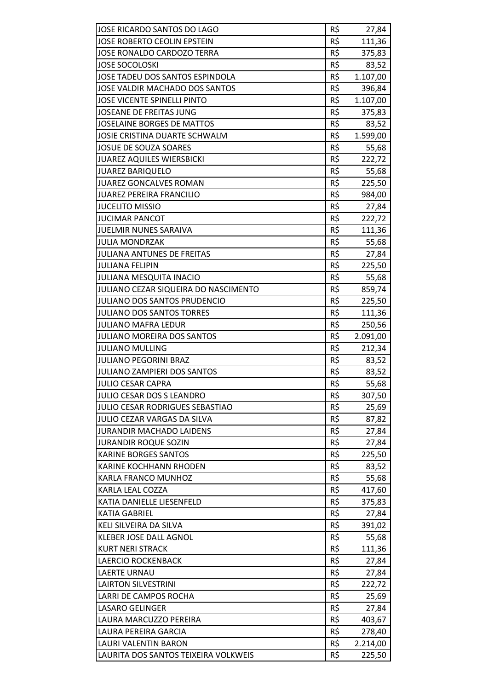| JOSE RICARDO SANTOS DO LAGO<br>JOSE ROBERTO CEOLIN EPSTEIN   | R\$<br>R\$ | 27,84              |
|--------------------------------------------------------------|------------|--------------------|
| <b>JOSE RONALDO CARDOZO TERRA</b>                            | R\$        | 111,36<br>375,83   |
| <b>JOSE SOCOLOSKI</b>                                        | R\$        |                    |
| JOSE TADEU DOS SANTOS ESPINDOLA                              | R\$        | 83,52<br>1.107,00  |
| JOSE VALDIR MACHADO DOS SANTOS                               | R\$        |                    |
| <b>JOSE VICENTE SPINELLI PINTO</b>                           | R\$        | 396,84<br>1.107,00 |
|                                                              | R\$        |                    |
| <b>JOSEANE DE FREITAS JUNG</b><br>JOSELAINE BORGES DE MATTOS | R\$        | 375,83<br>83,52    |
|                                                              |            |                    |
| JOSIE CRISTINA DUARTE SCHWALM                                | R\$        | 1.599,00           |
| JOSUE DE SOUZA SOARES                                        | R\$        | 55,68              |
| <b>JUAREZ AQUILES WIERSBICKI</b>                             | R\$        | 222,72             |
| <b>JUAREZ BARIQUELO</b>                                      | R\$        | 55,68              |
| <b>JUAREZ GONCALVES ROMAN</b>                                | R\$        | 225,50             |
| <b>JUAREZ PEREIRA FRANCILIO</b>                              | R\$        | 984,00             |
| <b>JUCELITO MISSIO</b>                                       | R\$        | 27,84              |
| <b>JUCIMAR PANCOT</b>                                        | R\$        | 222,72             |
| <b>JUELMIR NUNES SARAIVA</b>                                 | R\$        | 111,36             |
| <b>JULIA MONDRZAK</b>                                        | R\$        | 55,68              |
| <b>JULIANA ANTUNES DE FREITAS</b>                            | R\$        | 27,84              |
| <b>JULIANA FELIPIN</b>                                       | R\$        | 225,50             |
| <b>JULIANA MESQUITA INACIO</b>                               | R\$        | 55,68              |
| JULIANO CEZAR SIQUEIRA DO NASCIMENTO                         | R\$        | 859,74             |
| JULIANO DOS SANTOS PRUDENCIO                                 | R\$        | 225,50             |
| <b>JULIANO DOS SANTOS TORRES</b>                             | R\$        | 111,36             |
| <b>JULIANO MAFRA LEDUR</b>                                   | R\$        | 250,56             |
| <b>JULIANO MOREIRA DOS SANTOS</b>                            | R\$        | 2.091,00           |
| <b>JULIANO MULLING</b>                                       | R\$        | 212,34             |
| <b>JULIANO PEGORINI BRAZ</b>                                 | R\$        | 83,52              |
| <b>JULIANO ZAMPIERI DOS SANTOS</b>                           | R\$        | 83,52              |
| <b>JULIO CESAR CAPRA</b>                                     | R\$        | 55,68              |
| <b>JULIO CESAR DOS S LEANDRO</b>                             | R\$        | 307,50             |
| JULIO CESAR RODRIGUES SEBASTIAO                              | R\$        | 25,69              |
| <b>JULIO CEZAR VARGAS DA SILVA</b>                           | R\$        | 87,82              |
| <b>JURANDIR MACHADO LAIDENS</b>                              | R\$        | 27,84              |
| <b>JURANDIR ROQUE SOZIN</b>                                  | R\$        | 27,84              |
| <b>KARINE BORGES SANTOS</b>                                  | R\$        | 225,50             |
| <b>KARINE KOCHHANN RHODEN</b>                                | R\$        | 83,52              |
| KARLA FRANCO MUNHOZ                                          | R\$        | 55,68              |
| KARLA LEAL COZZA                                             | R\$        | 417,60             |
| KATIA DANIELLE LIESENFELD                                    | R\$        | 375,83             |
| KATIA GABRIEL                                                | R\$        | 27,84              |
| KELI SILVEIRA DA SILVA                                       | R\$        | 391,02             |
| KLEBER JOSE DALL AGNOL                                       | R\$        | 55,68              |
| <b>KURT NERI STRACK</b>                                      | R\$        | 111,36             |
| <b>LAERCIO ROCKENBACK</b>                                    | R\$        | 27,84              |
| <b>LAERTE URNAU</b>                                          | R\$        | 27,84              |
| <b>LAIRTON SILVESTRINI</b>                                   | R\$        | 222,72             |
| LARRI DE CAMPOS ROCHA                                        | R\$        | 25,69              |
| <b>LASARO GELINGER</b>                                       | R\$        | 27,84              |
| LAURA MARCUZZO PEREIRA                                       | R\$        | 403,67             |
| LAURA PEREIRA GARCIA                                         | R\$        | 278,40             |
| LAURI VALENTIN BARON                                         | R\$        | 2.214,00           |
| LAURITA DOS SANTOS TEIXEIRA VOLKWEIS                         | R\$        | 225,50             |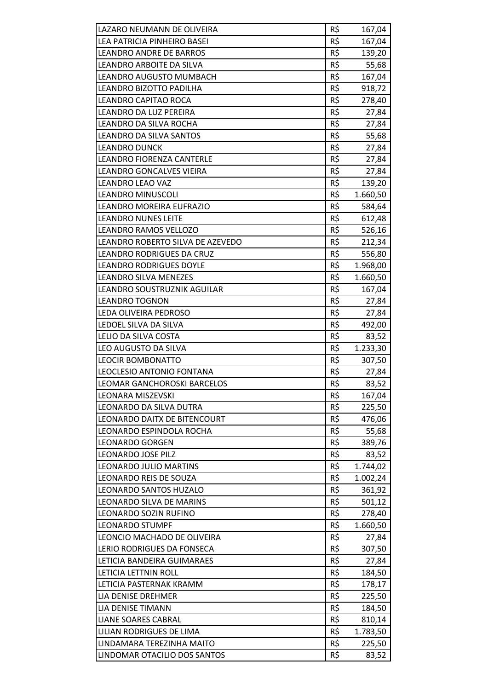| LAZARO NEUMANN DE OLIVEIRA                             | R\$ | 167,04   |
|--------------------------------------------------------|-----|----------|
| LEA PATRICIA PINHEIRO BASEI                            | R\$ | 167,04   |
| <b>LEANDRO ANDRE DE BARROS</b>                         | R\$ | 139,20   |
| LEANDRO ARBOITE DA SILVA                               | R\$ | 55,68    |
| LEANDRO AUGUSTO MUMBACH                                | R\$ | 167,04   |
| LEANDRO BIZOTTO PADILHA                                | R\$ | 918,72   |
| LEANDRO CAPITAO ROCA                                   | R\$ | 278,40   |
| LEANDRO DA LUZ PEREIRA                                 | R\$ | 27,84    |
| LEANDRO DA SILVA ROCHA                                 | R\$ | 27,84    |
| LEANDRO DA SILVA SANTOS                                | R\$ | 55,68    |
| <b>LEANDRO DUNCK</b>                                   | R\$ | 27,84    |
| LEANDRO FIORENZA CANTERLE                              | R\$ | 27,84    |
| LEANDRO GONCALVES VIEIRA                               | R\$ | 27,84    |
| <b>LEANDRO LEAO VAZ</b>                                | R\$ | 139,20   |
|                                                        | R\$ |          |
| <b>LEANDRO MINUSCOLI</b>                               |     | 1.660,50 |
| LEANDRO MOREIRA EUFRAZIO<br><b>LEANDRO NUNES LEITE</b> | R\$ | 584,64   |
|                                                        | R\$ | 612,48   |
| LEANDRO RAMOS VELLOZO                                  | R\$ | 526,16   |
| LEANDRO ROBERTO SILVA DE AZEVEDO                       | R\$ | 212,34   |
| LEANDRO RODRIGUES DA CRUZ                              | R\$ | 556,80   |
| <b>LEANDRO RODRIGUES DOYLE</b>                         | R\$ | 1.968,00 |
| LEANDRO SILVA MENEZES                                  | R\$ | 1.660,50 |
| LEANDRO SOUSTRUZNIK AGUILAR                            | R\$ | 167,04   |
| <b>LEANDRO TOGNON</b>                                  | R\$ | 27,84    |
| LEDA OLIVEIRA PEDROSO                                  | R\$ | 27,84    |
| LEDOEL SILVA DA SILVA                                  | R\$ | 492,00   |
| LELIO DA SILVA COSTA                                   | R\$ | 83,52    |
| LEO AUGUSTO DA SILVA                                   | R\$ | 1.233,30 |
| <b>LEOCIR BOMBONATTO</b>                               | R\$ | 307,50   |
| LEOCLESIO ANTONIO FONTANA                              | R\$ | 27,84    |
| LEOMAR GANCHOROSKI BARCELOS                            | R\$ | 83,52    |
| <b>LEONARA MISZEVSKI</b>                               | R\$ | 167,04   |
| LEONARDO DA SILVA DUTRA                                | R\$ | 225,50   |
| LEONARDO DAITX DE BITENCOURT                           | R\$ | 476,06   |
| LEONARDO ESPINDOLA ROCHA                               | R\$ | 55,68    |
| <b>LEONARDO GORGEN</b>                                 | R\$ | 389,76   |
| <b>LEONARDO JOSE PILZ</b>                              | R\$ | 83,52    |
| LEONARDO JULIO MARTINS                                 | R\$ | 1.744,02 |
| <b>LEONARDO REIS DE SOUZA</b>                          | R\$ | 1.002,24 |
| LEONARDO SANTOS HUZALO                                 | R\$ | 361,92   |
| LEONARDO SILVA DE MARINS                               | R\$ | 501,12   |
| LEONARDO SOZIN RUFINO                                  | R\$ | 278,40   |
| <b>LEONARDO STUMPF</b>                                 | R\$ | 1.660,50 |
| LEONCIO MACHADO DE OLIVEIRA                            | R\$ | 27,84    |
| LERIO RODRIGUES DA FONSECA                             | R\$ | 307,50   |
| LETICIA BANDEIRA GUIMARAES                             | R\$ | 27,84    |
| LETICIA LETTNIN ROLL                                   | R\$ | 184,50   |
| LETICIA PASTERNAK KRAMM                                | R\$ | 178,17   |
| LIA DENISE DREHMER                                     | R\$ | 225,50   |
| LIA DENISE TIMANN                                      | R\$ | 184,50   |
| <b>LIANE SOARES CABRAL</b>                             | R\$ | 810,14   |
| LILIAN RODRIGUES DE LIMA                               | R\$ | 1.783,50 |
| LINDAMARA TEREZINHA MAITO                              | R\$ | 225,50   |
| LINDOMAR OTACILIO DOS SANTOS                           | R\$ | 83,52    |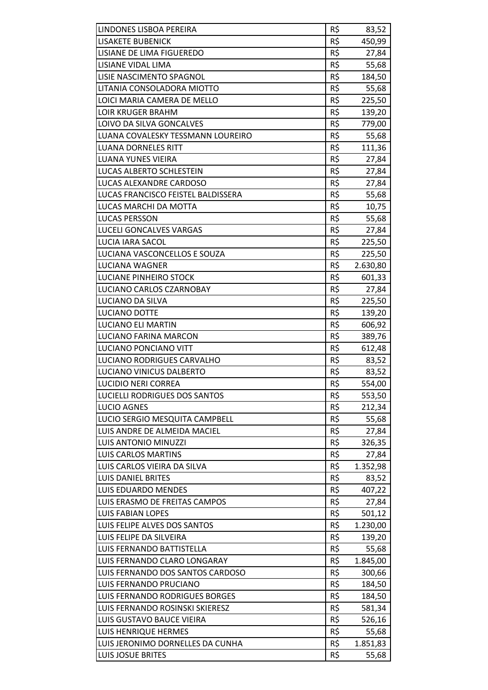| LINDONES LISBOA PEREIRA            | R\$ | 83,52           |
|------------------------------------|-----|-----------------|
| <b>LISAKETE BUBENICK</b>           | R\$ | 450,99          |
| LISIANE DE LIMA FIGUEREDO          | R\$ | 27,84           |
| LISIANE VIDAL LIMA                 | R\$ | 55,68           |
| LISIE NASCIMENTO SPAGNOL           | R\$ | 184,50          |
| LITANIA CONSOLADORA MIOTTO         | R\$ | 55,68           |
| LOICI MARIA CAMERA DE MELLO        | R\$ | 225,50          |
| <b>LOIR KRUGER BRAHM</b>           | R\$ | 139,20          |
| LOIVO DA SILVA GONCALVES           | R\$ | 779,00          |
| LUANA COVALESKY TESSMANN LOUREIRO  | R\$ | 55,68           |
| <b>LUANA DORNELES RITT</b>         | R\$ | 111,36          |
| LUANA YUNES VIEIRA                 | R\$ | 27,84           |
| LUCAS ALBERTO SCHLESTEIN           | R\$ | 27,84           |
| LUCAS ALEXANDRE CARDOSO            | R\$ | 27,84           |
| LUCAS FRANCISCO FEISTEL BALDISSERA | R\$ | 55,68           |
| LUCAS MARCHI DA MOTTA              | R\$ | 10,75           |
| LUCAS PERSSON                      | R\$ | 55,68           |
| LUCELI GONCALVES VARGAS            | R\$ |                 |
| <b>LUCIA IARA SACOL</b>            | R\$ | 27,84<br>225,50 |
| LUCIANA VASCONCELLOS E SOUZA       | R\$ |                 |
|                                    | R\$ | 225,50          |
| LUCIANA WAGNER                     |     | 2.630,80        |
| <b>LUCIANE PINHEIRO STOCK</b>      | R\$ | 601,33          |
| LUCIANO CARLOS CZARNOBAY           | R\$ | 27,84           |
| <b>LUCIANO DA SILVA</b>            | R\$ | 225,50          |
| <b>LUCIANO DOTTE</b>               | R\$ | 139,20          |
| <b>LUCIANO ELI MARTIN</b>          | R\$ | 606,92          |
| LUCIANO FARINA MARCON              | R\$ | 389,76          |
| LUCIANO PONCIANO VITT              | R\$ | 612,48          |
| LUCIANO RODRIGUES CARVALHO         | R\$ | 83,52           |
| <b>LUCIANO VINICUS DALBERTO</b>    | R\$ | 83,52           |
| <b>LUCIDIO NERI CORREA</b>         | R\$ | 554,00          |
| LUCIELLI RODRIGUES DOS SANTOS      | R\$ | 553,50          |
| <b>LUCIO AGNES</b>                 | R\$ | 212,34          |
| LUCIO SERGIO MESQUITA CAMPBELL     | R\$ | 55,68           |
| LUIS ANDRE DE ALMEIDA MACIEL       | R\$ | 27,84           |
| <b>LUIS ANTONIO MINUZZI</b>        | R\$ | 326,35          |
| <b>LUIS CARLOS MARTINS</b>         | R\$ | 27,84           |
| LUIS CARLOS VIEIRA DA SILVA        | R\$ | 1.352,98        |
| <b>LUIS DANIEL BRITES</b>          | R\$ | 83,52           |
| <b>LUIS EDUARDO MENDES</b>         | R\$ | 407,22          |
| LUIS ERASMO DE FREITAS CAMPOS      | R\$ | 27,84           |
| <b>LUIS FABIAN LOPES</b>           | R\$ | 501,12          |
| LUIS FELIPE ALVES DOS SANTOS       | R\$ | 1.230,00        |
| LUIS FELIPE DA SILVEIRA            | R\$ | 139,20          |
| LUIS FERNANDO BATTISTELLA          | R\$ | 55,68           |
| LUIS FERNANDO CLARO LONGARAY       | R\$ | 1.845,00        |
| LUIS FERNANDO DOS SANTOS CARDOSO   | R\$ | 300,66          |
| LUIS FERNANDO PRUCIANO             | R\$ | 184,50          |
| LUIS FERNANDO RODRIGUES BORGES     | R\$ | 184,50          |
| LUIS FERNANDO ROSINSKI SKIERESZ    | R\$ | 581,34          |
| LUIS GUSTAVO BAUCE VIEIRA          | R\$ | 526,16          |
| <b>LUIS HENRIQUE HERMES</b>        | R\$ | 55,68           |
| LUIS JERONIMO DORNELLES DA CUNHA   | R\$ | 1.851,83        |
| LUIS JOSUE BRITES                  | R\$ | 55,68           |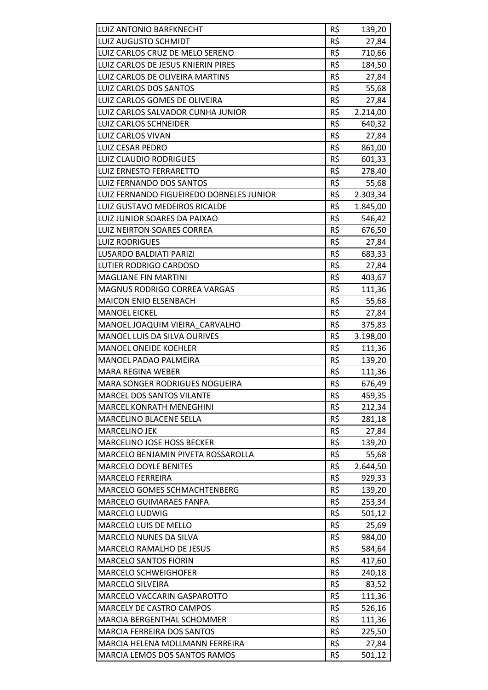| R\$<br><b>LUIZ AUGUSTO SCHMIDT</b><br>27,84<br>R\$<br>LUIZ CARLOS CRUZ DE MELO SERENO<br>710,66<br>R\$<br>LUIZ CARLOS DE JESUS KNIERIN PIRES<br>184,50<br>R\$<br>LUIZ CARLOS DE OLIVEIRA MARTINS<br>27,84<br>R\$<br>LUIZ CARLOS DOS SANTOS<br>55,68<br>R\$<br>LUIZ CARLOS GOMES DE OLIVEIRA<br>27,84<br>LUIZ CARLOS SALVADOR CUNHA JUNIOR<br>R\$<br>2.214,00<br>R\$<br><b>LUIZ CARLOS SCHNEIDER</b><br>640,32<br>R\$<br><b>LUIZ CARLOS VIVAN</b><br>27,84<br>R\$<br><b>LUIZ CESAR PEDRO</b><br>861,00<br>R\$<br>LUIZ CLAUDIO RODRIGUES<br>601,33<br>R\$<br><b>LUIZ ERNESTO FERRARETTO</b><br>278,40<br>R\$<br>LUIZ FERNANDO DOS SANTOS<br>55,68<br>R\$<br>LUIZ FERNANDO FIGUEIREDO DORNELES JUNIOR<br>2.303,34<br>R\$<br>LUIZ GUSTAVO MEDEIROS RICALDE<br>1.845,00<br>R\$<br>LUIZ JUNIOR SOARES DA PAIXAO<br>546,42<br>R\$<br>LUIZ NEIRTON SOARES CORREA<br>676,50<br>R\$<br><b>LUIZ RODRIGUES</b><br>27,84<br>R\$<br><b>LUSARDO BALDIATI PARIZI</b><br>683,33<br>R\$<br>LUTIER RODRIGO CARDOSO<br>27,84<br>R\$<br><b>MAGLIANE FIN MARTINI</b><br>403,67<br>MAGNUS RODRIGO CORREA VARGAS<br>R\$<br>111,36<br>R\$<br><b>MAICON ENIO ELSENBACH</b><br>55,68<br>R\$<br><b>MANOEL EICKEL</b><br>27,84<br>R\$<br>MANOEL JOAQUIM VIEIRA CARVALHO<br>375,83<br>R\$<br>MANOEL LUIS DA SILVA OURIVES<br>3.198,00<br>R\$<br><b>MANOEL ONEIDE KOEHLER</b><br>111,36<br>R\$<br>MANOEL PADAO PALMEIRA<br>139,20<br>R\$<br><b>MARA REGINA WEBER</b><br>111,36<br>R\$<br><b>MARA SONGER RODRIGUES NOGUEIRA</b><br>676,49<br>MARCEL DOS SANTOS VILANTE<br>R\$<br>459,35<br>R\$<br><b>MARCEL KONRATH MENEGHINI</b><br>212,34<br>R\$<br>MARCELINO BLACENE SELLA<br>281,18<br>R\$<br><b>MARCELINO JEK</b><br>27,84<br>R\$<br>MARCELINO JOSE HOSS BECKER<br>139,20<br>R\$<br>MARCELO BENJAMIN PIVETA ROSSAROLLA<br>55,68<br>R\$<br><b>MARCELO DOYLE BENITES</b><br>2.644,50<br>R\$<br><b>MARCELO FERREIRA</b><br>929,33<br>R\$<br><b>MARCELO GOMES SCHMACHTENBERG</b><br>139,20<br>R\$<br><b>MARCELO GUIMARAES FANFA</b><br>253,34<br>R\$<br>MARCELO LUDWIG<br>501,12<br>MARCELO LUIS DE MELLO<br>R\$<br>25,69<br>R\$<br>MARCELO NUNES DA SILVA<br>984,00<br>R\$<br>MARCELO RAMALHO DE JESUS<br>584,64<br>R\$<br><b>MARCELO SANTOS FIORIN</b><br>417,60<br>R\$<br><b>MARCELO SCHWEIGHOFER</b><br>240,18<br>R\$<br><b>MARCELO SILVEIRA</b><br>83,52<br>R\$<br>MARCELO VACCARIN GASPAROTTO<br>111,36<br>R\$<br>MARCELY DE CASTRO CAMPOS<br>526,16<br>R\$<br>MARCIA BERGENTHAL SCHOMMER<br>111,36<br>R\$<br><b>MARCIA FERREIRA DOS SANTOS</b><br>225,50<br>R\$<br>MARCIA HELENA MOLLMANN FERREIRA<br>27,84<br>MARCIA LEMOS DOS SANTOS RAMOS | LUIZ ANTONIO BARFKNECHT | R\$ | 139,20 |
|----------------------------------------------------------------------------------------------------------------------------------------------------------------------------------------------------------------------------------------------------------------------------------------------------------------------------------------------------------------------------------------------------------------------------------------------------------------------------------------------------------------------------------------------------------------------------------------------------------------------------------------------------------------------------------------------------------------------------------------------------------------------------------------------------------------------------------------------------------------------------------------------------------------------------------------------------------------------------------------------------------------------------------------------------------------------------------------------------------------------------------------------------------------------------------------------------------------------------------------------------------------------------------------------------------------------------------------------------------------------------------------------------------------------------------------------------------------------------------------------------------------------------------------------------------------------------------------------------------------------------------------------------------------------------------------------------------------------------------------------------------------------------------------------------------------------------------------------------------------------------------------------------------------------------------------------------------------------------------------------------------------------------------------------------------------------------------------------------------------------------------------------------------------------------------------------------------------------------------------------------------------------------------------------------------------------------------------------------------------------------------------------------------------------------------------------------------------------------------------------------------------------------------------------------------------------------------------------------------------------|-------------------------|-----|--------|
|                                                                                                                                                                                                                                                                                                                                                                                                                                                                                                                                                                                                                                                                                                                                                                                                                                                                                                                                                                                                                                                                                                                                                                                                                                                                                                                                                                                                                                                                                                                                                                                                                                                                                                                                                                                                                                                                                                                                                                                                                                                                                                                                                                                                                                                                                                                                                                                                                                                                                                                                                                                                                      |                         |     |        |
|                                                                                                                                                                                                                                                                                                                                                                                                                                                                                                                                                                                                                                                                                                                                                                                                                                                                                                                                                                                                                                                                                                                                                                                                                                                                                                                                                                                                                                                                                                                                                                                                                                                                                                                                                                                                                                                                                                                                                                                                                                                                                                                                                                                                                                                                                                                                                                                                                                                                                                                                                                                                                      |                         |     |        |
|                                                                                                                                                                                                                                                                                                                                                                                                                                                                                                                                                                                                                                                                                                                                                                                                                                                                                                                                                                                                                                                                                                                                                                                                                                                                                                                                                                                                                                                                                                                                                                                                                                                                                                                                                                                                                                                                                                                                                                                                                                                                                                                                                                                                                                                                                                                                                                                                                                                                                                                                                                                                                      |                         |     |        |
|                                                                                                                                                                                                                                                                                                                                                                                                                                                                                                                                                                                                                                                                                                                                                                                                                                                                                                                                                                                                                                                                                                                                                                                                                                                                                                                                                                                                                                                                                                                                                                                                                                                                                                                                                                                                                                                                                                                                                                                                                                                                                                                                                                                                                                                                                                                                                                                                                                                                                                                                                                                                                      |                         |     |        |
|                                                                                                                                                                                                                                                                                                                                                                                                                                                                                                                                                                                                                                                                                                                                                                                                                                                                                                                                                                                                                                                                                                                                                                                                                                                                                                                                                                                                                                                                                                                                                                                                                                                                                                                                                                                                                                                                                                                                                                                                                                                                                                                                                                                                                                                                                                                                                                                                                                                                                                                                                                                                                      |                         |     |        |
|                                                                                                                                                                                                                                                                                                                                                                                                                                                                                                                                                                                                                                                                                                                                                                                                                                                                                                                                                                                                                                                                                                                                                                                                                                                                                                                                                                                                                                                                                                                                                                                                                                                                                                                                                                                                                                                                                                                                                                                                                                                                                                                                                                                                                                                                                                                                                                                                                                                                                                                                                                                                                      |                         |     |        |
|                                                                                                                                                                                                                                                                                                                                                                                                                                                                                                                                                                                                                                                                                                                                                                                                                                                                                                                                                                                                                                                                                                                                                                                                                                                                                                                                                                                                                                                                                                                                                                                                                                                                                                                                                                                                                                                                                                                                                                                                                                                                                                                                                                                                                                                                                                                                                                                                                                                                                                                                                                                                                      |                         |     |        |
|                                                                                                                                                                                                                                                                                                                                                                                                                                                                                                                                                                                                                                                                                                                                                                                                                                                                                                                                                                                                                                                                                                                                                                                                                                                                                                                                                                                                                                                                                                                                                                                                                                                                                                                                                                                                                                                                                                                                                                                                                                                                                                                                                                                                                                                                                                                                                                                                                                                                                                                                                                                                                      |                         |     |        |
|                                                                                                                                                                                                                                                                                                                                                                                                                                                                                                                                                                                                                                                                                                                                                                                                                                                                                                                                                                                                                                                                                                                                                                                                                                                                                                                                                                                                                                                                                                                                                                                                                                                                                                                                                                                                                                                                                                                                                                                                                                                                                                                                                                                                                                                                                                                                                                                                                                                                                                                                                                                                                      |                         |     |        |
|                                                                                                                                                                                                                                                                                                                                                                                                                                                                                                                                                                                                                                                                                                                                                                                                                                                                                                                                                                                                                                                                                                                                                                                                                                                                                                                                                                                                                                                                                                                                                                                                                                                                                                                                                                                                                                                                                                                                                                                                                                                                                                                                                                                                                                                                                                                                                                                                                                                                                                                                                                                                                      |                         |     |        |
|                                                                                                                                                                                                                                                                                                                                                                                                                                                                                                                                                                                                                                                                                                                                                                                                                                                                                                                                                                                                                                                                                                                                                                                                                                                                                                                                                                                                                                                                                                                                                                                                                                                                                                                                                                                                                                                                                                                                                                                                                                                                                                                                                                                                                                                                                                                                                                                                                                                                                                                                                                                                                      |                         |     |        |
|                                                                                                                                                                                                                                                                                                                                                                                                                                                                                                                                                                                                                                                                                                                                                                                                                                                                                                                                                                                                                                                                                                                                                                                                                                                                                                                                                                                                                                                                                                                                                                                                                                                                                                                                                                                                                                                                                                                                                                                                                                                                                                                                                                                                                                                                                                                                                                                                                                                                                                                                                                                                                      |                         |     |        |
|                                                                                                                                                                                                                                                                                                                                                                                                                                                                                                                                                                                                                                                                                                                                                                                                                                                                                                                                                                                                                                                                                                                                                                                                                                                                                                                                                                                                                                                                                                                                                                                                                                                                                                                                                                                                                                                                                                                                                                                                                                                                                                                                                                                                                                                                                                                                                                                                                                                                                                                                                                                                                      |                         |     |        |
|                                                                                                                                                                                                                                                                                                                                                                                                                                                                                                                                                                                                                                                                                                                                                                                                                                                                                                                                                                                                                                                                                                                                                                                                                                                                                                                                                                                                                                                                                                                                                                                                                                                                                                                                                                                                                                                                                                                                                                                                                                                                                                                                                                                                                                                                                                                                                                                                                                                                                                                                                                                                                      |                         |     |        |
|                                                                                                                                                                                                                                                                                                                                                                                                                                                                                                                                                                                                                                                                                                                                                                                                                                                                                                                                                                                                                                                                                                                                                                                                                                                                                                                                                                                                                                                                                                                                                                                                                                                                                                                                                                                                                                                                                                                                                                                                                                                                                                                                                                                                                                                                                                                                                                                                                                                                                                                                                                                                                      |                         |     |        |
|                                                                                                                                                                                                                                                                                                                                                                                                                                                                                                                                                                                                                                                                                                                                                                                                                                                                                                                                                                                                                                                                                                                                                                                                                                                                                                                                                                                                                                                                                                                                                                                                                                                                                                                                                                                                                                                                                                                                                                                                                                                                                                                                                                                                                                                                                                                                                                                                                                                                                                                                                                                                                      |                         |     |        |
|                                                                                                                                                                                                                                                                                                                                                                                                                                                                                                                                                                                                                                                                                                                                                                                                                                                                                                                                                                                                                                                                                                                                                                                                                                                                                                                                                                                                                                                                                                                                                                                                                                                                                                                                                                                                                                                                                                                                                                                                                                                                                                                                                                                                                                                                                                                                                                                                                                                                                                                                                                                                                      |                         |     |        |
|                                                                                                                                                                                                                                                                                                                                                                                                                                                                                                                                                                                                                                                                                                                                                                                                                                                                                                                                                                                                                                                                                                                                                                                                                                                                                                                                                                                                                                                                                                                                                                                                                                                                                                                                                                                                                                                                                                                                                                                                                                                                                                                                                                                                                                                                                                                                                                                                                                                                                                                                                                                                                      |                         |     |        |
|                                                                                                                                                                                                                                                                                                                                                                                                                                                                                                                                                                                                                                                                                                                                                                                                                                                                                                                                                                                                                                                                                                                                                                                                                                                                                                                                                                                                                                                                                                                                                                                                                                                                                                                                                                                                                                                                                                                                                                                                                                                                                                                                                                                                                                                                                                                                                                                                                                                                                                                                                                                                                      |                         |     |        |
|                                                                                                                                                                                                                                                                                                                                                                                                                                                                                                                                                                                                                                                                                                                                                                                                                                                                                                                                                                                                                                                                                                                                                                                                                                                                                                                                                                                                                                                                                                                                                                                                                                                                                                                                                                                                                                                                                                                                                                                                                                                                                                                                                                                                                                                                                                                                                                                                                                                                                                                                                                                                                      |                         |     |        |
|                                                                                                                                                                                                                                                                                                                                                                                                                                                                                                                                                                                                                                                                                                                                                                                                                                                                                                                                                                                                                                                                                                                                                                                                                                                                                                                                                                                                                                                                                                                                                                                                                                                                                                                                                                                                                                                                                                                                                                                                                                                                                                                                                                                                                                                                                                                                                                                                                                                                                                                                                                                                                      |                         |     |        |
|                                                                                                                                                                                                                                                                                                                                                                                                                                                                                                                                                                                                                                                                                                                                                                                                                                                                                                                                                                                                                                                                                                                                                                                                                                                                                                                                                                                                                                                                                                                                                                                                                                                                                                                                                                                                                                                                                                                                                                                                                                                                                                                                                                                                                                                                                                                                                                                                                                                                                                                                                                                                                      |                         |     |        |
|                                                                                                                                                                                                                                                                                                                                                                                                                                                                                                                                                                                                                                                                                                                                                                                                                                                                                                                                                                                                                                                                                                                                                                                                                                                                                                                                                                                                                                                                                                                                                                                                                                                                                                                                                                                                                                                                                                                                                                                                                                                                                                                                                                                                                                                                                                                                                                                                                                                                                                                                                                                                                      |                         |     |        |
|                                                                                                                                                                                                                                                                                                                                                                                                                                                                                                                                                                                                                                                                                                                                                                                                                                                                                                                                                                                                                                                                                                                                                                                                                                                                                                                                                                                                                                                                                                                                                                                                                                                                                                                                                                                                                                                                                                                                                                                                                                                                                                                                                                                                                                                                                                                                                                                                                                                                                                                                                                                                                      |                         |     |        |
|                                                                                                                                                                                                                                                                                                                                                                                                                                                                                                                                                                                                                                                                                                                                                                                                                                                                                                                                                                                                                                                                                                                                                                                                                                                                                                                                                                                                                                                                                                                                                                                                                                                                                                                                                                                                                                                                                                                                                                                                                                                                                                                                                                                                                                                                                                                                                                                                                                                                                                                                                                                                                      |                         |     |        |
|                                                                                                                                                                                                                                                                                                                                                                                                                                                                                                                                                                                                                                                                                                                                                                                                                                                                                                                                                                                                                                                                                                                                                                                                                                                                                                                                                                                                                                                                                                                                                                                                                                                                                                                                                                                                                                                                                                                                                                                                                                                                                                                                                                                                                                                                                                                                                                                                                                                                                                                                                                                                                      |                         |     |        |
|                                                                                                                                                                                                                                                                                                                                                                                                                                                                                                                                                                                                                                                                                                                                                                                                                                                                                                                                                                                                                                                                                                                                                                                                                                                                                                                                                                                                                                                                                                                                                                                                                                                                                                                                                                                                                                                                                                                                                                                                                                                                                                                                                                                                                                                                                                                                                                                                                                                                                                                                                                                                                      |                         |     |        |
|                                                                                                                                                                                                                                                                                                                                                                                                                                                                                                                                                                                                                                                                                                                                                                                                                                                                                                                                                                                                                                                                                                                                                                                                                                                                                                                                                                                                                                                                                                                                                                                                                                                                                                                                                                                                                                                                                                                                                                                                                                                                                                                                                                                                                                                                                                                                                                                                                                                                                                                                                                                                                      |                         |     |        |
|                                                                                                                                                                                                                                                                                                                                                                                                                                                                                                                                                                                                                                                                                                                                                                                                                                                                                                                                                                                                                                                                                                                                                                                                                                                                                                                                                                                                                                                                                                                                                                                                                                                                                                                                                                                                                                                                                                                                                                                                                                                                                                                                                                                                                                                                                                                                                                                                                                                                                                                                                                                                                      |                         |     |        |
|                                                                                                                                                                                                                                                                                                                                                                                                                                                                                                                                                                                                                                                                                                                                                                                                                                                                                                                                                                                                                                                                                                                                                                                                                                                                                                                                                                                                                                                                                                                                                                                                                                                                                                                                                                                                                                                                                                                                                                                                                                                                                                                                                                                                                                                                                                                                                                                                                                                                                                                                                                                                                      |                         |     |        |
|                                                                                                                                                                                                                                                                                                                                                                                                                                                                                                                                                                                                                                                                                                                                                                                                                                                                                                                                                                                                                                                                                                                                                                                                                                                                                                                                                                                                                                                                                                                                                                                                                                                                                                                                                                                                                                                                                                                                                                                                                                                                                                                                                                                                                                                                                                                                                                                                                                                                                                                                                                                                                      |                         |     |        |
|                                                                                                                                                                                                                                                                                                                                                                                                                                                                                                                                                                                                                                                                                                                                                                                                                                                                                                                                                                                                                                                                                                                                                                                                                                                                                                                                                                                                                                                                                                                                                                                                                                                                                                                                                                                                                                                                                                                                                                                                                                                                                                                                                                                                                                                                                                                                                                                                                                                                                                                                                                                                                      |                         |     |        |
|                                                                                                                                                                                                                                                                                                                                                                                                                                                                                                                                                                                                                                                                                                                                                                                                                                                                                                                                                                                                                                                                                                                                                                                                                                                                                                                                                                                                                                                                                                                                                                                                                                                                                                                                                                                                                                                                                                                                                                                                                                                                                                                                                                                                                                                                                                                                                                                                                                                                                                                                                                                                                      |                         |     |        |
|                                                                                                                                                                                                                                                                                                                                                                                                                                                                                                                                                                                                                                                                                                                                                                                                                                                                                                                                                                                                                                                                                                                                                                                                                                                                                                                                                                                                                                                                                                                                                                                                                                                                                                                                                                                                                                                                                                                                                                                                                                                                                                                                                                                                                                                                                                                                                                                                                                                                                                                                                                                                                      |                         |     |        |
|                                                                                                                                                                                                                                                                                                                                                                                                                                                                                                                                                                                                                                                                                                                                                                                                                                                                                                                                                                                                                                                                                                                                                                                                                                                                                                                                                                                                                                                                                                                                                                                                                                                                                                                                                                                                                                                                                                                                                                                                                                                                                                                                                                                                                                                                                                                                                                                                                                                                                                                                                                                                                      |                         |     |        |
|                                                                                                                                                                                                                                                                                                                                                                                                                                                                                                                                                                                                                                                                                                                                                                                                                                                                                                                                                                                                                                                                                                                                                                                                                                                                                                                                                                                                                                                                                                                                                                                                                                                                                                                                                                                                                                                                                                                                                                                                                                                                                                                                                                                                                                                                                                                                                                                                                                                                                                                                                                                                                      |                         |     |        |
|                                                                                                                                                                                                                                                                                                                                                                                                                                                                                                                                                                                                                                                                                                                                                                                                                                                                                                                                                                                                                                                                                                                                                                                                                                                                                                                                                                                                                                                                                                                                                                                                                                                                                                                                                                                                                                                                                                                                                                                                                                                                                                                                                                                                                                                                                                                                                                                                                                                                                                                                                                                                                      |                         |     |        |
|                                                                                                                                                                                                                                                                                                                                                                                                                                                                                                                                                                                                                                                                                                                                                                                                                                                                                                                                                                                                                                                                                                                                                                                                                                                                                                                                                                                                                                                                                                                                                                                                                                                                                                                                                                                                                                                                                                                                                                                                                                                                                                                                                                                                                                                                                                                                                                                                                                                                                                                                                                                                                      |                         |     |        |
|                                                                                                                                                                                                                                                                                                                                                                                                                                                                                                                                                                                                                                                                                                                                                                                                                                                                                                                                                                                                                                                                                                                                                                                                                                                                                                                                                                                                                                                                                                                                                                                                                                                                                                                                                                                                                                                                                                                                                                                                                                                                                                                                                                                                                                                                                                                                                                                                                                                                                                                                                                                                                      |                         |     |        |
|                                                                                                                                                                                                                                                                                                                                                                                                                                                                                                                                                                                                                                                                                                                                                                                                                                                                                                                                                                                                                                                                                                                                                                                                                                                                                                                                                                                                                                                                                                                                                                                                                                                                                                                                                                                                                                                                                                                                                                                                                                                                                                                                                                                                                                                                                                                                                                                                                                                                                                                                                                                                                      |                         |     |        |
|                                                                                                                                                                                                                                                                                                                                                                                                                                                                                                                                                                                                                                                                                                                                                                                                                                                                                                                                                                                                                                                                                                                                                                                                                                                                                                                                                                                                                                                                                                                                                                                                                                                                                                                                                                                                                                                                                                                                                                                                                                                                                                                                                                                                                                                                                                                                                                                                                                                                                                                                                                                                                      |                         |     |        |
|                                                                                                                                                                                                                                                                                                                                                                                                                                                                                                                                                                                                                                                                                                                                                                                                                                                                                                                                                                                                                                                                                                                                                                                                                                                                                                                                                                                                                                                                                                                                                                                                                                                                                                                                                                                                                                                                                                                                                                                                                                                                                                                                                                                                                                                                                                                                                                                                                                                                                                                                                                                                                      |                         |     |        |
|                                                                                                                                                                                                                                                                                                                                                                                                                                                                                                                                                                                                                                                                                                                                                                                                                                                                                                                                                                                                                                                                                                                                                                                                                                                                                                                                                                                                                                                                                                                                                                                                                                                                                                                                                                                                                                                                                                                                                                                                                                                                                                                                                                                                                                                                                                                                                                                                                                                                                                                                                                                                                      |                         |     |        |
|                                                                                                                                                                                                                                                                                                                                                                                                                                                                                                                                                                                                                                                                                                                                                                                                                                                                                                                                                                                                                                                                                                                                                                                                                                                                                                                                                                                                                                                                                                                                                                                                                                                                                                                                                                                                                                                                                                                                                                                                                                                                                                                                                                                                                                                                                                                                                                                                                                                                                                                                                                                                                      |                         |     |        |
|                                                                                                                                                                                                                                                                                                                                                                                                                                                                                                                                                                                                                                                                                                                                                                                                                                                                                                                                                                                                                                                                                                                                                                                                                                                                                                                                                                                                                                                                                                                                                                                                                                                                                                                                                                                                                                                                                                                                                                                                                                                                                                                                                                                                                                                                                                                                                                                                                                                                                                                                                                                                                      |                         |     |        |
|                                                                                                                                                                                                                                                                                                                                                                                                                                                                                                                                                                                                                                                                                                                                                                                                                                                                                                                                                                                                                                                                                                                                                                                                                                                                                                                                                                                                                                                                                                                                                                                                                                                                                                                                                                                                                                                                                                                                                                                                                                                                                                                                                                                                                                                                                                                                                                                                                                                                                                                                                                                                                      |                         |     |        |
|                                                                                                                                                                                                                                                                                                                                                                                                                                                                                                                                                                                                                                                                                                                                                                                                                                                                                                                                                                                                                                                                                                                                                                                                                                                                                                                                                                                                                                                                                                                                                                                                                                                                                                                                                                                                                                                                                                                                                                                                                                                                                                                                                                                                                                                                                                                                                                                                                                                                                                                                                                                                                      |                         |     |        |
|                                                                                                                                                                                                                                                                                                                                                                                                                                                                                                                                                                                                                                                                                                                                                                                                                                                                                                                                                                                                                                                                                                                                                                                                                                                                                                                                                                                                                                                                                                                                                                                                                                                                                                                                                                                                                                                                                                                                                                                                                                                                                                                                                                                                                                                                                                                                                                                                                                                                                                                                                                                                                      |                         |     |        |
|                                                                                                                                                                                                                                                                                                                                                                                                                                                                                                                                                                                                                                                                                                                                                                                                                                                                                                                                                                                                                                                                                                                                                                                                                                                                                                                                                                                                                                                                                                                                                                                                                                                                                                                                                                                                                                                                                                                                                                                                                                                                                                                                                                                                                                                                                                                                                                                                                                                                                                                                                                                                                      |                         |     |        |
|                                                                                                                                                                                                                                                                                                                                                                                                                                                                                                                                                                                                                                                                                                                                                                                                                                                                                                                                                                                                                                                                                                                                                                                                                                                                                                                                                                                                                                                                                                                                                                                                                                                                                                                                                                                                                                                                                                                                                                                                                                                                                                                                                                                                                                                                                                                                                                                                                                                                                                                                                                                                                      |                         |     |        |
|                                                                                                                                                                                                                                                                                                                                                                                                                                                                                                                                                                                                                                                                                                                                                                                                                                                                                                                                                                                                                                                                                                                                                                                                                                                                                                                                                                                                                                                                                                                                                                                                                                                                                                                                                                                                                                                                                                                                                                                                                                                                                                                                                                                                                                                                                                                                                                                                                                                                                                                                                                                                                      |                         |     |        |
|                                                                                                                                                                                                                                                                                                                                                                                                                                                                                                                                                                                                                                                                                                                                                                                                                                                                                                                                                                                                                                                                                                                                                                                                                                                                                                                                                                                                                                                                                                                                                                                                                                                                                                                                                                                                                                                                                                                                                                                                                                                                                                                                                                                                                                                                                                                                                                                                                                                                                                                                                                                                                      |                         |     |        |
|                                                                                                                                                                                                                                                                                                                                                                                                                                                                                                                                                                                                                                                                                                                                                                                                                                                                                                                                                                                                                                                                                                                                                                                                                                                                                                                                                                                                                                                                                                                                                                                                                                                                                                                                                                                                                                                                                                                                                                                                                                                                                                                                                                                                                                                                                                                                                                                                                                                                                                                                                                                                                      |                         | R\$ | 501,12 |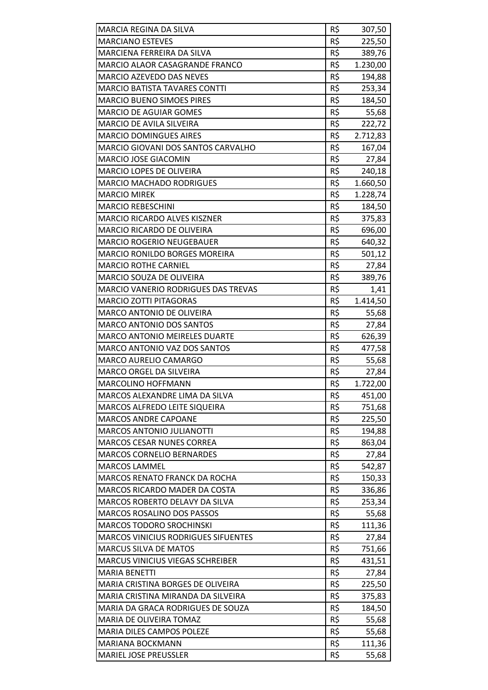| MARCIA REGINA DA SILVA                     | R\$ |          |
|--------------------------------------------|-----|----------|
| <b>MARCIANO ESTEVES</b>                    | R\$ | 307,50   |
| MARCIENA FERREIRA DA SILVA                 | R\$ | 225,50   |
| MARCIO ALAOR CASAGRANDE FRANCO             | R\$ | 389,76   |
|                                            | R\$ | 1.230,00 |
| <b>MARCIO AZEVEDO DAS NEVES</b>            | R\$ | 194,88   |
| <b>MARCIO BATISTA TAVARES CONTTI</b>       |     | 253,34   |
| <b>MARCIO BUENO SIMOES PIRES</b>           | R\$ | 184,50   |
| <b>MARCIO DE AGUIAR GOMES</b>              | R\$ | 55,68    |
| MARCIO DE AVILA SILVEIRA                   | R\$ | 222,72   |
| <b>MARCIO DOMINGUES AIRES</b>              | R\$ | 2.712,83 |
| MARCIO GIOVANI DOS SANTOS CARVALHO         | R\$ | 167,04   |
| MARCIO JOSE GIACOMIN                       | R\$ | 27,84    |
| MARCIO LOPES DE OLIVEIRA                   | R\$ | 240,18   |
| <b>MARCIO MACHADO RODRIGUES</b>            | R\$ | 1.660,50 |
| <b>MARCIO MIREK</b>                        | R\$ | 1.228,74 |
| <b>MARCIO REBESCHINI</b>                   | R\$ | 184,50   |
| <b>MARCIO RICARDO ALVES KISZNER</b>        | R\$ | 375,83   |
| MARCIO RICARDO DE OLIVEIRA                 | R\$ | 696,00   |
| <b>MARCIO ROGERIO NEUGEBAUER</b>           | R\$ | 640,32   |
| <b>MARCIO RONILDO BORGES MOREIRA</b>       | R\$ | 501,12   |
| <b>MARCIO ROTHE CARNIEL</b>                | R\$ | 27,84    |
| MARCIO SOUZA DE OLIVEIRA                   | R\$ | 389,76   |
| MARCIO VANERIO RODRIGUES DAS TREVAS        | R\$ | 1,41     |
| <b>MARCIO ZOTTI PITAGORAS</b>              | R\$ | 1.414,50 |
| MARCO ANTONIO DE OLIVEIRA                  | R\$ | 55,68    |
| <b>MARCO ANTONIO DOS SANTOS</b>            | R\$ | 27,84    |
| <b>MARCO ANTONIO MEIRELES DUARTE</b>       | R\$ | 626,39   |
| <b>MARCO ANTONIO VAZ DOS SANTOS</b>        | R\$ | 477,58   |
| MARCO AURELIO CAMARGO                      | R\$ | 55,68    |
| MARCO ORGEL DA SILVEIRA                    | R\$ | 27,84    |
| <b>MARCOLINO HOFFMANN</b>                  | R\$ | 1.722,00 |
| MARCOS ALEXANDRE LIMA DA SILVA             | R\$ | 451,00   |
| MARCOS ALFREDO LEITE SIQUEIRA              | R\$ | 751,68   |
| <b>MARCOS ANDRE CAPOANE</b>                | R\$ | 225,50   |
| <b>MARCOS ANTONIO JULIANOTTI</b>           | R\$ | 194,88   |
| <b>MARCOS CESAR NUNES CORREA</b>           | R\$ | 863,04   |
| <b>MARCOS CORNELIO BERNARDES</b>           | R\$ | 27,84    |
| <b>MARCOS LAMMEL</b>                       | R\$ | 542,87   |
| <b>MARCOS RENATO FRANCK DA ROCHA</b>       | R\$ | 150,33   |
| MARCOS RICARDO MADER DA COSTA              | R\$ | 336,86   |
| MARCOS ROBERTO DELAVY DA SILVA             | R\$ | 253,34   |
| <b>MARCOS ROSALINO DOS PASSOS</b>          | R\$ | 55,68    |
| <b>MARCOS TODORO SROCHINSKI</b>            | R\$ | 111,36   |
| <b>MARCOS VINICIUS RODRIGUES SIFUENTES</b> | R\$ | 27,84    |
| MARCUS SILVA DE MATOS                      | R\$ | 751,66   |
| <b>MARCUS VINICIUS VIEGAS SCHREIBER</b>    | R\$ | 431,51   |
| <b>MARIA BENETTI</b>                       | R\$ | 27,84    |
| MARIA CRISTINA BORGES DE OLIVEIRA          | R\$ | 225,50   |
| MARIA CRISTINA MIRANDA DA SILVEIRA         | R\$ | 375,83   |
| MARIA DA GRACA RODRIGUES DE SOUZA          | R\$ | 184,50   |
| MARIA DE OLIVEIRA TOMAZ                    | R\$ | 55,68    |
| MARIA DILES CAMPOS POLEZE                  | R\$ | 55,68    |
| MARIANA BOCKMANN                           | R\$ | 111,36   |
| <b>MARIEL JOSE PREUSSLER</b>               | R\$ | 55,68    |
|                                            |     |          |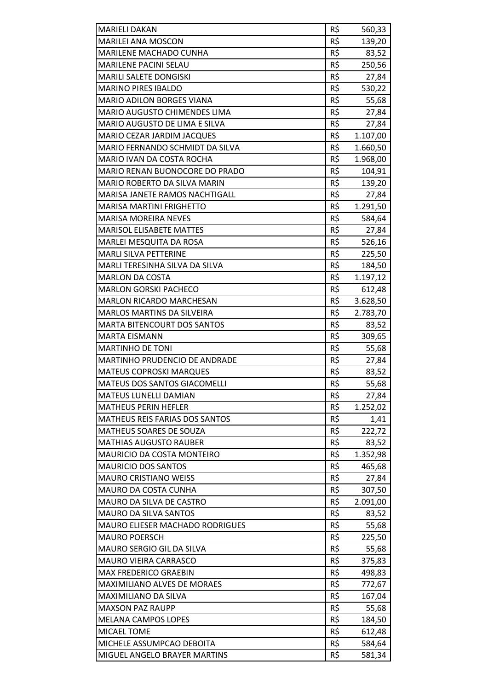| <b>MARIELI DAKAN</b>                   | R\$             | 560,33   |
|----------------------------------------|-----------------|----------|
| <b>MARILEI ANA MOSCON</b>              | R\$             | 139,20   |
| MARILENE MACHADO CUNHA                 | R\$             | 83,52    |
| <b>MARILENE PACINI SELAU</b>           | R\$             | 250,56   |
| MARILI SALETE DONGISKI                 | R\$             | 27,84    |
| <b>MARINO PIRES IBALDO</b>             | R\$             | 530,22   |
| <b>MARIO ADILON BORGES VIANA</b>       | R\$             | 55,68    |
| MARIO AUGUSTO CHIMENDES LIMA           | R\$             | 27,84    |
| MARIO AUGUSTO DE LIMA E SILVA          | R\$             | 27,84    |
| MARIO CEZAR JARDIM JACQUES             | R\$             | 1.107,00 |
| MARIO FERNANDO SCHMIDT DA SILVA        | R\$             | 1.660,50 |
| MARIO IVAN DA COSTA ROCHA              | R\$             | 1.968,00 |
| MARIO RENAN BUONOCORE DO PRADO         | R\$             | 104,91   |
| MARIO ROBERTO DA SILVA MARIN           | R\$             | 139,20   |
| <b>MARISA JANETE RAMOS NACHTIGALL</b>  | R\$             | 27,84    |
| <b>MARISA MARTINI FRIGHETTO</b>        | R\$             | 1.291,50 |
| <b>MARISA MOREIRA NEVES</b>            | R\$             | 584,64   |
| <b>MARISOL ELISABETE MATTES</b>        | R\$             | 27,84    |
| MARLEI MESQUITA DA ROSA                | R\$             | 526,16   |
| <b>MARLI SILVA PETTERINE</b>           | R\$             | 225,50   |
| MARLI TERESINHA SILVA DA SILVA         | R\$             | 184,50   |
| <b>MARLON DA COSTA</b>                 | R\$             | 1.197,12 |
| <b>MARLON GORSKI PACHECO</b>           | R\$             | 612,48   |
| <b>MARLON RICARDO MARCHESAN</b>        | R\$             | 3.628,50 |
| <b>MARLOS MARTINS DA SILVEIRA</b>      | R\$             | 2.783,70 |
| <b>MARTA BITENCOURT DOS SANTOS</b>     | $R\overline{S}$ | 83,52    |
| <b>MARTA EISMANN</b>                   | R\$             | 309,65   |
| <b>MARTINHO DE TONI</b>                | R\$             | 55,68    |
| MARTINHO PRUDENCIO DE ANDRADE          | R\$             | 27,84    |
| <b>MATEUS COPROSKI MARQUES</b>         | R\$             | 83,52    |
| MATEUS DOS SANTOS GIACOMELLI           | R\$             | 55,68    |
| MATEUS LUNELLI DAMIAN                  | R\$             | 27,84    |
| <b>MATHEUS PERIN HEFLER</b>            | R\$             | 1.252,02 |
| MATHEUS REIS FARIAS DOS SANTOS         | R\$             | 1,41     |
| MATHEUS SOARES DE SOUZA                | R\$             | 222,72   |
| <b>MATHIAS AUGUSTO RAUBER</b>          | R\$             | 83,52    |
| <b>MAURICIO DA COSTA MONTEIRO</b>      | R\$             | 1.352,98 |
| <b>MAURICIO DOS SANTOS</b>             | R\$             | 465,68   |
| <b>MAURO CRISTIANO WEISS</b>           | R\$             | 27,84    |
| MAURO DA COSTA CUNHA                   | R\$             | 307,50   |
| MAURO DA SILVA DE CASTRO               | R\$             | 2.091,00 |
| <b>MAURO DA SILVA SANTOS</b>           | R\$             | 83,52    |
| <b>MAURO ELIESER MACHADO RODRIGUES</b> | R\$             | 55,68    |
| <b>MAURO POERSCH</b>                   | R\$             | 225,50   |
| MAURO SERGIO GIL DA SILVA              | R\$             | 55,68    |
| MAURO VIEIRA CARRASCO                  | R\$             | 375,83   |
| MAX FREDERICO GRAEBIN                  | R\$             | 498,83   |
| MAXIMILIANO ALVES DE MORAES            | R\$             | 772,67   |
| MAXIMILIANO DA SILVA                   | R\$             | 167,04   |
| <b>MAXSON PAZ RAUPP</b>                | R\$             | 55,68    |
| <b>MELANA CAMPOS LOPES</b>             | R\$             | 184,50   |
| MICAEL TOME                            | R\$             | 612,48   |
| MICHELE ASSUMPCAO DEBOITA              | R\$             | 584,64   |
| MIGUEL ANGELO BRAYER MARTINS           | R\$             | 581,34   |
|                                        |                 |          |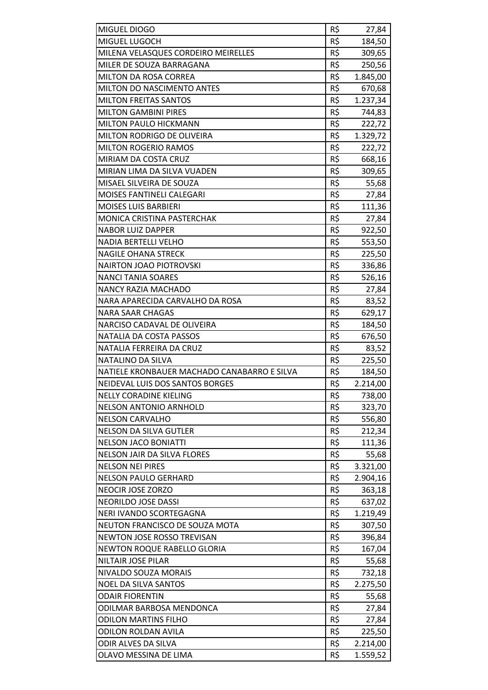| MIGUEL DIOGO                                 | R\$        | 27,84                |
|----------------------------------------------|------------|----------------------|
| MIGUEL LUGOCH                                | R\$        | 184,50               |
| MILENA VELASQUES CORDEIRO MEIRELLES          | R\$        | 309,65               |
| MILER DE SOUZA BARRAGANA                     | R\$        | 250,56               |
| <b>MILTON DA ROSA CORREA</b>                 | R\$        | 1.845,00             |
| MILTON DO NASCIMENTO ANTES                   | R\$        | 670,68               |
| <b>MILTON FREITAS SANTOS</b>                 | R\$        | 1.237,34             |
| <b>MILTON GAMBINI PIRES</b>                  | R\$        | 744,83               |
| MILTON PAULO HICKMANN                        | R\$        | 222,72               |
| <b>MILTON RODRIGO DE OLIVEIRA</b>            | R\$        | 1.329,72             |
| <b>MILTON ROGERIO RAMOS</b>                  | R\$        | 222,72               |
| MIRIAM DA COSTA CRUZ                         | R\$        | 668,16               |
| MIRIAN LIMA DA SILVA VUADEN                  | R\$        | 309,65               |
| MISAEL SILVEIRA DE SOUZA                     | R\$        | 55,68                |
| <b>MOISES FANTINELI CALEGARI</b>             | R\$        | 27,84                |
| <b>MOISES LUIS BARBIERI</b>                  | R\$        | 111,36               |
| MONICA CRISTINA PASTERCHAK                   | R\$        | 27,84                |
| <b>NABOR LUIZ DAPPER</b>                     | R\$        | 922,50               |
| NADIA BERTELLI VELHO                         | R\$        | 553,50               |
| <b>NAGILE OHANA STRECK</b>                   | R\$        | 225,50               |
| <b>NAIRTON JOAO PIOTROVSKI</b>               | R\$        | 336,86               |
| <b>NANCI TANIA SOARES</b>                    | R\$        | 526,16               |
| <b>NANCY RAZIA MACHADO</b>                   | R\$        | 27,84                |
| NARA APARECIDA CARVALHO DA ROSA              | R\$        | 83,52                |
| <b>NARA SAAR CHAGAS</b>                      | R\$        | 629,17               |
| NARCISO CADAVAL DE OLIVEIRA                  | R\$        | 184,50               |
| NATALIA DA COSTA PASSOS                      | R\$        | 676,50               |
| NATALIA FERREIRA DA CRUZ                     | R\$        | 83,52                |
|                                              |            |                      |
| NATALINO DA SILVA                            | R\$        | 225,50               |
| NATIELE KRONBAUER MACHADO CANABARRO E SILVA  | R\$        | 184,50               |
| NEIDEVAL LUIS DOS SANTOS BORGES              | R\$        | 2.214,00             |
| <b>NELLY CORADINE KIELING</b>                | R\$        | 738,00               |
| <b>NELSON ANTONIO ARNHOLD</b>                | R\$        | 323,70               |
| <b>NELSON CARVALHO</b>                       | R\$        | 556,80               |
| <b>NELSON DA SILVA GUTLER</b>                | R\$        | 212,34               |
| <b>NELSON JACO BONIATTI</b>                  | R\$        | 111,36               |
| <b>NELSON JAIR DA SILVA FLORES</b>           | R\$        | 55,68                |
| <b>NELSON NEI PIRES</b>                      | R\$        | 3.321,00             |
| <b>NELSON PAULO GERHARD</b>                  | R\$        | 2.904,16             |
| <b>NEOCIR JOSE ZORZO</b>                     | R\$        | 363,18               |
| NEORILDO JOSE DASSI                          | R\$        | 637,02               |
| NERI IVANDO SCORTEGAGNA                      | R\$        | 1.219,49             |
| NEUTON FRANCISCO DE SOUZA MOTA               | R\$        | 307,50               |
| NEWTON JOSE ROSSO TREVISAN                   | R\$        | 396,84               |
| NEWTON ROQUE RABELLO GLORIA                  | R\$        | 167,04               |
| <b>NILTAIR JOSE PILAR</b>                    | R\$        | 55,68                |
| NIVALDO SOUZA MORAIS                         | R\$        | 732,18               |
| <b>NOEL DA SILVA SANTOS</b>                  | R\$        | 2.275,50             |
| <b>ODAIR FIORENTIN</b>                       | R\$        | 55,68                |
| ODILMAR BARBOSA MENDONCA                     | R\$        | 27,84                |
| <b>ODILON MARTINS FILHO</b>                  | R\$        | 27,84                |
| <b>ODILON ROLDAN AVILA</b>                   | R\$        | 225,50               |
| ODIR ALVES DA SILVA<br>OLAVO MESSINA DE LIMA | R\$<br>R\$ | 2.214,00<br>1.559,52 |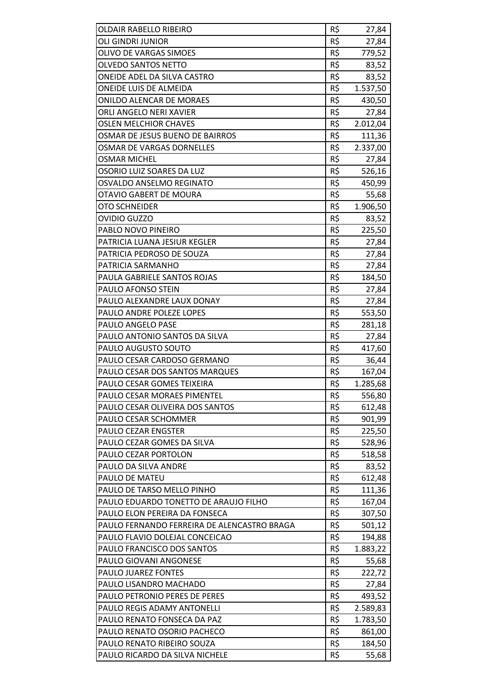| <b>OLDAIR RABELLO RIBEIRO</b>               | R\$ | 27,84    |
|---------------------------------------------|-----|----------|
| OLI GINDRI JUNIOR                           | R\$ | 27,84    |
| <b>OLIVO DE VARGAS SIMOES</b>               | R\$ | 779,52   |
| OLVEDO SANTOS NETTO                         | R\$ | 83,52    |
| ONEIDE ADEL DA SILVA CASTRO                 | R\$ | 83,52    |
| ONEIDE LUIS DE ALMEIDA                      | R\$ | 1.537,50 |
| <b>ONILDO ALENCAR DE MORAES</b>             | R\$ | 430,50   |
| ORLI ANGELO NERI XAVIER                     | R\$ |          |
|                                             | R\$ | 27,84    |
| <b>OSLEN MELCHIOR CHAVES</b>                | R\$ | 2.012,04 |
| OSMAR DE JESUS BUENO DE BAIRROS             |     | 111,36   |
| OSMAR DE VARGAS DORNELLES                   | R\$ | 2.337,00 |
| <b>OSMAR MICHEL</b>                         | R\$ | 27,84    |
| OSORIO LUIZ SOARES DA LUZ                   | R\$ | 526,16   |
| OSVALDO ANSELMO REGINATO                    | R\$ | 450,99   |
| OTAVIO GABERT DE MOURA                      | R\$ | 55,68    |
| <b>OTO SCHNEIDER</b>                        | R\$ | 1.906,50 |
| OVIDIO GUZZO                                | R\$ | 83,52    |
| PABLO NOVO PINEIRO                          | R\$ | 225,50   |
| PATRICIA LUANA JESIUR KEGLER                | R\$ | 27,84    |
| PATRICIA PEDROSO DE SOUZA                   | R\$ | 27,84    |
| PATRICIA SARMANHO                           | R\$ | 27,84    |
| PAULA GABRIELE SANTOS ROJAS                 | R\$ | 184,50   |
| PAULO AFONSO STEIN                          | R\$ | 27,84    |
| PAULO ALEXANDRE LAUX DONAY                  | R\$ | 27,84    |
| PAULO ANDRE POLEZE LOPES                    | R\$ | 553,50   |
| PAULO ANGELO PASE                           | R\$ | 281,18   |
| PAULO ANTONIO SANTOS DA SILVA               | R\$ | 27,84    |
| PAULO AUGUSTO SOUTO                         | R\$ | 417,60   |
| PAULO CESAR CARDOSO GERMANO                 | R\$ | 36,44    |
| PAULO CESAR DOS SANTOS MARQUES              | R\$ | 167,04   |
| PAULO CESAR GOMES TEIXEIRA                  | R\$ | 1.285,68 |
| PAULO CESAR MORAES PIMENTEL                 | R\$ | 556,80   |
| PAULO CESAR OLIVEIRA DOS SANTOS             | R\$ | 612,48   |
| PAULO CESAR SCHOMMER                        | R\$ | 901,99   |
| PAULO CEZAR ENGSTER                         | R\$ | 225,50   |
| PAULO CEZAR GOMES DA SILVA                  | R\$ | 528,96   |
| PAULO CEZAR PORTOLON                        | R\$ | 518,58   |
| PAULO DA SILVA ANDRE                        | R\$ | 83,52    |
| PAULO DE MATEU                              | R\$ | 612,48   |
| PAULO DE TARSO MELLO PINHO                  | R\$ | 111,36   |
| PAULO EDUARDO TONETTO DE ARAUJO FILHO       | R\$ | 167,04   |
| PAULO ELON PEREIRA DA FONSECA               | R\$ | 307,50   |
| PAULO FERNANDO FERREIRA DE ALENCASTRO BRAGA | R\$ | 501,12   |
| PAULO FLAVIO DOLEJAL CONCEICAO              | R\$ | 194,88   |
| PAULO FRANCISCO DOS SANTOS                  | R\$ | 1.883,22 |
| PAULO GIOVANI ANGONESE                      | R\$ | 55,68    |
| PAULO JUAREZ FONTES                         | R\$ | 222,72   |
| PAULO LISANDRO MACHADO                      | R\$ | 27,84    |
| PAULO PETRONIO PERES DE PERES               | R\$ | 493,52   |
| PAULO REGIS ADAMY ANTONELLI                 | R\$ | 2.589,83 |
| PAULO RENATO FONSECA DA PAZ                 | R\$ | 1.783,50 |
| PAULO RENATO OSORIO PACHECO                 | R\$ | 861,00   |
| PAULO RENATO RIBEIRO SOUZA                  | R\$ | 184,50   |
| PAULO RICARDO DA SILVA NICHELE              | R\$ | 55,68    |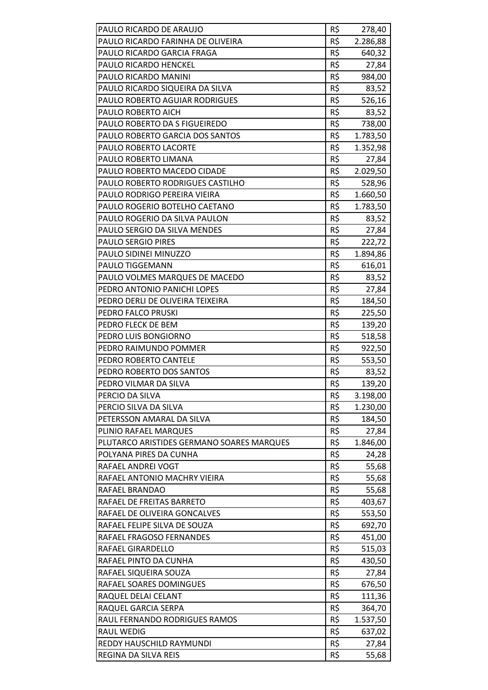| PAULO RICARDO DE ARAUJO                   | R\$ | 278,40   |
|-------------------------------------------|-----|----------|
| PAULO RICARDO FARINHA DE OLIVEIRA         | R\$ | 2.286,88 |
| PAULO RICARDO GARCIA FRAGA                | R\$ | 640,32   |
| <b>PAULO RICARDO HENCKEL</b>              | R\$ | 27,84    |
| PAULO RICARDO MANINI                      | R\$ | 984,00   |
| PAULO RICARDO SIQUEIRA DA SILVA           | R\$ | 83,52    |
| <b>PAULO ROBERTO AGUIAR RODRIGUES</b>     | R\$ | 526,16   |
| PAULO ROBERTO AICH                        | R\$ | 83,52    |
| PAULO ROBERTO DA S FIGUEIREDO             | R\$ | 738,00   |
| PAULO ROBERTO GARCIA DOS SANTOS           | R\$ | 1.783,50 |
| PAULO ROBERTO LACORTE                     | R\$ | 1.352,98 |
| PAULO ROBERTO LIMANA                      | R\$ | 27,84    |
| PAULO ROBERTO MACEDO CIDADE               | R\$ | 2.029,50 |
| PAULO ROBERTO RODRIGUES CASTILHO          | R\$ | 528,96   |
| PAULO RODRIGO PEREIRA VIEIRA              | R\$ | 1.660,50 |
| PAULO ROGERIO BOTELHO CAETANO             | R\$ | 1.783,50 |
| PAULO ROGERIO DA SILVA PAULON             | R\$ | 83,52    |
| PAULO SERGIO DA SILVA MENDES              | R\$ | 27,84    |
| <b>PAULO SERGIO PIRES</b>                 | R\$ | 222,72   |
| PAULO SIDINEI MINUZZO                     | R\$ | 1.894,86 |
| PAULO TIGGEMANN                           | R\$ | 616,01   |
| PAULO VOLMES MARQUES DE MACEDO            | R\$ | 83,52    |
| PEDRO ANTONIO PANICHI LOPES               | R\$ | 27,84    |
| PEDRO DERLI DE OLIVEIRA TEIXEIRA          | R\$ | 184,50   |
| PEDRO FALCO PRUSKI                        | R\$ | 225,50   |
| PEDRO FLECK DE BEM                        | R\$ | 139,20   |
| PEDRO LUIS BONGIORNO                      | R\$ | 518,58   |
| PEDRO RAIMUNDO POMMER                     | R\$ | 922,50   |
| PEDRO ROBERTO CANTELE                     | R\$ | 553,50   |
| PEDRO ROBERTO DOS SANTOS                  | R\$ | 83,52    |
| PEDRO VILMAR DA SILVA                     | R\$ | 139,20   |
| PERCIO DA SILVA                           | R\$ | 3.198,00 |
| PERCIO SILVA DA SILVA                     | R\$ | 1.230,00 |
| PETERSSON AMARAL DA SILVA                 | R\$ | 184,50   |
| PLINIO RAFAEL MARQUES                     | R\$ | 27,84    |
| PLUTARCO ARISTIDES GERMANO SOARES MARQUES | R\$ | 1.846,00 |
| POLYANA PIRES DA CUNHA                    | R\$ | 24,28    |
| RAFAEL ANDREI VOGT                        | R\$ | 55,68    |
| RAFAEL ANTONIO MACHRY VIEIRA              | R\$ | 55,68    |
| RAFAEL BRANDAO                            | R\$ | 55,68    |
| RAFAEL DE FREITAS BARRETO                 | R\$ | 403,67   |
| RAFAEL DE OLIVEIRA GONCALVES              | R\$ | 553,50   |
| RAFAEL FELIPE SILVA DE SOUZA              | R\$ | 692,70   |
| RAFAEL FRAGOSO FERNANDES                  | R\$ | 451,00   |
| RAFAEL GIRARDELLO                         | R\$ | 515,03   |
| RAFAEL PINTO DA CUNHA                     | R\$ | 430,50   |
| RAFAEL SIQUEIRA SOUZA                     | R\$ | 27,84    |
| RAFAEL SOARES DOMINGUES                   | R\$ | 676,50   |
| RAQUEL DELAI CELANT                       | R\$ | 111,36   |
| RAQUEL GARCIA SERPA                       | R\$ | 364,70   |
| RAUL FERNANDO RODRIGUES RAMOS             | R\$ | 1.537,50 |
| <b>RAUL WEDIG</b>                         | R\$ | 637,02   |
| REDDY HAUSCHILD RAYMUNDI                  | R\$ | 27,84    |
| REGINA DA SILVA REIS                      | R\$ | 55,68    |
|                                           |     |          |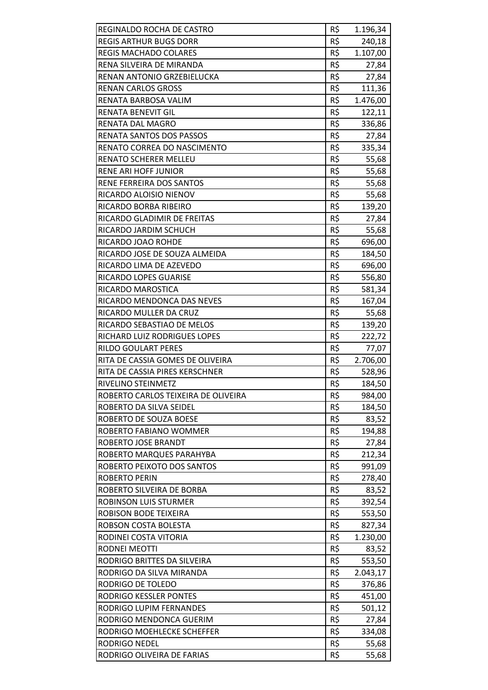| REGINALDO ROCHA DE CASTRO           | R\$ | 1.196,34 |
|-------------------------------------|-----|----------|
| <b>REGIS ARTHUR BUGS DORR</b>       | R\$ | 240,18   |
| <b>REGIS MACHADO COLARES</b>        | R\$ | 1.107,00 |
| RENA SILVEIRA DE MIRANDA            | R\$ | 27,84    |
| RENAN ANTONIO GRZEBIELUCKA          | R\$ | 27,84    |
| <b>RENAN CARLOS GROSS</b>           | R\$ | 111,36   |
| RENATA BARBOSA VALIM                | R\$ | 1.476,00 |
| RENATA BENEVIT GIL                  | R\$ | 122,11   |
| <b>RENATA DAL MAGRO</b>             | R\$ | 336,86   |
| RENATA SANTOS DOS PASSOS            | R\$ | 27,84    |
| RENATO CORREA DO NASCIMENTO         | R\$ | 335,34   |
| RENATO SCHERER MELLEU               | R\$ | 55,68    |
| <b>RENE ARI HOFF JUNIOR</b>         | R\$ | 55,68    |
| RENE FERREIRA DOS SANTOS            | R\$ | 55,68    |
| RICARDO ALOISIO NIENOV              | R\$ | 55,68    |
| RICARDO BORBA RIBEIRO               | R\$ | 139,20   |
| RICARDO GLADIMIR DE FREITAS         | R\$ | 27,84    |
| RICARDO JARDIM SCHUCH               | R\$ |          |
| RICARDO JOAO ROHDE                  | R\$ | 55,68    |
|                                     | R\$ | 696,00   |
| RICARDO JOSE DE SOUZA ALMEIDA       | R\$ | 184,50   |
| RICARDO LIMA DE AZEVEDO             |     | 696,00   |
| RICARDO LOPES GUARISE               | R\$ | 556,80   |
| RICARDO MAROSTICA                   | R\$ | 581,34   |
| RICARDO MENDONCA DAS NEVES          | R\$ | 167,04   |
| RICARDO MULLER DA CRUZ              | R\$ | 55,68    |
| RICARDO SEBASTIAO DE MELOS          | R\$ | 139,20   |
| RICHARD LUIZ RODRIGUES LOPES        | R\$ | 222,72   |
| <b>RILDO GOULART PERES</b>          | R\$ | 77,07    |
| RITA DE CASSIA GOMES DE OLIVEIRA    | R\$ | 2.706,00 |
| RITA DE CASSIA PIRES KERSCHNER      | R\$ | 528,96   |
| RIVELINO STEINMETZ                  | R\$ | 184,50   |
| ROBERTO CARLOS TEIXEIRA DE OLIVEIRA | R\$ | 984,00   |
| ROBERTO DA SILVA SEIDEL             | R\$ | 184,50   |
| ROBERTO DE SOUZA BOESE              | R\$ | 83,52    |
| ROBERTO FABIANO WOMMER              | R\$ | 194,88   |
| ROBERTO JOSE BRANDT                 | R\$ | 27,84    |
| ROBERTO MARQUES PARAHYBA            | R\$ | 212,34   |
| ROBERTO PEIXOTO DOS SANTOS          | R\$ | 991,09   |
| <b>ROBERTO PERIN</b>                | R\$ | 278,40   |
| ROBERTO SILVEIRA DE BORBA           | R\$ | 83,52    |
| ROBINSON LUIS STURMER               | R\$ | 392,54   |
| ROBISON BODE TEIXEIRA               | R\$ | 553,50   |
| ROBSON COSTA BOLESTA                | R\$ | 827,34   |
| RODINEI COSTA VITORIA               | R\$ | 1.230,00 |
| RODNEI MEOTTI                       | R\$ | 83,52    |
| RODRIGO BRITTES DA SILVEIRA         | R\$ | 553,50   |
| RODRIGO DA SILVA MIRANDA            | R\$ | 2.043,17 |
| RODRIGO DE TOLEDO                   | R\$ | 376,86   |
| RODRIGO KESSLER PONTES              | R\$ | 451,00   |
| RODRIGO LUPIM FERNANDES             | R\$ | 501,12   |
| RODRIGO MENDONCA GUERIM             | R\$ | 27,84    |
| RODRIGO MOEHLECKE SCHEFFER          | R\$ | 334,08   |
| RODRIGO NEDEL                       | R\$ | 55,68    |
| RODRIGO OLIVEIRA DE FARIAS          | R\$ | 55,68    |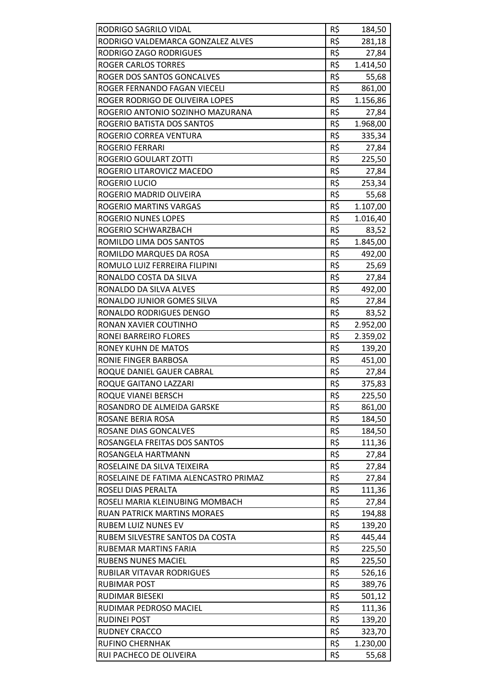| RODRIGO SAGRILO VIDAL                 | R\$        | 184,50   |
|---------------------------------------|------------|----------|
| RODRIGO VALDEMARCA GONZALEZ ALVES     | R\$        | 281,18   |
| RODRIGO ZAGO RODRIGUES                | R\$        | 27,84    |
| <b>ROGER CARLOS TORRES</b>            | R\$        | 1.414,50 |
| ROGER DOS SANTOS GONCALVES            | R\$        | 55,68    |
| ROGER FERNANDO FAGAN VIECELI          | R\$        | 861,00   |
| ROGER RODRIGO DE OLIVEIRA LOPES       | R\$        | 1.156,86 |
| ROGERIO ANTONIO SOZINHO MAZURANA      | R\$        | 27,84    |
| ROGERIO BATISTA DOS SANTOS            | R\$        | 1.968,00 |
| ROGERIO CORREA VENTURA                | R\$        | 335,34   |
| ROGERIO FERRARI                       | R\$        | 27,84    |
| ROGERIO GOULART ZOTTI                 | R\$        | 225,50   |
| ROGERIO LITAROVICZ MACEDO             | R\$        | 27,84    |
| ROGERIO LUCIO                         | R\$        | 253,34   |
| ROGERIO MADRID OLIVEIRA               | R\$        | 55,68    |
| ROGERIO MARTINS VARGAS                | R\$        | 1.107,00 |
| <b>ROGERIO NUNES LOPES</b>            | R\$        | 1.016,40 |
| ROGERIO SCHWARZBACH                   | R\$        |          |
|                                       | R\$        | 83,52    |
| ROMILDO LIMA DOS SANTOS               |            | 1.845,00 |
| ROMILDO MARQUES DA ROSA               | R\$<br>R\$ | 492,00   |
| ROMULO LUIZ FERREIRA FILIPINI         |            | 25,69    |
| RONALDO COSTA DA SILVA                | R\$        | 27,84    |
| RONALDO DA SILVA ALVES                | R\$        | 492,00   |
| RONALDO JUNIOR GOMES SILVA            | R\$        | 27,84    |
| RONALDO RODRIGUES DENGO               | R\$        | 83,52    |
| RONAN XAVIER COUTINHO                 | R\$        | 2.952,00 |
| RONEI BARREIRO FLORES                 | R\$        | 2.359,02 |
| <b>RONEY KUHN DE MATOS</b>            | R\$        | 139,20   |
| RONIE FINGER BARBOSA                  | R\$        | 451,00   |
| ROQUE DANIEL GAUER CABRAL             | R\$        | 27,84    |
| ROQUE GAITANO LAZZARI                 | R\$        | 375,83   |
| ROQUE VIANEI BERSCH                   | R\$        | 225,50   |
| ROSANDRO DE ALMEIDA GARSKE            | R\$        | 861,00   |
| ROSANE BERIA ROSA                     | R\$        | 184,50   |
| ROSANE DIAS GONCALVES                 | R\$        | 184,50   |
| ROSANGELA FREITAS DOS SANTOS          | R\$        | 111,36   |
| ROSANGELA HARTMANN                    | R\$        | 27,84    |
| ROSELAINE DA SILVA TEIXEIRA           | R\$        | 27,84    |
| ROSELAINE DE FATIMA ALENCASTRO PRIMAZ | R\$        | 27,84    |
| ROSELI DIAS PERALTA                   | R\$        | 111,36   |
| ROSELI MARIA KLEINUBING MOMBACH       | R\$        | 27,84    |
| <b>RUAN PATRICK MARTINS MORAES</b>    | R\$        | 194,88   |
| <b>RUBEM LUIZ NUNES EV</b>            | R\$        | 139,20   |
| RUBEM SILVESTRE SANTOS DA COSTA       | R\$        | 445,44   |
| RUBEMAR MARTINS FARIA                 | R\$        | 225,50   |
| <b>RUBENS NUNES MACIEL</b>            | R\$        | 225,50   |
| RUBILAR VITAVAR RODRIGUES             | R\$        | 526,16   |
| <b>RUBIMAR POST</b>                   | R\$        | 389,76   |
| RUDIMAR BIESEKI                       | R\$        | 501,12   |
| RUDIMAR PEDROSO MACIEL                | R\$        | 111,36   |
| <b>RUDINEI POST</b>                   | R\$        | 139,20   |
| <b>RUDNEY CRACCO</b>                  | R\$        | 323,70   |
| <b>RUFINO CHERNHAK</b>                | R\$        | 1.230,00 |
| RUI PACHECO DE OLIVEIRA               | R\$        | 55,68    |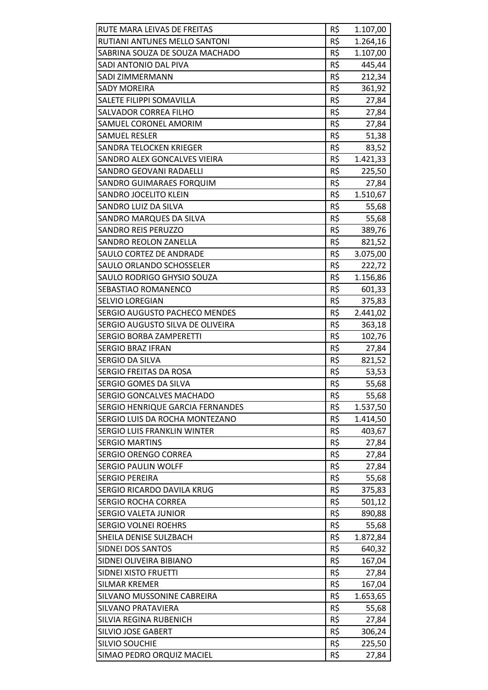| RUTE MARA LEIVAS DE FREITAS          | R\$ | 1.107,00 |
|--------------------------------------|-----|----------|
| RUTIANI ANTUNES MELLO SANTONI        | R\$ | 1.264,16 |
| SABRINA SOUZA DE SOUZA MACHADO       | R\$ | 1.107,00 |
| SADI ANTONIO DAL PIVA                | R\$ | 445,44   |
| SADI ZIMMERMANN                      | R\$ | 212,34   |
| <b>SADY MOREIRA</b>                  | R\$ | 361,92   |
| SALETE FILIPPI SOMAVILLA             | R\$ | 27,84    |
| <b>SALVADOR CORREA FILHO</b>         | R\$ | 27,84    |
| SAMUEL CORONEL AMORIM                | R\$ | 27,84    |
| <b>SAMUEL RESLER</b>                 | R\$ | 51,38    |
| SANDRA TELOCKEN KRIEGER              | R\$ | 83,52    |
| SANDRO ALEX GONCALVES VIEIRA         | R\$ | 1.421,33 |
| <b>SANDRO GEOVANI RADAELLI</b>       | R\$ | 225,50   |
| SANDRO GUIMARAES FORQUIM             | R\$ | 27,84    |
| SANDRO JOCELITO KLEIN                | R\$ | 1.510,67 |
| SANDRO LUIZ DA SILVA                 | R\$ | 55,68    |
| SANDRO MARQUES DA SILVA              | R\$ | 55,68    |
| <b>SANDRO REIS PERUZZO</b>           | R\$ | 389,76   |
| <b>SANDRO REOLON ZANELLA</b>         | R\$ | 821,52   |
| SAULO CORTEZ DE ANDRADE              | R\$ | 3.075,00 |
| SAULO ORLANDO SCHOSSELER             | R\$ | 222,72   |
| SAULO RODRIGO GHYSIO SOUZA           | R\$ | 1.156,86 |
| SEBASTIAO ROMANENCO                  | R\$ | 601,33   |
| <b>SELVIO LOREGIAN</b>               | R\$ | 375,83   |
| <b>SERGIO AUGUSTO PACHECO MENDES</b> | R\$ | 2.441,02 |
| SERGIO AUGUSTO SILVA DE OLIVEIRA     | R\$ | 363,18   |
| <b>SERGIO BORBA ZAMPERETTI</b>       | R\$ | 102,76   |
| <b>SERGIO BRAZ IFRAN</b>             | R\$ | 27,84    |
| SERGIO DA SILVA                      | R\$ | 821,52   |
| SERGIO FREITAS DA ROSA               | R\$ | 53,53    |
| SERGIO GOMES DA SILVA                | R\$ | 55,68    |
| SERGIO GONCALVES MACHADO             | R\$ | 55,68    |
| SERGIO HENRIQUE GARCIA FERNANDES     | R\$ | 1.537,50 |
| SERGIO LUIS DA ROCHA MONTEZANO       | R\$ | 1.414,50 |
| SERGIO LUIS FRANKLIN WINTER          | R\$ | 403,67   |
| <b>SERGIO MARTINS</b>                | R\$ | 27,84    |
| SERGIO ORENGO CORREA                 | R\$ | 27,84    |
| <b>SERGIO PAULIN WOLFF</b>           | R\$ | 27,84    |
| <b>SERGIO PEREIRA</b>                | R\$ | 55,68    |
| SERGIO RICARDO DAVILA KRUG           | R\$ | 375,83   |
| <b>SERGIO ROCHA CORREA</b>           | R\$ | 501,12   |
| SERGIO VALETA JUNIOR                 | R\$ | 890,88   |
| <b>SERGIO VOLNEI ROEHRS</b>          | R\$ | 55,68    |
| SHEILA DENISE SULZBACH               | R\$ | 1.872,84 |
| SIDNEI DOS SANTOS                    | R\$ | 640,32   |
| SIDNEI OLIVEIRA BIBIANO              | R\$ | 167,04   |
| SIDNEI XISTO FRUETTI                 | R\$ | 27,84    |
| <b>SILMAR KREMER</b>                 | R\$ | 167,04   |
| SILVANO MUSSONINE CABREIRA           | R\$ | 1.653,65 |
| <b>SILVANO PRATAVIERA</b>            | R\$ | 55,68    |
| SILVIA REGINA RUBENICH               | R\$ | 27,84    |
| <b>SILVIO JOSE GABERT</b>            | R\$ | 306,24   |
| SILVIO SOUCHIE                       | R\$ | 225,50   |
| SIMAO PEDRO ORQUIZ MACIEL            | R\$ | 27,84    |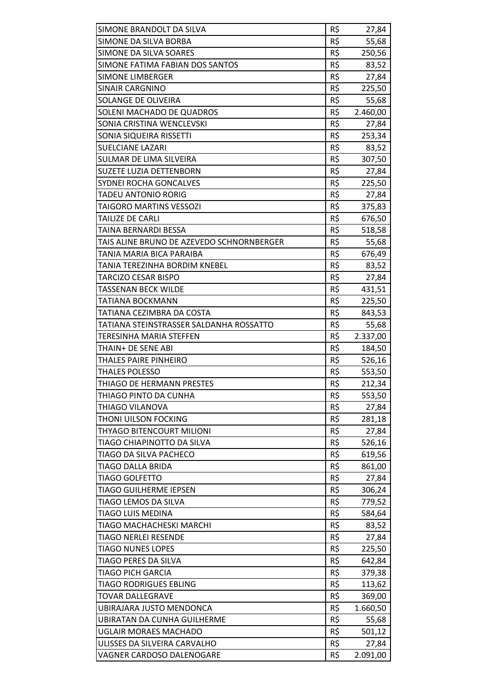| SIMONE BRANDOLT DA SILVA                         | R\$ | 27,84    |
|--------------------------------------------------|-----|----------|
| SIMONE DA SILVA BORBA                            | R\$ | 55,68    |
| SIMONE DA SILVA SOARES                           | R\$ | 250,56   |
| SIMONE FATIMA FABIAN DOS SANTOS                  | R\$ | 83,52    |
| SIMONE LIMBERGER                                 | R\$ | 27,84    |
| <b>SINAIR CARGNINO</b>                           | R\$ | 225,50   |
| SOLANGE DE OLIVEIRA                              | R\$ | 55,68    |
| SOLENI MACHADO DE QUADROS                        | R\$ | 2.460,00 |
| SONIA CRISTINA WENCLEVSKI                        | R\$ | 27,84    |
| SONIA SIQUEIRA RISSETTI                          | R\$ | 253,34   |
| <b>SUELCIANE LAZARI</b>                          | R\$ | 83,52    |
| SULMAR DE LIMA SILVEIRA                          | R\$ | 307,50   |
| SUZETE LUZIA DETTENBORN                          | R\$ | 27,84    |
| SYDNEI ROCHA GONCALVES                           | R\$ | 225,50   |
| TADEU ANTONIO RORIG                              | R\$ | 27,84    |
| TAIGORO MARTINS VESSOZI                          | R\$ | 375,83   |
| <b>TAILIZE DE CARLI</b>                          | R\$ | 676,50   |
| TAINA BERNARDI BESSA                             | R\$ | 518,58   |
| TAIS ALINE BRUNO DE AZEVEDO SCHNORNBERGER        | R\$ | 55,68    |
| TANIA MARIA BICA PARAIBA                         | R\$ | 676,49   |
| TANIA TEREZINHA BORDIM KNEBEL                    | R\$ | 83,52    |
| <b>TARCIZO CESAR BISPO</b>                       | R\$ | 27,84    |
| TASSENAN BECK WILDE                              | R\$ | 431,51   |
| TATIANA BOCKMANN                                 | R\$ | 225,50   |
| TATIANA CEZIMBRA DA COSTA                        | R\$ | 843,53   |
| TATIANA STEINSTRASSER SALDANHA ROSSATTO          | R\$ | 55,68    |
| TERESINHA MARIA STEFFEN                          | R\$ | 2.337,00 |
| THAIN+ DE SENE ABI                               | R\$ | 184,50   |
| THALES PAIRE PINHEIRO                            | R\$ | 526,16   |
| <b>THALES POLESSO</b>                            | R\$ | 553,50   |
| THIAGO DE HERMANN PRESTES                        | R\$ | 212,34   |
| THIAGO PINTO DA CUNHA                            | R\$ | 553,50   |
| THIAGO VILANOVA                                  | R\$ | 27,84    |
| THONI UILSON FOCKING                             | R\$ | 281,18   |
| THYAGO BITENCOURT MILIONI                        | R\$ | 27,84    |
| TIAGO CHIAPINOTTO DA SILVA                       | R\$ | 526,16   |
| TIAGO DA SILVA PACHECO                           | R\$ | 619,56   |
| TIAGO DALLA BRIDA                                | R\$ | 861,00   |
| <b>TIAGO GOLFETTO</b>                            | R\$ | 27,84    |
| <b>TIAGO GUILHERME IEPSEN</b>                    | R\$ | 306,24   |
| TIAGO LEMOS DA SILVA                             | R\$ | 779,52   |
| <b>TIAGO LUIS MEDINA</b>                         | R\$ |          |
|                                                  | R\$ | 584,64   |
| TIAGO MACHACHESKI MARCHI                         | R\$ | 83,52    |
| TIAGO NERLEI RESENDE<br><b>TIAGO NUNES LOPES</b> | R\$ | 27,84    |
|                                                  |     | 225,50   |
| TIAGO PERES DA SILVA                             | R\$ | 642,84   |
| <b>TIAGO PICH GARCIA</b>                         | R\$ | 379,38   |
| <b>TIAGO RODRIGUES EBLING</b>                    | R\$ | 113,62   |
| <b>TOVAR DALLEGRAVE</b>                          | R\$ | 369,00   |
| UBIRAJARA JUSTO MENDONCA                         | R\$ | 1.660,50 |
| <b>UBIRATAN DA CUNHA GUILHERME</b>               | R\$ | 55,68    |
| <b>UGLAIR MORAES MACHADO</b>                     | R\$ | 501,12   |
| ULISSES DA SILVEIRA CARVALHO                     | R\$ | 27,84    |
| VAGNER CARDOSO DALENOGARE                        | R\$ | 2.091,00 |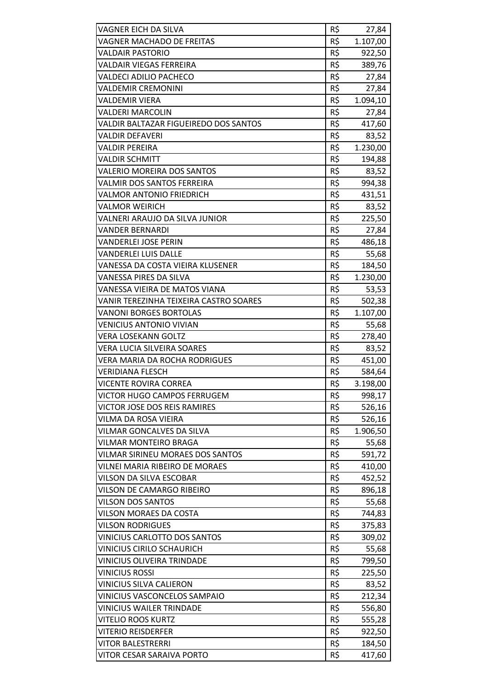| R\$<br>VAGNER EICH DA SILVA<br>27,84<br>R\$<br>1.107,00<br>VAGNER MACHADO DE FREITAS<br>R\$<br><b>VALDAIR PASTORIO</b><br>922,50<br>R\$<br>VALDAIR VIEGAS FERREIRA<br>389,76<br>R\$<br><b>VALDECI ADILIO PACHECO</b><br>27,84<br>R\$<br><b>VALDEMIR CREMONINI</b><br>27,84<br>R\$<br>VALDEMIR VIERA<br>1.094,10<br>R\$<br><b>VALDERI MARCOLIN</b><br>27,84<br>R\$<br><b>VALDIR BALTAZAR FIGUEIREDO DOS SANTOS</b><br>417,60<br>R\$<br>VALDIR DEFAVERI<br>83,52<br>R\$<br>1.230,00<br>VALDIR PEREIRA<br>R\$<br><b>VALDIR SCHMITT</b><br>194,88<br>R\$<br><b>VALERIO MOREIRA DOS SANTOS</b><br>83,52<br>R\$<br><b>VALMIR DOS SANTOS FERREIRA</b><br>994,38<br>R\$<br><b>VALMOR ANTONIO FRIEDRICH</b><br>431,51<br>R\$<br>83,52<br>VALMOR WEIRICH<br>R\$<br>VALNERI ARAUJO DA SILVA JUNIOR<br>225,50<br>R\$<br><b>VANDER BERNARDI</b><br>27,84<br>R\$<br>486,18<br>VANDERLEI JOSE PERIN<br>R\$<br><b>VANDERLEI LUIS DALLE</b><br>55,68<br>R\$<br>VANESSA DA COSTA VIEIRA KLUSENER<br>184,50<br>R\$<br>VANESSA PIRES DA SILVA<br>1.230,00<br>R\$<br>VANESSA VIEIRA DE MATOS VIANA<br>53,53<br>R\$<br>VANIR TEREZINHA TEIXEIRA CASTRO SOARES<br>502,38<br><b>VANONI BORGES BORTOLAS</b><br>R\$<br>1.107,00<br>R\$<br><b>VENICIUS ANTONIO VIVIAN</b><br>55,68<br>R\$<br><b>VERA LOSEKANN GOLTZ</b><br>278,40<br>R\$<br>VERA LUCIA SILVEIRA SOARES<br>83,52<br>R\$<br>VERA MARIA DA ROCHA RODRIGUES<br>451,00<br>R\$<br>VERIDIANA FLESCH<br>584,64<br>R\$<br>3.198,00<br>VICENTE ROVIRA CORREA<br>R\$<br>VICTOR HUGO CAMPOS FERRUGEM<br>998,17<br>R\$<br>VICTOR JOSE DOS REIS RAMIRES<br>526,16<br>R\$<br>VILMA DA ROSA VIEIRA<br>526,16<br>R\$<br>VILMAR GONCALVES DA SILVA<br>1.906,50<br>R\$<br>VILMAR MONTEIRO BRAGA<br>55,68<br>R\$<br>VILMAR SIRINEU MORAES DOS SANTOS<br>591,72<br>R\$<br>VILNEI MARIA RIBEIRO DE MORAES<br>410,00<br>R\$<br>VILSON DA SILVA ESCOBAR<br>452,52<br>R\$<br>VILSON DE CAMARGO RIBEIRO<br>896,18<br>R\$<br>55,68<br><b>VILSON DOS SANTOS</b><br>R\$<br>VILSON MORAES DA COSTA<br>744,83<br><b>VILSON RODRIGUES</b><br>R\$<br>375,83<br>R\$<br><b>VINICIUS CARLOTTO DOS SANTOS</b><br>309,02<br>R\$<br><b>VINICIUS CIRILO SCHAURICH</b><br>55,68<br>R\$<br>VINICIUS OLIVEIRA TRINDADE<br>799,50<br>R\$<br><b>VINICIUS ROSSI</b><br>225,50<br>R\$<br>VINICIUS SILVA CALIERON<br>83,52<br>R\$<br>VINICIUS VASCONCELOS SAMPAIO<br>212,34<br>R\$<br><b>VINICIUS WAILER TRINDADE</b><br>556,80<br>R\$<br><b>VITELIO ROOS KURTZ</b><br>555,28<br>R\$<br><b>VITERIO REISDERFER</b><br>922,50<br>R\$<br><b>VITOR BALESTRERRI</b><br>184,50 |                           |     |        |
|---------------------------------------------------------------------------------------------------------------------------------------------------------------------------------------------------------------------------------------------------------------------------------------------------------------------------------------------------------------------------------------------------------------------------------------------------------------------------------------------------------------------------------------------------------------------------------------------------------------------------------------------------------------------------------------------------------------------------------------------------------------------------------------------------------------------------------------------------------------------------------------------------------------------------------------------------------------------------------------------------------------------------------------------------------------------------------------------------------------------------------------------------------------------------------------------------------------------------------------------------------------------------------------------------------------------------------------------------------------------------------------------------------------------------------------------------------------------------------------------------------------------------------------------------------------------------------------------------------------------------------------------------------------------------------------------------------------------------------------------------------------------------------------------------------------------------------------------------------------------------------------------------------------------------------------------------------------------------------------------------------------------------------------------------------------------------------------------------------------------------------------------------------------------------------------------------------------------------------------------------------------------------------------------------------------------------------------------------------------------------------------------------------------------------------------------------------------------------------------------------------------------------------------------------------------|---------------------------|-----|--------|
|                                                                                                                                                                                                                                                                                                                                                                                                                                                                                                                                                                                                                                                                                                                                                                                                                                                                                                                                                                                                                                                                                                                                                                                                                                                                                                                                                                                                                                                                                                                                                                                                                                                                                                                                                                                                                                                                                                                                                                                                                                                                                                                                                                                                                                                                                                                                                                                                                                                                                                                                                               |                           |     |        |
|                                                                                                                                                                                                                                                                                                                                                                                                                                                                                                                                                                                                                                                                                                                                                                                                                                                                                                                                                                                                                                                                                                                                                                                                                                                                                                                                                                                                                                                                                                                                                                                                                                                                                                                                                                                                                                                                                                                                                                                                                                                                                                                                                                                                                                                                                                                                                                                                                                                                                                                                                               |                           |     |        |
|                                                                                                                                                                                                                                                                                                                                                                                                                                                                                                                                                                                                                                                                                                                                                                                                                                                                                                                                                                                                                                                                                                                                                                                                                                                                                                                                                                                                                                                                                                                                                                                                                                                                                                                                                                                                                                                                                                                                                                                                                                                                                                                                                                                                                                                                                                                                                                                                                                                                                                                                                               |                           |     |        |
|                                                                                                                                                                                                                                                                                                                                                                                                                                                                                                                                                                                                                                                                                                                                                                                                                                                                                                                                                                                                                                                                                                                                                                                                                                                                                                                                                                                                                                                                                                                                                                                                                                                                                                                                                                                                                                                                                                                                                                                                                                                                                                                                                                                                                                                                                                                                                                                                                                                                                                                                                               |                           |     |        |
|                                                                                                                                                                                                                                                                                                                                                                                                                                                                                                                                                                                                                                                                                                                                                                                                                                                                                                                                                                                                                                                                                                                                                                                                                                                                                                                                                                                                                                                                                                                                                                                                                                                                                                                                                                                                                                                                                                                                                                                                                                                                                                                                                                                                                                                                                                                                                                                                                                                                                                                                                               |                           |     |        |
|                                                                                                                                                                                                                                                                                                                                                                                                                                                                                                                                                                                                                                                                                                                                                                                                                                                                                                                                                                                                                                                                                                                                                                                                                                                                                                                                                                                                                                                                                                                                                                                                                                                                                                                                                                                                                                                                                                                                                                                                                                                                                                                                                                                                                                                                                                                                                                                                                                                                                                                                                               |                           |     |        |
|                                                                                                                                                                                                                                                                                                                                                                                                                                                                                                                                                                                                                                                                                                                                                                                                                                                                                                                                                                                                                                                                                                                                                                                                                                                                                                                                                                                                                                                                                                                                                                                                                                                                                                                                                                                                                                                                                                                                                                                                                                                                                                                                                                                                                                                                                                                                                                                                                                                                                                                                                               |                           |     |        |
|                                                                                                                                                                                                                                                                                                                                                                                                                                                                                                                                                                                                                                                                                                                                                                                                                                                                                                                                                                                                                                                                                                                                                                                                                                                                                                                                                                                                                                                                                                                                                                                                                                                                                                                                                                                                                                                                                                                                                                                                                                                                                                                                                                                                                                                                                                                                                                                                                                                                                                                                                               |                           |     |        |
|                                                                                                                                                                                                                                                                                                                                                                                                                                                                                                                                                                                                                                                                                                                                                                                                                                                                                                                                                                                                                                                                                                                                                                                                                                                                                                                                                                                                                                                                                                                                                                                                                                                                                                                                                                                                                                                                                                                                                                                                                                                                                                                                                                                                                                                                                                                                                                                                                                                                                                                                                               |                           |     |        |
|                                                                                                                                                                                                                                                                                                                                                                                                                                                                                                                                                                                                                                                                                                                                                                                                                                                                                                                                                                                                                                                                                                                                                                                                                                                                                                                                                                                                                                                                                                                                                                                                                                                                                                                                                                                                                                                                                                                                                                                                                                                                                                                                                                                                                                                                                                                                                                                                                                                                                                                                                               |                           |     |        |
|                                                                                                                                                                                                                                                                                                                                                                                                                                                                                                                                                                                                                                                                                                                                                                                                                                                                                                                                                                                                                                                                                                                                                                                                                                                                                                                                                                                                                                                                                                                                                                                                                                                                                                                                                                                                                                                                                                                                                                                                                                                                                                                                                                                                                                                                                                                                                                                                                                                                                                                                                               |                           |     |        |
|                                                                                                                                                                                                                                                                                                                                                                                                                                                                                                                                                                                                                                                                                                                                                                                                                                                                                                                                                                                                                                                                                                                                                                                                                                                                                                                                                                                                                                                                                                                                                                                                                                                                                                                                                                                                                                                                                                                                                                                                                                                                                                                                                                                                                                                                                                                                                                                                                                                                                                                                                               |                           |     |        |
|                                                                                                                                                                                                                                                                                                                                                                                                                                                                                                                                                                                                                                                                                                                                                                                                                                                                                                                                                                                                                                                                                                                                                                                                                                                                                                                                                                                                                                                                                                                                                                                                                                                                                                                                                                                                                                                                                                                                                                                                                                                                                                                                                                                                                                                                                                                                                                                                                                                                                                                                                               |                           |     |        |
|                                                                                                                                                                                                                                                                                                                                                                                                                                                                                                                                                                                                                                                                                                                                                                                                                                                                                                                                                                                                                                                                                                                                                                                                                                                                                                                                                                                                                                                                                                                                                                                                                                                                                                                                                                                                                                                                                                                                                                                                                                                                                                                                                                                                                                                                                                                                                                                                                                                                                                                                                               |                           |     |        |
|                                                                                                                                                                                                                                                                                                                                                                                                                                                                                                                                                                                                                                                                                                                                                                                                                                                                                                                                                                                                                                                                                                                                                                                                                                                                                                                                                                                                                                                                                                                                                                                                                                                                                                                                                                                                                                                                                                                                                                                                                                                                                                                                                                                                                                                                                                                                                                                                                                                                                                                                                               |                           |     |        |
|                                                                                                                                                                                                                                                                                                                                                                                                                                                                                                                                                                                                                                                                                                                                                                                                                                                                                                                                                                                                                                                                                                                                                                                                                                                                                                                                                                                                                                                                                                                                                                                                                                                                                                                                                                                                                                                                                                                                                                                                                                                                                                                                                                                                                                                                                                                                                                                                                                                                                                                                                               |                           |     |        |
|                                                                                                                                                                                                                                                                                                                                                                                                                                                                                                                                                                                                                                                                                                                                                                                                                                                                                                                                                                                                                                                                                                                                                                                                                                                                                                                                                                                                                                                                                                                                                                                                                                                                                                                                                                                                                                                                                                                                                                                                                                                                                                                                                                                                                                                                                                                                                                                                                                                                                                                                                               |                           |     |        |
|                                                                                                                                                                                                                                                                                                                                                                                                                                                                                                                                                                                                                                                                                                                                                                                                                                                                                                                                                                                                                                                                                                                                                                                                                                                                                                                                                                                                                                                                                                                                                                                                                                                                                                                                                                                                                                                                                                                                                                                                                                                                                                                                                                                                                                                                                                                                                                                                                                                                                                                                                               |                           |     |        |
|                                                                                                                                                                                                                                                                                                                                                                                                                                                                                                                                                                                                                                                                                                                                                                                                                                                                                                                                                                                                                                                                                                                                                                                                                                                                                                                                                                                                                                                                                                                                                                                                                                                                                                                                                                                                                                                                                                                                                                                                                                                                                                                                                                                                                                                                                                                                                                                                                                                                                                                                                               |                           |     |        |
|                                                                                                                                                                                                                                                                                                                                                                                                                                                                                                                                                                                                                                                                                                                                                                                                                                                                                                                                                                                                                                                                                                                                                                                                                                                                                                                                                                                                                                                                                                                                                                                                                                                                                                                                                                                                                                                                                                                                                                                                                                                                                                                                                                                                                                                                                                                                                                                                                                                                                                                                                               |                           |     |        |
|                                                                                                                                                                                                                                                                                                                                                                                                                                                                                                                                                                                                                                                                                                                                                                                                                                                                                                                                                                                                                                                                                                                                                                                                                                                                                                                                                                                                                                                                                                                                                                                                                                                                                                                                                                                                                                                                                                                                                                                                                                                                                                                                                                                                                                                                                                                                                                                                                                                                                                                                                               |                           |     |        |
|                                                                                                                                                                                                                                                                                                                                                                                                                                                                                                                                                                                                                                                                                                                                                                                                                                                                                                                                                                                                                                                                                                                                                                                                                                                                                                                                                                                                                                                                                                                                                                                                                                                                                                                                                                                                                                                                                                                                                                                                                                                                                                                                                                                                                                                                                                                                                                                                                                                                                                                                                               |                           |     |        |
|                                                                                                                                                                                                                                                                                                                                                                                                                                                                                                                                                                                                                                                                                                                                                                                                                                                                                                                                                                                                                                                                                                                                                                                                                                                                                                                                                                                                                                                                                                                                                                                                                                                                                                                                                                                                                                                                                                                                                                                                                                                                                                                                                                                                                                                                                                                                                                                                                                                                                                                                                               |                           |     |        |
|                                                                                                                                                                                                                                                                                                                                                                                                                                                                                                                                                                                                                                                                                                                                                                                                                                                                                                                                                                                                                                                                                                                                                                                                                                                                                                                                                                                                                                                                                                                                                                                                                                                                                                                                                                                                                                                                                                                                                                                                                                                                                                                                                                                                                                                                                                                                                                                                                                                                                                                                                               |                           |     |        |
|                                                                                                                                                                                                                                                                                                                                                                                                                                                                                                                                                                                                                                                                                                                                                                                                                                                                                                                                                                                                                                                                                                                                                                                                                                                                                                                                                                                                                                                                                                                                                                                                                                                                                                                                                                                                                                                                                                                                                                                                                                                                                                                                                                                                                                                                                                                                                                                                                                                                                                                                                               |                           |     |        |
|                                                                                                                                                                                                                                                                                                                                                                                                                                                                                                                                                                                                                                                                                                                                                                                                                                                                                                                                                                                                                                                                                                                                                                                                                                                                                                                                                                                                                                                                                                                                                                                                                                                                                                                                                                                                                                                                                                                                                                                                                                                                                                                                                                                                                                                                                                                                                                                                                                                                                                                                                               |                           |     |        |
|                                                                                                                                                                                                                                                                                                                                                                                                                                                                                                                                                                                                                                                                                                                                                                                                                                                                                                                                                                                                                                                                                                                                                                                                                                                                                                                                                                                                                                                                                                                                                                                                                                                                                                                                                                                                                                                                                                                                                                                                                                                                                                                                                                                                                                                                                                                                                                                                                                                                                                                                                               |                           |     |        |
|                                                                                                                                                                                                                                                                                                                                                                                                                                                                                                                                                                                                                                                                                                                                                                                                                                                                                                                                                                                                                                                                                                                                                                                                                                                                                                                                                                                                                                                                                                                                                                                                                                                                                                                                                                                                                                                                                                                                                                                                                                                                                                                                                                                                                                                                                                                                                                                                                                                                                                                                                               |                           |     |        |
|                                                                                                                                                                                                                                                                                                                                                                                                                                                                                                                                                                                                                                                                                                                                                                                                                                                                                                                                                                                                                                                                                                                                                                                                                                                                                                                                                                                                                                                                                                                                                                                                                                                                                                                                                                                                                                                                                                                                                                                                                                                                                                                                                                                                                                                                                                                                                                                                                                                                                                                                                               |                           |     |        |
|                                                                                                                                                                                                                                                                                                                                                                                                                                                                                                                                                                                                                                                                                                                                                                                                                                                                                                                                                                                                                                                                                                                                                                                                                                                                                                                                                                                                                                                                                                                                                                                                                                                                                                                                                                                                                                                                                                                                                                                                                                                                                                                                                                                                                                                                                                                                                                                                                                                                                                                                                               |                           |     |        |
|                                                                                                                                                                                                                                                                                                                                                                                                                                                                                                                                                                                                                                                                                                                                                                                                                                                                                                                                                                                                                                                                                                                                                                                                                                                                                                                                                                                                                                                                                                                                                                                                                                                                                                                                                                                                                                                                                                                                                                                                                                                                                                                                                                                                                                                                                                                                                                                                                                                                                                                                                               |                           |     |        |
|                                                                                                                                                                                                                                                                                                                                                                                                                                                                                                                                                                                                                                                                                                                                                                                                                                                                                                                                                                                                                                                                                                                                                                                                                                                                                                                                                                                                                                                                                                                                                                                                                                                                                                                                                                                                                                                                                                                                                                                                                                                                                                                                                                                                                                                                                                                                                                                                                                                                                                                                                               |                           |     |        |
|                                                                                                                                                                                                                                                                                                                                                                                                                                                                                                                                                                                                                                                                                                                                                                                                                                                                                                                                                                                                                                                                                                                                                                                                                                                                                                                                                                                                                                                                                                                                                                                                                                                                                                                                                                                                                                                                                                                                                                                                                                                                                                                                                                                                                                                                                                                                                                                                                                                                                                                                                               |                           |     |        |
|                                                                                                                                                                                                                                                                                                                                                                                                                                                                                                                                                                                                                                                                                                                                                                                                                                                                                                                                                                                                                                                                                                                                                                                                                                                                                                                                                                                                                                                                                                                                                                                                                                                                                                                                                                                                                                                                                                                                                                                                                                                                                                                                                                                                                                                                                                                                                                                                                                                                                                                                                               |                           |     |        |
|                                                                                                                                                                                                                                                                                                                                                                                                                                                                                                                                                                                                                                                                                                                                                                                                                                                                                                                                                                                                                                                                                                                                                                                                                                                                                                                                                                                                                                                                                                                                                                                                                                                                                                                                                                                                                                                                                                                                                                                                                                                                                                                                                                                                                                                                                                                                                                                                                                                                                                                                                               |                           |     |        |
|                                                                                                                                                                                                                                                                                                                                                                                                                                                                                                                                                                                                                                                                                                                                                                                                                                                                                                                                                                                                                                                                                                                                                                                                                                                                                                                                                                                                                                                                                                                                                                                                                                                                                                                                                                                                                                                                                                                                                                                                                                                                                                                                                                                                                                                                                                                                                                                                                                                                                                                                                               |                           |     |        |
|                                                                                                                                                                                                                                                                                                                                                                                                                                                                                                                                                                                                                                                                                                                                                                                                                                                                                                                                                                                                                                                                                                                                                                                                                                                                                                                                                                                                                                                                                                                                                                                                                                                                                                                                                                                                                                                                                                                                                                                                                                                                                                                                                                                                                                                                                                                                                                                                                                                                                                                                                               |                           |     |        |
|                                                                                                                                                                                                                                                                                                                                                                                                                                                                                                                                                                                                                                                                                                                                                                                                                                                                                                                                                                                                                                                                                                                                                                                                                                                                                                                                                                                                                                                                                                                                                                                                                                                                                                                                                                                                                                                                                                                                                                                                                                                                                                                                                                                                                                                                                                                                                                                                                                                                                                                                                               |                           |     |        |
|                                                                                                                                                                                                                                                                                                                                                                                                                                                                                                                                                                                                                                                                                                                                                                                                                                                                                                                                                                                                                                                                                                                                                                                                                                                                                                                                                                                                                                                                                                                                                                                                                                                                                                                                                                                                                                                                                                                                                                                                                                                                                                                                                                                                                                                                                                                                                                                                                                                                                                                                                               |                           |     |        |
|                                                                                                                                                                                                                                                                                                                                                                                                                                                                                                                                                                                                                                                                                                                                                                                                                                                                                                                                                                                                                                                                                                                                                                                                                                                                                                                                                                                                                                                                                                                                                                                                                                                                                                                                                                                                                                                                                                                                                                                                                                                                                                                                                                                                                                                                                                                                                                                                                                                                                                                                                               |                           |     |        |
|                                                                                                                                                                                                                                                                                                                                                                                                                                                                                                                                                                                                                                                                                                                                                                                                                                                                                                                                                                                                                                                                                                                                                                                                                                                                                                                                                                                                                                                                                                                                                                                                                                                                                                                                                                                                                                                                                                                                                                                                                                                                                                                                                                                                                                                                                                                                                                                                                                                                                                                                                               |                           |     |        |
|                                                                                                                                                                                                                                                                                                                                                                                                                                                                                                                                                                                                                                                                                                                                                                                                                                                                                                                                                                                                                                                                                                                                                                                                                                                                                                                                                                                                                                                                                                                                                                                                                                                                                                                                                                                                                                                                                                                                                                                                                                                                                                                                                                                                                                                                                                                                                                                                                                                                                                                                                               |                           |     |        |
|                                                                                                                                                                                                                                                                                                                                                                                                                                                                                                                                                                                                                                                                                                                                                                                                                                                                                                                                                                                                                                                                                                                                                                                                                                                                                                                                                                                                                                                                                                                                                                                                                                                                                                                                                                                                                                                                                                                                                                                                                                                                                                                                                                                                                                                                                                                                                                                                                                                                                                                                                               |                           |     |        |
|                                                                                                                                                                                                                                                                                                                                                                                                                                                                                                                                                                                                                                                                                                                                                                                                                                                                                                                                                                                                                                                                                                                                                                                                                                                                                                                                                                                                                                                                                                                                                                                                                                                                                                                                                                                                                                                                                                                                                                                                                                                                                                                                                                                                                                                                                                                                                                                                                                                                                                                                                               |                           |     |        |
|                                                                                                                                                                                                                                                                                                                                                                                                                                                                                                                                                                                                                                                                                                                                                                                                                                                                                                                                                                                                                                                                                                                                                                                                                                                                                                                                                                                                                                                                                                                                                                                                                                                                                                                                                                                                                                                                                                                                                                                                                                                                                                                                                                                                                                                                                                                                                                                                                                                                                                                                                               |                           |     |        |
|                                                                                                                                                                                                                                                                                                                                                                                                                                                                                                                                                                                                                                                                                                                                                                                                                                                                                                                                                                                                                                                                                                                                                                                                                                                                                                                                                                                                                                                                                                                                                                                                                                                                                                                                                                                                                                                                                                                                                                                                                                                                                                                                                                                                                                                                                                                                                                                                                                                                                                                                                               |                           |     |        |
|                                                                                                                                                                                                                                                                                                                                                                                                                                                                                                                                                                                                                                                                                                                                                                                                                                                                                                                                                                                                                                                                                                                                                                                                                                                                                                                                                                                                                                                                                                                                                                                                                                                                                                                                                                                                                                                                                                                                                                                                                                                                                                                                                                                                                                                                                                                                                                                                                                                                                                                                                               |                           |     |        |
|                                                                                                                                                                                                                                                                                                                                                                                                                                                                                                                                                                                                                                                                                                                                                                                                                                                                                                                                                                                                                                                                                                                                                                                                                                                                                                                                                                                                                                                                                                                                                                                                                                                                                                                                                                                                                                                                                                                                                                                                                                                                                                                                                                                                                                                                                                                                                                                                                                                                                                                                                               |                           |     |        |
|                                                                                                                                                                                                                                                                                                                                                                                                                                                                                                                                                                                                                                                                                                                                                                                                                                                                                                                                                                                                                                                                                                                                                                                                                                                                                                                                                                                                                                                                                                                                                                                                                                                                                                                                                                                                                                                                                                                                                                                                                                                                                                                                                                                                                                                                                                                                                                                                                                                                                                                                                               |                           |     |        |
|                                                                                                                                                                                                                                                                                                                                                                                                                                                                                                                                                                                                                                                                                                                                                                                                                                                                                                                                                                                                                                                                                                                                                                                                                                                                                                                                                                                                                                                                                                                                                                                                                                                                                                                                                                                                                                                                                                                                                                                                                                                                                                                                                                                                                                                                                                                                                                                                                                                                                                                                                               |                           |     |        |
|                                                                                                                                                                                                                                                                                                                                                                                                                                                                                                                                                                                                                                                                                                                                                                                                                                                                                                                                                                                                                                                                                                                                                                                                                                                                                                                                                                                                                                                                                                                                                                                                                                                                                                                                                                                                                                                                                                                                                                                                                                                                                                                                                                                                                                                                                                                                                                                                                                                                                                                                                               |                           |     |        |
|                                                                                                                                                                                                                                                                                                                                                                                                                                                                                                                                                                                                                                                                                                                                                                                                                                                                                                                                                                                                                                                                                                                                                                                                                                                                                                                                                                                                                                                                                                                                                                                                                                                                                                                                                                                                                                                                                                                                                                                                                                                                                                                                                                                                                                                                                                                                                                                                                                                                                                                                                               |                           |     |        |
|                                                                                                                                                                                                                                                                                                                                                                                                                                                                                                                                                                                                                                                                                                                                                                                                                                                                                                                                                                                                                                                                                                                                                                                                                                                                                                                                                                                                                                                                                                                                                                                                                                                                                                                                                                                                                                                                                                                                                                                                                                                                                                                                                                                                                                                                                                                                                                                                                                                                                                                                                               |                           |     |        |
|                                                                                                                                                                                                                                                                                                                                                                                                                                                                                                                                                                                                                                                                                                                                                                                                                                                                                                                                                                                                                                                                                                                                                                                                                                                                                                                                                                                                                                                                                                                                                                                                                                                                                                                                                                                                                                                                                                                                                                                                                                                                                                                                                                                                                                                                                                                                                                                                                                                                                                                                                               | VITOR CESAR SARAIVA PORTO | R\$ | 417,60 |